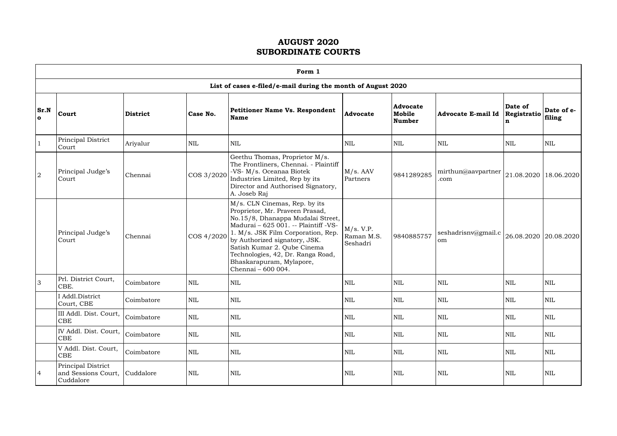|                |                                                                  |                 |              | Form 1                                                                                                                                                                                                                                                                                                                                     |                                     |                                     |                            |                             |                      |  |  |  |  |
|----------------|------------------------------------------------------------------|-----------------|--------------|--------------------------------------------------------------------------------------------------------------------------------------------------------------------------------------------------------------------------------------------------------------------------------------------------------------------------------------------|-------------------------------------|-------------------------------------|----------------------------|-----------------------------|----------------------|--|--|--|--|
|                | List of cases e-filed/e-mail during the month of August 2020     |                 |              |                                                                                                                                                                                                                                                                                                                                            |                                     |                                     |                            |                             |                      |  |  |  |  |
| Sr.N<br>O      | Court                                                            | <b>District</b> | Case No.     | <b>Petitioner Name Vs. Respondent</b><br><b>Name</b>                                                                                                                                                                                                                                                                                       | <b>Advocate</b>                     | <b>Advocate</b><br>Mobile<br>Number | <b>Advocate E-mail Id</b>  | Date of<br>Registratio<br>n | Date of e-<br>filing |  |  |  |  |
|                | Principal District<br>Court                                      | Ariyalur        | <b>NIL</b>   | <b>NIL</b>                                                                                                                                                                                                                                                                                                                                 | <b>NIL</b>                          | <b>NIL</b>                          | <b>NIL</b>                 | $\mbox{NIL}$                | <b>NIL</b>           |  |  |  |  |
| $\overline{2}$ | Principal Judge's<br>Court                                       | Chennai         | COS 3/2020   | Geethu Thomas, Proprietor M/s.<br>The Frontliners, Chennai. - Plaintiff<br>-VS- M/s. Oceanaa Biotek<br>Industries Limited, Rep by its<br>Director and Authorised Signatory,<br>A. Joseb Raj                                                                                                                                                | M/s. AAV<br>Partners                | 9841289285                          | mirthun@aavpartner<br>.com | 21.08.2020   18.06.2020     |                      |  |  |  |  |
|                | Principal Judge's<br>Court                                       | Chennai         | COS 4/2020   | M/s. CLN Cinemas, Rep. by its<br>Proprietor, Mr. Praveen Prasad,<br>No.15/8, Dhanappa Mudalai Street,<br>Madurai - 625 001. -- Plaintiff -VS-<br>1. M/s. JSK Film Corporation, Rep.<br>by Authorized signatory, JSK.<br>Satish Kumar 2. Qube Cinema<br>Technologies, 42, Dr. Ranga Road,<br>Bhaskarapuram, Mylapore,<br>Chennai - 600 004. | M/s. V.P.<br>Raman M.S.<br>Seshadri | 9840885757                          | seshadrisnv@gmail.c<br>om  | 26.08.2020 20.08.2020       |                      |  |  |  |  |
| 3              | Prl. District Court,<br>CBE.                                     | Coimbatore      | $\mbox{NIL}$ | <b>NIL</b>                                                                                                                                                                                                                                                                                                                                 | <b>NIL</b>                          | <b>NIL</b>                          | <b>NIL</b>                 | <b>NIL</b>                  | <b>NIL</b>           |  |  |  |  |
|                | I Addl.District<br>Court, CBE                                    | Coimbatore      | $\mbox{NIL}$ | $\mbox{NIL}$                                                                                                                                                                                                                                                                                                                               | $\mbox{NIL}$                        | NIL                                 | $\mbox{NIL}$               | $\mbox{NIL}$                | NIL                  |  |  |  |  |
|                | III Addl. Dist. Court,<br>CBE                                    | Coimbatore      | NIL          | NIL                                                                                                                                                                                                                                                                                                                                        | <b>NIL</b>                          | <b>NIL</b>                          | NIL                        | <b>NIL</b>                  | <b>NIL</b>           |  |  |  |  |
|                | IV Addl. Dist. Court,<br>CBE                                     | Coimbatore      | <b>NIL</b>   | $\mbox{NIL}$                                                                                                                                                                                                                                                                                                                               | <b>NIL</b>                          | <b>NIL</b>                          | $\mbox{NIL}$               | <b>NIL</b>                  | <b>NIL</b>           |  |  |  |  |
|                | V Addl. Dist. Court,<br>$\rm CBE$                                | Coimbatore      | <b>NIL</b>   | $\mbox{NIL}$                                                                                                                                                                                                                                                                                                                               | <b>NIL</b>                          | <b>NIL</b>                          | <b>NIL</b>                 | NIL                         | <b>NIL</b>           |  |  |  |  |
| 4              | Principal District<br>and Sessions Court, Cuddalore<br>Cuddalore |                 | <b>NIL</b>   | $\mbox{NIL}$                                                                                                                                                                                                                                                                                                                               | <b>NIL</b>                          | <b>NIL</b>                          | $\mbox{NIL}$               | <b>NIL</b>                  | <b>NIL</b>           |  |  |  |  |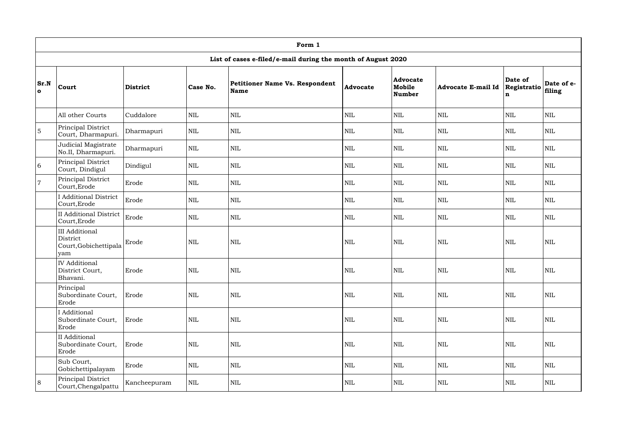|                      | Form 1                                                            |                 |              |                                                              |                 |                                            |                           |                             |                      |  |  |  |
|----------------------|-------------------------------------------------------------------|-----------------|--------------|--------------------------------------------------------------|-----------------|--------------------------------------------|---------------------------|-----------------------------|----------------------|--|--|--|
|                      |                                                                   |                 |              | List of cases e-filed/e-mail during the month of August 2020 |                 |                                            |                           |                             |                      |  |  |  |
| Sr.N<br>$\mathbf{o}$ | Court                                                             | <b>District</b> | Case No.     | <b>Petitioner Name Vs. Respondent</b><br><b>Name</b>         | <b>Advocate</b> | <b>Advocate</b><br>Mobile<br><b>Number</b> | <b>Advocate E-mail Id</b> | Date of<br>Registratio<br>n | Date of e-<br>filing |  |  |  |
|                      | All other Courts                                                  | Cuddalore       | <b>NIL</b>   | <b>NIL</b>                                                   | $\mbox{NIL}$    | <b>NIL</b>                                 | $\mbox{NIL}$              | NIL                         | <b>NIL</b>           |  |  |  |
| $\overline{5}$       | Principal District<br>Court, Dharmapuri.                          | Dharmapuri      | <b>NIL</b>   | <b>NIL</b>                                                   | $\mbox{NIL}$    | <b>NIL</b>                                 | <b>NIL</b>                | NIL                         | $\mbox{NIL}$         |  |  |  |
|                      | Judicial Magistrate<br>No.II, Dharmapuri.                         | Dharmapuri      | <b>NIL</b>   | <b>NIL</b>                                                   | <b>NIL</b>      | $\mbox{NIL}$                               | $\mbox{NIL}$              | $\mbox{NIL}$                | <b>NIL</b>           |  |  |  |
| 6                    | Principal District<br>Court, Dindigul                             | Dindigul        | <b>NIL</b>   | <b>NIL</b>                                                   | <b>NIL</b>      | <b>NIL</b>                                 | <b>NIL</b>                | <b>NIL</b>                  | <b>NIL</b>           |  |  |  |
| $\overline{7}$       | Principal District<br>Court, Erode                                | Erode           | <b>NIL</b>   | <b>NIL</b>                                                   | <b>NIL</b>      | $\mbox{NIL}$                               | $\text{NIL}$              | $\mbox{NIL}$                | <b>NIL</b>           |  |  |  |
|                      | <b>I</b> Additional District<br>Court, Erode                      | Erode           | <b>NIL</b>   | <b>NIL</b>                                                   | $\mbox{NIL}$    | $\mbox{NIL}$                               | $\text{NIL}$              | NIL                         | <b>NIL</b>           |  |  |  |
|                      | <b>II</b> Additional District<br>Court, Erode                     | Erode           | <b>NIL</b>   | <b>NIL</b>                                                   | $\mbox{NIL}$    | $\mbox{NIL}$                               | <b>NIL</b>                | NIL                         | <b>NIL</b>           |  |  |  |
|                      | <b>III</b> Additional<br>District<br>Court, Gobichettipala<br>yam | Erode           | $\mbox{NIL}$ | <b>NIL</b>                                                   | <b>NIL</b>      | $\mbox{NIL}$                               | <b>NIL</b>                | NIL                         | NIL                  |  |  |  |
|                      | <b>IV</b> Additional<br>District Court,<br>Bhavani.               | Erode           | NIL          | NIL                                                          | NIL             | NIL                                        | NIL                       | NIL                         | NIL                  |  |  |  |
|                      | Principal<br>Subordinate Court,<br>Erode                          | Erode           | <b>NIL</b>   | <b>NIL</b>                                                   | $\mbox{NIL}$    | $\mbox{NIL}$                               | <b>NIL</b>                | <b>NIL</b>                  | NIL                  |  |  |  |
|                      | I Additional<br>Subordinate Court,<br>Erode                       | Erode           | NIL          | <b>NIL</b>                                                   | $\mbox{NIL}$    | $\mbox{NIL}$                               | <b>NIL</b>                | $\mbox{NIL}$                | NIL                  |  |  |  |
|                      | II Additional<br>Subordinate Court,<br>Erode                      | Erode           | NIL          | <b>NIL</b>                                                   | $\mbox{NIL}$    | $\mbox{NIL}$                               | <b>NIL</b>                | $\mbox{NIL}$                | NIL                  |  |  |  |
|                      | Sub Court,<br>Gobichettipalayam                                   | Erode           | NIL          | <b>NIL</b>                                                   | $\mbox{NIL}$    | $\mbox{NIL}$                               | $\mbox{NIL}$              | $\mbox{NIL}$                | NIL                  |  |  |  |
| 8                    | Principal District<br>Court, Chengalpattu                         | Kancheepuram    | NIL          | NIL                                                          | $\mbox{NIL}$    | $\mbox{NIL}$                               | $\mbox{NIL}$              | NIL                         | NIL                  |  |  |  |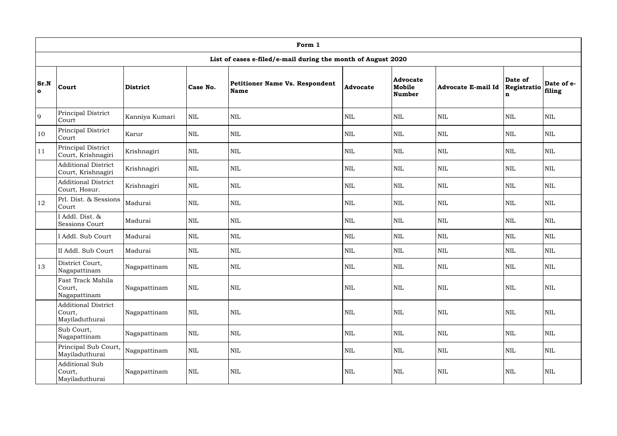|                      | Form 1                                                                            |                     |              |                                                              |                 |                                            |                           |                             |                      |  |  |  |
|----------------------|-----------------------------------------------------------------------------------|---------------------|--------------|--------------------------------------------------------------|-----------------|--------------------------------------------|---------------------------|-----------------------------|----------------------|--|--|--|
|                      |                                                                                   |                     |              | List of cases e-filed/e-mail during the month of August 2020 |                 |                                            |                           |                             |                      |  |  |  |
| Sr.N<br>$\mathbf{o}$ | <b>Court</b>                                                                      | <b>District</b>     | Case No.     | <b>Petitioner Name Vs. Respondent</b><br><b>Name</b>         | <b>Advocate</b> | <b>Advocate</b><br>Mobile<br><b>Number</b> | <b>Advocate E-mail Id</b> | Date of<br>Registratio<br>n | Date of e-<br>filing |  |  |  |
| 9                    | Principal District<br>Court                                                       | Kanniya Kumari      | <b>NIL</b>   | <b>NIL</b>                                                   | $\mbox{NIL}$    | <b>NIL</b>                                 | $\text{NIL}$              | NIL                         | <b>NIL</b>           |  |  |  |
| 10                   | Principal District<br>Court                                                       | Karur<br><b>NIL</b> |              | <b>NIL</b>                                                   | $\mbox{NIL}$    | $\mbox{NIL}$                               | $\mbox{NIL}$              | NIL                         | <b>NIL</b>           |  |  |  |
| 11                   | Principal District<br>Krishnagiri<br>$\mbox{NIL}$<br>Court, Krishnagiri           |                     |              | <b>NIL</b>                                                   | <b>NIL</b>      | $\mbox{NIL}$                               | $\mbox{NIL}$              | NIL                         | $\mbox{NIL}$         |  |  |  |
|                      | <b>Additional District</b><br>Krishnagiri<br>Court, Krishnagiri                   |                     | NIL          | <b>NIL</b>                                                   | <b>NIL</b>      | $\mbox{NIL}$                               | $\text{NIL}$              | NIL                         | <b>NIL</b>           |  |  |  |
|                      | <b>Additional District</b><br>Krishnagiri<br><b>NIL</b><br>Court, Hosur.          |                     | <b>NIL</b>   | <b>NIL</b>                                                   | $\mbox{NIL}$    | <b>NIL</b>                                 | $\mbox{NIL}$              | <b>NIL</b>                  |                      |  |  |  |
| 12                   | Prl. Dist. & Sessions<br>Madurai<br><b>NIL</b><br>Court                           |                     | <b>NIL</b>   | <b>NIL</b>                                                   | <b>NIL</b>      | $\text{NIL}$                               | $\mbox{NIL}$              | <b>NIL</b>                  |                      |  |  |  |
|                      | I Addl. Dist. &<br><b>Sessions Court</b>                                          | Madurai             | <b>NIL</b>   | <b>NIL</b>                                                   | $\mbox{NIL}$    | $\mbox{NIL}$                               | $\mbox{NIL}$              | NIL                         | <b>NIL</b>           |  |  |  |
|                      | I Addl. Sub Court                                                                 | Madurai             | $\mbox{NIL}$ | <b>NIL</b>                                                   | $\mbox{NIL}$    | $\mbox{NIL}$                               | $\mbox{NIL}$              | NIL                         | <b>NIL</b>           |  |  |  |
|                      | II Addl. Sub Court                                                                | Madurai             | NIL          | <b>NIL</b>                                                   | $\mbox{NIL}$    | $\mbox{NIL}$                               | $\mbox{NIL}$              | NIL                         | <b>NIL</b>           |  |  |  |
| 13                   | District Court,<br>Nagapattinam                                                   | Nagapattinam        | <b>NIL</b>   | <b>NIL</b>                                                   | <b>NIL</b>      | <b>NIL</b>                                 | <b>NIL</b>                | $\mbox{NIL}$                | <b>NIL</b>           |  |  |  |
|                      | Fast Track Mahila<br>Court,<br>Nagapattinam                                       | Nagapattinam        | NIL          | <b>NIL</b>                                                   | $\mbox{NIL}$    | $\mbox{NIL}$                               | $\mbox{NIL}$              | $\mbox{NIL}$                | NIL                  |  |  |  |
|                      | <b>Additional District</b><br>Court,<br>Mayiladuthurai                            | Nagapattinam        | <b>NIL</b>   | <b>NIL</b>                                                   | $\mbox{NIL}$    | $\mbox{NIL}$                               | $\mbox{NIL}$              | $\mbox{NIL}$                | NIL                  |  |  |  |
|                      | Sub Court,<br>Nagapattinam                                                        | Nagapattinam        | NIL          | <b>NIL</b>                                                   | $\mbox{NIL}$    | $\mbox{NIL}$                               | $\mbox{NIL}$              | $\mbox{NIL}$                | NIL                  |  |  |  |
|                      | Principal Sub Court,<br>Mayiladuthurai                                            | Nagapattinam        | NIL          | <b>NIL</b>                                                   | $\mbox{NIL}$    | $\mbox{NIL}$                               | $\mbox{NIL}$              | NIL                         | <b>NIL</b>           |  |  |  |
|                      | <b>Additional Sub</b><br>$\mbox{NIL}$<br>Court,<br>Nagapattinam<br>Mayiladuthurai |                     |              | $\mbox{NIL}$                                                 | $\mbox{NIL}$    | $\mbox{NIL}$                               | $\mbox{NIL}$              | $\mbox{NIL}$                | NIL                  |  |  |  |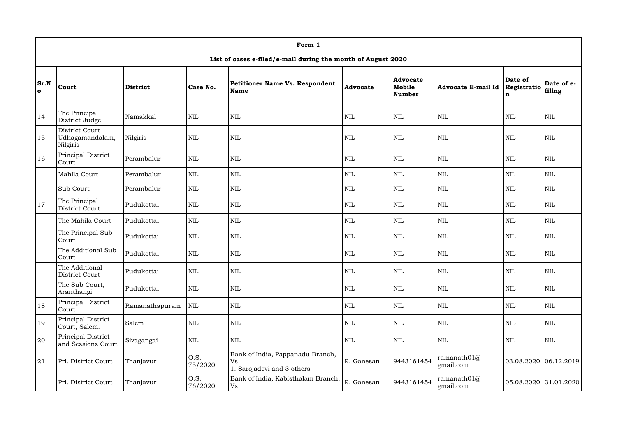|                             | Form 1                                              |                 |                                                                      |                                                              |                 |                                     |                             |                             |                      |  |  |  |  |
|-----------------------------|-----------------------------------------------------|-----------------|----------------------------------------------------------------------|--------------------------------------------------------------|-----------------|-------------------------------------|-----------------------------|-----------------------------|----------------------|--|--|--|--|
|                             |                                                     |                 |                                                                      | List of cases e-filed/e-mail during the month of August 2020 |                 |                                     |                             |                             |                      |  |  |  |  |
| <b>Sr.N</b><br>$\mathbf{o}$ | Court                                               | <b>District</b> | Case No.                                                             | <b>Petitioner Name Vs. Respondent</b><br><b>Name</b>         | <b>Advocate</b> | <b>Advocate</b><br>Mobile<br>Number | <b>Advocate E-mail Id</b>   | Date of<br>Registratio<br>n | Date of e-<br>filing |  |  |  |  |
| 14                          | The Principal<br>District Judge                     | Namakkal        | <b>NIL</b>                                                           | <b>NIL</b>                                                   | NIL             | <b>NIL</b>                          | <b>NIL</b>                  | <b>NIL</b>                  | <b>NIL</b>           |  |  |  |  |
| 15                          | District Court<br>Udhagamandalam,<br>Nilgiris       | Nilgiris        | <b>NIL</b>                                                           | <b>NIL</b>                                                   | <b>NIL</b>      | <b>NIL</b>                          | <b>NIL</b>                  | NIL                         | <b>NIL</b>           |  |  |  |  |
| 16                          | Principal District<br>Court                         | Perambalur      | <b>NIL</b>                                                           | <b>NIL</b>                                                   | <b>NIL</b>      | <b>NIL</b>                          | <b>NIL</b>                  | NIL                         | <b>NIL</b>           |  |  |  |  |
|                             | Mahila Court                                        | Perambalur      | <b>NIL</b>                                                           | <b>NIL</b>                                                   | NIL             | <b>NIL</b>                          | <b>NIL</b>                  | NIL                         | <b>NIL</b>           |  |  |  |  |
|                             | Sub Court                                           | Perambalur      | <b>NIL</b>                                                           | $\mbox{NIL}$                                                 | <b>NIL</b>      | <b>NIL</b>                          | <b>NIL</b>                  | NIL                         | <b>NIL</b>           |  |  |  |  |
| 17                          | The Principal<br>District Court                     | Pudukottai      | <b>NIL</b>                                                           | <b>NIL</b>                                                   | <b>NIL</b>      | <b>NIL</b>                          | $\mbox{NIL}$                | $\mbox{NIL}$                | <b>NIL</b>           |  |  |  |  |
|                             | The Mahila Court                                    | Pudukottai      | <b>NIL</b>                                                           | <b>NIL</b>                                                   | NIL             | $\mbox{NIL}$                        | $\mbox{NIL}$                | NIL                         | <b>NIL</b>           |  |  |  |  |
|                             | The Principal Sub<br>Court                          | Pudukottai      | <b>NIL</b>                                                           | <b>NIL</b>                                                   | $\mbox{NIL}$    | <b>NIL</b>                          | <b>NIL</b>                  | $\mbox{NIL}$                | <b>NIL</b>           |  |  |  |  |
|                             | The Additional Sub<br>Court                         | Pudukottai      | <b>NIL</b>                                                           | <b>NIL</b>                                                   | <b>NIL</b>      | <b>NIL</b>                          | $\mbox{NIL}$                | NIL                         | <b>NIL</b>           |  |  |  |  |
|                             | The Additional<br>District Court                    | Pudukottai      | NIL                                                                  | <b>NIL</b>                                                   | <b>NIL</b>      | NIL                                 | <b>NIL</b>                  | <b>NIL</b>                  | <b>NIL</b>           |  |  |  |  |
|                             | The Sub Court,<br>Aranthangi                        | Pudukottai      | <b>NIL</b>                                                           | <b>NIL</b>                                                   | $\mbox{NIL}$    | <b>NIL</b>                          | <b>NIL</b>                  | $\mbox{NIL}$                | <b>NIL</b>           |  |  |  |  |
| 18                          | Principal District<br>Court                         | Ramanathapuram  | <b>NIL</b>                                                           | <b>NIL</b>                                                   | $\mbox{NIL}$    | <b>NIL</b>                          | <b>NIL</b>                  | $\mbox{NIL}$                | <b>NIL</b>           |  |  |  |  |
| 19                          | Principal District<br>Court, Salem.                 | Salem           | NIL                                                                  | <b>NIL</b>                                                   | $\mbox{NIL}$    | <b>NIL</b>                          | <b>NIL</b>                  | NIL                         | <b>NIL</b>           |  |  |  |  |
| 20                          | Principal District<br>and Sessions Court            | Sivagangai      | NIL                                                                  | NIL                                                          | $\mbox{NIL}$    | NIL                                 | $\mbox{NIL}$                | $\mbox{NIL}$                | <b>NIL</b>           |  |  |  |  |
| 21                          | O.S.<br>Prl. District Court<br>Thanjavur<br>75/2020 |                 | Bank of India, Pappanadu Branch,<br>Vs<br>1. Sarojadevi and 3 others | R. Ganesan                                                   | 9443161454      | ramanath $01@$<br>gmail.com         | 03.08.2020 06.12.2019       |                             |                      |  |  |  |  |
|                             | Prl. District Court                                 | Thanjavur       | O.S.<br>76/2020                                                      | Bank of India, Kabisthalam Branch,<br>Vs                     | R. Ganesan      | 9443161454                          | ramanath $01@$<br>gmail.com | 05.08.2020 31.01.2020       |                      |  |  |  |  |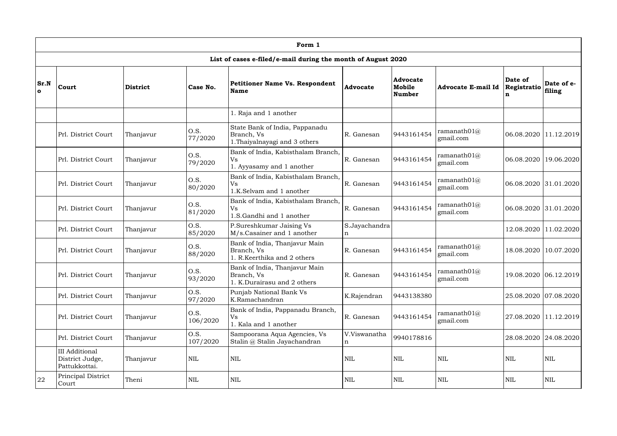|                                                                        | Form 1                      |                 |                  |                                                                               |                    |                                     |                                                                     |                             |                       |  |  |  |  |
|------------------------------------------------------------------------|-----------------------------|-----------------|------------------|-------------------------------------------------------------------------------|--------------------|-------------------------------------|---------------------------------------------------------------------|-----------------------------|-----------------------|--|--|--|--|
|                                                                        |                             |                 |                  | List of cases e-filed/e-mail during the month of August 2020                  |                    |                                     |                                                                     |                             |                       |  |  |  |  |
| Sr.N<br>$\mathbf{o}$                                                   | Court                       | <b>District</b> | Case No.         | <b>Petitioner Name Vs. Respondent</b><br><b>Name</b>                          | <b>Advocate</b>    | <b>Advocate</b><br>Mobile<br>Number | <b>Advocate E-mail Id</b>                                           | Date of<br>Registratio<br>n | Date of e-<br>filing  |  |  |  |  |
|                                                                        |                             |                 |                  | Raja and 1 another                                                            |                    |                                     |                                                                     |                             |                       |  |  |  |  |
|                                                                        | Prl. District Court         | Thanjavur       | O.S.<br>77/2020  | State Bank of India, Pappanadu<br>Branch, Vs<br>1. Thaiyalnayagi and 3 others | R. Ganesan         | 9443161454                          | ramanath $01\text{\scriptsize (}a\text{\scriptsize )}$<br>gmail.com | 06.08.2020                  | 11.12.2019            |  |  |  |  |
|                                                                        | Prl. District Court         | Thanjavur       | O.S.<br>79/2020  | Bank of India, Kabisthalam Branch,<br>Vs<br>1. Ayyasamy and 1 another         | R. Ganesan         | 9443161454                          | ramanath $01\omega$<br>gmail.com                                    | 06.08.2020                  | 19.06.2020            |  |  |  |  |
|                                                                        | Prl. District Court         | Thanjavur       | O.S.<br>80/2020  | Bank of India, Kabisthalam Branch,<br>Vs<br>1.K.Selvam and 1 another          | R. Ganesan         | 9443161454                          | ramanath $01\omega$<br>gmail.com                                    |                             | 06.08.2020 31.01.2020 |  |  |  |  |
|                                                                        | Prl. District Court         | Thanjavur       | O.S.<br>81/2020  | Bank of India, Kabisthalam Branch,<br>Vs<br>1.S.Gandhi and 1 another          | R. Ganesan         | 9443161454                          | ramanath $01\omega$<br>gmail.com                                    |                             | 06.08.2020 31.01.2020 |  |  |  |  |
|                                                                        | Prl. District Court         | Thanjavur       | O.S.<br>85/2020  | P.Sureshkumar Jaising Vs<br>M/s.Casainer and 1 another                        | S.Jayachandra<br>n |                                     |                                                                     | 12.08.2020                  | 11.02.2020            |  |  |  |  |
|                                                                        | Prl. District Court         | Thanjavur       | O.S.<br>88/2020  | Bank of India, Thanjavur Main<br>Branch, Vs<br>1. R.Keerthika and 2 others    | R. Ganesan         | 9443161454                          | ramanath $01\text{\scriptsize (}a\text{\scriptsize )}$<br>gmail.com | 18.08.2020                  | 10.07.2020            |  |  |  |  |
|                                                                        | Prl. District Court         | Thanjavur       | O.S.<br>93/2020  | Bank of India, Thanjavur Main<br>Branch, Vs<br>1. K.Durairasu and 2 others    | R. Ganesan         | 9443161454                          | ramanath $01\mathcal{a}$<br>gmail.com                               |                             | 19.08.2020 06.12.2019 |  |  |  |  |
|                                                                        | Prl. District Court         | Thanjavur       | O.S.<br>97/2020  | Punjab National Bank Vs<br>K.Ramachandran                                     | K.Rajendran        | 9443138380                          |                                                                     |                             | 25.08.2020 07.08.2020 |  |  |  |  |
|                                                                        | Prl. District Court         | Thanjavur       | 0.S.<br>106/2020 | Bank of India, Pappanadu Branch,<br>Vs<br>1. Kala and 1 another               | R. Ganesan         | 9443161454                          | ramanath $01\mathcal{a}$<br>gmail.com                               | 27.08.2020                  | 11.12.2019            |  |  |  |  |
|                                                                        | Prl. District Court         | Thanjavur       | O.S.<br>107/2020 | Sampoorana Aqua Agencies, Vs<br>Stalin @ Stalin Jayachandran                  | V.Viswanatha<br>n  | 9940178816                          |                                                                     |                             | 28.08.2020 24.08.2020 |  |  |  |  |
| <b>III</b> Additional<br>District Judge,<br>Thanjavur<br>Pattukkottai. |                             |                 | <b>NIL</b>       | $\mbox{NIL}$                                                                  | $\mbox{NIL}$       | <b>NIL</b>                          | $\mbox{NIL}$                                                        | NIL                         | <b>NIL</b>            |  |  |  |  |
| 22                                                                     | Principal District<br>Court | Theni           | <b>NIL</b>       | $\mbox{NIL}$                                                                  | $\mbox{NIL}$       | <b>NIL</b>                          | <b>NIL</b>                                                          | NIL                         | <b>NIL</b>            |  |  |  |  |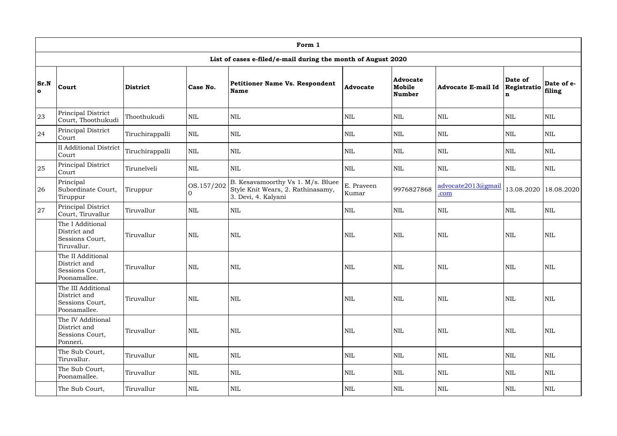|                                               | Form 1                                                                            |                 |                                                                                               |                                                              |                 |                                            |                           |                             |                      |  |  |  |  |
|-----------------------------------------------|-----------------------------------------------------------------------------------|-----------------|-----------------------------------------------------------------------------------------------|--------------------------------------------------------------|-----------------|--------------------------------------------|---------------------------|-----------------------------|----------------------|--|--|--|--|
|                                               |                                                                                   |                 |                                                                                               | List of cases e-filed/e-mail during the month of August 2020 |                 |                                            |                           |                             |                      |  |  |  |  |
| <b>Sr.N</b><br>$\bullet$                      | <b>Court</b>                                                                      | <b>District</b> | Case No.                                                                                      | Petitioner Name Vs. Respondent<br><b>Name</b>                | <b>Advocate</b> | <b>Advocate</b><br>Mobile<br><b>Number</b> | <b>Advocate E-mail Id</b> | Date of<br>Registratio<br>n | Date of e-<br>filing |  |  |  |  |
| 23                                            | Principal District<br>Court, Thoothukudi                                          | Thoothukudi     | $\mbox{NIL}$                                                                                  | <b>NIL</b>                                                   | <b>NIL</b>      | $\mbox{NIL}$                               | <b>NIL</b>                | NIL                         | <b>NIL</b>           |  |  |  |  |
| 24                                            | Principal District<br>Court                                                       | Tiruchirappalli | <b>NIL</b>                                                                                    | <b>NIL</b>                                                   | $\text{NIL}$    | $\mbox{NIL}$                               | <b>NIL</b>                | NIL                         | <b>NIL</b>           |  |  |  |  |
|                                               | <b>II</b> Additional District<br>Court                                            | Tiruchirappalli | <b>NIL</b>                                                                                    | <b>NIL</b>                                                   | <b>NIL</b>      | $\mbox{NIL}$<br>$\mbox{NIL}$               |                           | NIL                         | <b>NIL</b>           |  |  |  |  |
| 25                                            | Principal District<br>Tirunelveli<br><b>NIL</b><br>Court                          |                 |                                                                                               | <b>NIL</b>                                                   | <b>NIL</b>      | <b>NIL</b>                                 | <b>NIL</b>                | NIL                         | <b>NIL</b>           |  |  |  |  |
| 26                                            | Principal<br>OS.157/202<br>Subordinate Court,<br>Tiruppur<br>$\Omega$<br>Tiruppur |                 | B. Kesavamoorthy Vs 1. M/s. Bluee<br>Style Knit Wears, 2. Rathinasamy,<br>3. Devi, 4. Kalyani | E. Praveen<br>Kumar                                          | 9976827868      | advocate2013@gmail<br>.com                 |                           | 13.08.2020   18.08.2020     |                      |  |  |  |  |
| Principal District<br>27<br>Court, Tiruvallur |                                                                                   | Tiruvallur      | <b>NIL</b>                                                                                    | <b>NIL</b>                                                   | <b>NIL</b>      | $\mbox{NIL}$                               | $\mbox{NIL}$              | NIL                         | <b>NIL</b>           |  |  |  |  |
|                                               | The I Additional<br>District and<br>Sessions Court,<br>Tiruvallur.                | Tiruvallur      | <b>NIL</b>                                                                                    | <b>NIL</b>                                                   | <b>NIL</b>      | NIL                                        | $\mbox{NIL}$              | NIL                         | NIL                  |  |  |  |  |
|                                               | The II Additional<br>District and<br>Sessions Court,<br>Poonamallee.              | Tiruvallur      | $\mbox{NIL}$                                                                                  | NIL                                                          | $\mbox{NIL}$    | NIL                                        | NIL                       | <b>NIL</b>                  | <b>NIL</b>           |  |  |  |  |
|                                               | The III Additional<br>District and<br>Sessions Court,<br>Poonamallee.             | Tiruvallur      | NIL                                                                                           | <b>NIL</b>                                                   | $\mbox{NIL}$    | <b>NIL</b>                                 | NIL                       | $\mbox{NIL}$                | NIL                  |  |  |  |  |
|                                               | The IV Additional<br>District and<br>Tiruvallur<br>Sessions Court,<br>Ponneri.    |                 | <b>NIL</b>                                                                                    | <b>NIL</b>                                                   | $\mbox{NIL}$    | <b>NIL</b>                                 | NIL                       | $\mbox{NIL}$                | NIL                  |  |  |  |  |
|                                               | The Sub Court,<br>Tiruvallur.                                                     | Tiruvallur      | NIL                                                                                           | <b>NIL</b>                                                   | $\mbox{NIL}$    | $\mbox{NIL}$                               | <b>NIL</b>                | $\mbox{NIL}$                | NIL                  |  |  |  |  |
|                                               | The Sub Court,<br>Poonamallee.                                                    | Tiruvallur      | NIL                                                                                           | <b>NIL</b>                                                   | $\mbox{NIL}$    | <b>NIL</b>                                 | <b>NIL</b>                | <b>NIL</b>                  | NIL                  |  |  |  |  |
|                                               | The Sub Court,<br>Tiruvallur<br>NIL                                               |                 | <b>NIL</b>                                                                                    | $\mbox{NIL}$                                                 | <b>NIL</b>      | NIL                                        | NIL                       | NIL                         |                      |  |  |  |  |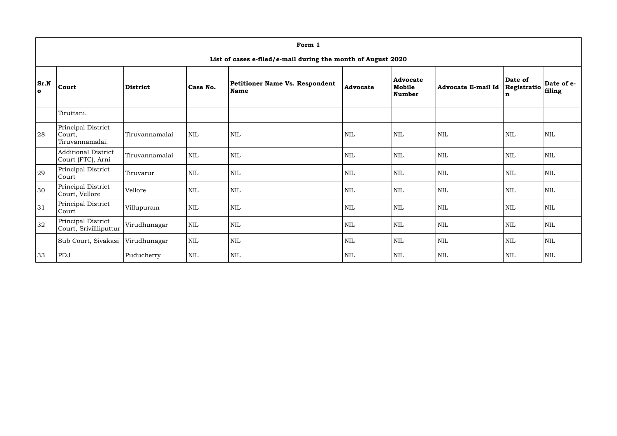|                      | Form 1                                                                     |                 |              |                                                      |                 |                              |                           |                             |                      |  |  |  |
|----------------------|----------------------------------------------------------------------------|-----------------|--------------|------------------------------------------------------|-----------------|------------------------------|---------------------------|-----------------------------|----------------------|--|--|--|
|                      | List of cases e-filed/e-mail during the month of August 2020               |                 |              |                                                      |                 |                              |                           |                             |                      |  |  |  |
| Sr.N<br>$\mathbf{o}$ | Court                                                                      | <b>District</b> | Case No.     | <b>Petitioner Name Vs. Respondent</b><br><b>Name</b> | <b>Advocate</b> | Advocate<br>Mobile<br>Number | <b>Advocate E-mail Id</b> | Date of<br>Registratio<br>n | Date of e-<br>filing |  |  |  |
|                      | Tiruttani.                                                                 |                 |              |                                                      |                 |                              |                           |                             |                      |  |  |  |
| 28                   | Principal District<br>Court,<br>Tiruvannamalai.                            | Tiruvannamalai  | $\mbox{NIL}$ | $\text{NIL}$                                         | $\mbox{NIL}$    | <b>NIL</b>                   | <b>NIL</b>                | $\mbox{NIL}$                | $\mbox{NIL}$         |  |  |  |
|                      | <b>Additional District</b><br>Court (FTC), Arni                            | Tiruvannamalai  | $\mbox{NIL}$ | $\mbox{NIL}$                                         | $\mbox{NIL}$    | <b>NIL</b>                   | <b>NIL</b>                | $\mbox{NIL}$                | <b>NIL</b>           |  |  |  |
| 29                   | Principal District<br>Court                                                | Tiruvarur       | <b>NIL</b>   | $\mbox{NIL}$                                         | $\text{NIL}$    | <b>NIL</b>                   | <b>NIL</b>                | $\mbox{NIL}$                | $\mbox{NIL}$         |  |  |  |
| 30                   | Principal District<br>Court, Vellore                                       | Vellore         | $\text{NIL}$ | $\text{NIL}$                                         | $\mbox{NIL}$    | <b>NIL</b>                   | <b>NIL</b>                | $\mbox{NIL}$                | $\mbox{NIL}$         |  |  |  |
| 31                   | Principal District<br>Court                                                | Villupuram      | <b>NIL</b>   | <b>NIL</b>                                           | $\mbox{NIL}$    | <b>NIL</b>                   | $\mbox{NIL}$              | $\mbox{NIL}$                | NIL                  |  |  |  |
| 32                   | Principal District<br>Virudhunagar<br><b>NIL</b><br>Court, Srivillliputtur |                 |              | <b>NIL</b>                                           | $\mbox{NIL}$    | <b>NIL</b>                   | $\mbox{NIL}$              | <b>NIL</b>                  | <b>NIL</b>           |  |  |  |
|                      | Sub Court, Sivakasi                                                        | Virudhunagar    | <b>NIL</b>   | $\mbox{NIL}$                                         | $\mbox{NIL}$    | <b>NIL</b>                   | <b>NIL</b>                | $\mbox{NIL}$                | NIL                  |  |  |  |
| 33                   | PDJ                                                                        | Puducherry      | <b>NIL</b>   | $\mbox{NIL}$                                         | <b>NIL</b>      | <b>NIL</b>                   | $\mbox{NIL}$              | <b>NIL</b>                  | NIL                  |  |  |  |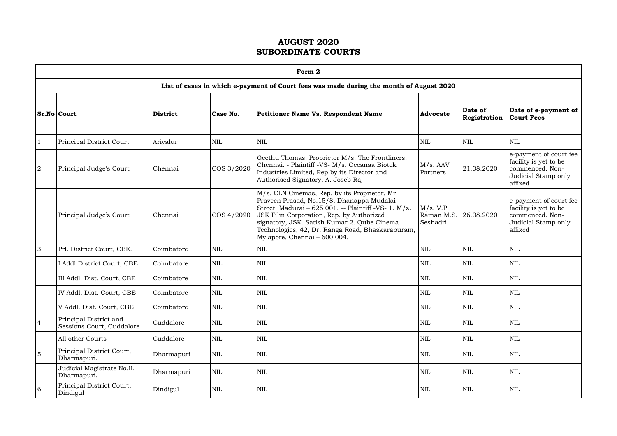| 00<br>$\bullet$ |  |
|-----------------|--|
|-----------------|--|

 $\Gamma$ 

|                | Form 2                                              |                 |              |                                                                                                                                                                                                                                                                                                                                   |                                     |                         |                                                                                                      |  |  |  |  |  |
|----------------|-----------------------------------------------------|-----------------|--------------|-----------------------------------------------------------------------------------------------------------------------------------------------------------------------------------------------------------------------------------------------------------------------------------------------------------------------------------|-------------------------------------|-------------------------|------------------------------------------------------------------------------------------------------|--|--|--|--|--|
|                |                                                     |                 |              | List of cases in which e-payment of Court fees was made during the month of August 2020                                                                                                                                                                                                                                           |                                     |                         |                                                                                                      |  |  |  |  |  |
|                | Sr.No Court                                         | <b>District</b> | Case No.     | <b>Petitioner Name Vs. Respondent Name</b>                                                                                                                                                                                                                                                                                        | <b>Advocate</b>                     | Date of<br>Registration | Date of e-payment of<br><b>Court Fees</b>                                                            |  |  |  |  |  |
|                | <b>Principal District Court</b>                     | Ariyalur        | <b>NIL</b>   | <b>NIL</b>                                                                                                                                                                                                                                                                                                                        | <b>NIL</b>                          | <b>NIL</b>              | <b>NIL</b>                                                                                           |  |  |  |  |  |
| 2              | Principal Judge's Court                             | Chennai         | COS 3/2020   | Geethu Thomas, Proprietor M/s. The Frontliners,<br>Chennai. - Plaintiff -VS- M/s. Oceanaa Biotek<br>Industries Limited, Rep by its Director and<br>Authorised Signatory, A. Joseb Raj                                                                                                                                             | M/s. AAV<br>Partners                | 21.08.2020              | e-payment of court fee<br>facility is yet to be<br>commenced. Non-<br>Judicial Stamp only<br>affixed |  |  |  |  |  |
|                | Principal Judge's Court                             | Chennai         | COS 4/2020   | M/s. CLN Cinemas, Rep. by its Proprietor, Mr.<br>Praveen Prasad, No.15/8, Dhanappa Mudalai<br>Street, Madurai - 625 001. -- Plaintiff -VS- 1. M/s.<br>JSK Film Corporation, Rep. by Authorized<br>signatory, JSK. Satish Kumar 2. Qube Cinema<br>Technologies, 42, Dr. Ranga Road, Bhaskarapuram,<br>Mylapore, Chennai - 600 004. | M/s. V.P.<br>Raman M.S.<br>Seshadri | 26.08.2020              | e-payment of court fee<br>facility is yet to be<br>commenced. Non-<br>Judicial Stamp only<br>affixed |  |  |  |  |  |
| 3              | Prl. District Court, CBE.                           | Coimbatore      | <b>NIL</b>   | <b>NIL</b>                                                                                                                                                                                                                                                                                                                        | <b>NIL</b>                          | <b>NIL</b>              | $\mbox{NIL}$                                                                                         |  |  |  |  |  |
|                | I Addl.District Court, CBE                          | Coimbatore      | <b>NIL</b>   | <b>NIL</b>                                                                                                                                                                                                                                                                                                                        | NIL                                 | <b>NIL</b>              | <b>NIL</b>                                                                                           |  |  |  |  |  |
|                | III Addl. Dist. Court, CBE                          | Coimbatore      | $\mbox{NIL}$ | <b>NIL</b>                                                                                                                                                                                                                                                                                                                        | $\mbox{NIL}$                        | <b>NIL</b>              | $\mbox{NIL}$                                                                                         |  |  |  |  |  |
|                | IV Addl. Dist. Court, CBE                           | Coimbatore      | <b>NIL</b>   | $\text{NIL}$                                                                                                                                                                                                                                                                                                                      | <b>NIL</b>                          | <b>NIL</b>              | $\mbox{NIL}$                                                                                         |  |  |  |  |  |
|                | V Addl. Dist. Court, CBE                            | Coimbatore      | NIL          | <b>NIL</b>                                                                                                                                                                                                                                                                                                                        | $\mbox{NIL}$                        | <b>NIL</b>              | $\mbox{NIL}$                                                                                         |  |  |  |  |  |
| $\overline{4}$ | Principal District and<br>Sessions Court, Cuddalore | Cuddalore       | <b>NIL</b>   | $\mbox{NIL}$                                                                                                                                                                                                                                                                                                                      | <b>NIL</b>                          | <b>NIL</b>              | <b>NIL</b>                                                                                           |  |  |  |  |  |
|                | All other Courts                                    | Cuddalore       | <b>NIL</b>   | <b>NIL</b>                                                                                                                                                                                                                                                                                                                        | <b>NIL</b>                          | <b>NIL</b>              | $\mbox{NIL}$                                                                                         |  |  |  |  |  |
| 5              | Principal District Court,<br>Dharmapuri.            | Dharmapuri      | <b>NIL</b>   | NIL                                                                                                                                                                                                                                                                                                                               | <b>NIL</b>                          | <b>NIL</b>              | <b>NIL</b>                                                                                           |  |  |  |  |  |
|                | Judicial Magistrate No.II,<br>Dharmapuri.           | Dharmapuri      | <b>NIL</b>   | $\mbox{NIL}$                                                                                                                                                                                                                                                                                                                      | <b>NIL</b>                          | <b>NIL</b>              | <b>NIL</b>                                                                                           |  |  |  |  |  |
| 6              | Principal District Court,<br>Dindigul               | Dindigul        | <b>NIL</b>   | $\mbox{NIL}$                                                                                                                                                                                                                                                                                                                      | <b>NIL</b>                          | <b>NIL</b>              | <b>NIL</b>                                                                                           |  |  |  |  |  |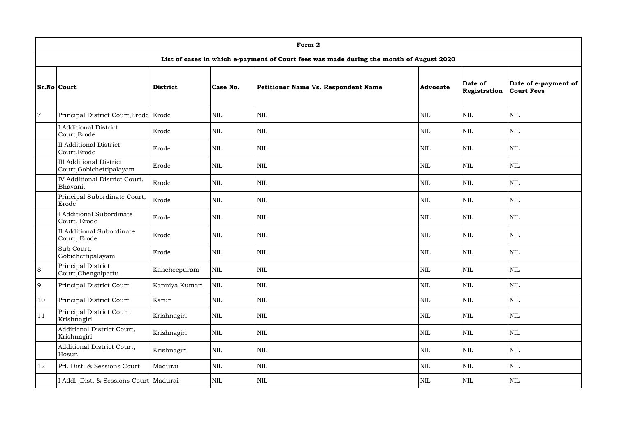|                | Form 2                                                     |                 |            |                                                                                         |                 |                         |                                           |  |  |  |  |  |
|----------------|------------------------------------------------------------|-----------------|------------|-----------------------------------------------------------------------------------------|-----------------|-------------------------|-------------------------------------------|--|--|--|--|--|
|                |                                                            |                 |            | List of cases in which e-payment of Court fees was made during the month of August 2020 |                 |                         |                                           |  |  |  |  |  |
|                | $Sr.No $ Court                                             | <b>District</b> | Case No.   | <b>Petitioner Name Vs. Respondent Name</b>                                              | <b>Advocate</b> | Date of<br>Registration | Date of e-payment of<br><b>Court Fees</b> |  |  |  |  |  |
| $\overline{7}$ | Principal District Court, Erode Erode                      |                 | <b>NIL</b> | $\mbox{NIL}$                                                                            | <b>NIL</b>      | <b>NIL</b>              | <b>NIL</b>                                |  |  |  |  |  |
|                | <b>Additional District</b><br>Court, Erode                 | Erode           | <b>NIL</b> | <b>NIL</b>                                                                              | <b>NIL</b>      | <b>NIL</b>              | <b>NIL</b>                                |  |  |  |  |  |
|                | <b>II</b> Additional District<br>Court, Erode              | Erode           | <b>NIL</b> | $\mbox{NIL}$                                                                            | <b>NIL</b>      | <b>NIL</b>              | <b>NIL</b>                                |  |  |  |  |  |
|                | <b>III Additional District</b><br>Court, Gobichettipalayam | Erode           | <b>NIL</b> | <b>NIL</b>                                                                              | <b>NIL</b>      | <b>NIL</b>              | <b>NIL</b>                                |  |  |  |  |  |
|                | <b>IV Additional District Court,</b><br>Bhavani.           | Erode           | <b>NIL</b> | <b>NIL</b>                                                                              | <b>NIL</b>      | <b>NIL</b>              | <b>NIL</b>                                |  |  |  |  |  |
|                | Principal Subordinate Court,<br>Erode                      | Erode           | <b>NIL</b> | $\mbox{NIL}$                                                                            | <b>NIL</b>      | <b>NIL</b>              | $\mbox{NIL}$                              |  |  |  |  |  |
|                | I Additional Subordinate<br>Court, Erode                   | Erode           | <b>NIL</b> | $\mbox{NIL}$                                                                            | <b>NIL</b>      | <b>NIL</b>              | <b>NIL</b>                                |  |  |  |  |  |
|                | II Additional Subordinate<br>Court, Erode                  | Erode           | <b>NIL</b> | $\mbox{NIL}$                                                                            | <b>NIL</b>      | <b>NIL</b>              | <b>NIL</b>                                |  |  |  |  |  |
|                | Sub Court,<br>Gobichettipalayam                            | Erode           | <b>NIL</b> | <b>NIL</b>                                                                              | <b>NIL</b>      | $\mbox{NIL}$            | $\mbox{NIL}$                              |  |  |  |  |  |
| 8              | Principal District<br>Court, Chengalpattu                  | Kancheepuram    | <b>NIL</b> | <b>NIL</b>                                                                              | <b>NIL</b>      | $\mbox{NIL}$            | $\mbox{NIL}$                              |  |  |  |  |  |
| 9              | Principal District Court                                   | Kanniya Kumari  | NIL        | $\mbox{NIL}$                                                                            | <b>NIL</b>      | <b>NIL</b>              | NIL                                       |  |  |  |  |  |
| 10             | Principal District Court                                   | Karur           | <b>NIL</b> | $\mbox{NIL}$                                                                            | <b>NIL</b>      | <b>NIL</b>              | <b>NIL</b>                                |  |  |  |  |  |
| 11             | Principal District Court,<br>Krishnagiri                   | Krishnagiri     | <b>NIL</b> | $\mbox{NIL}$                                                                            | NIL             | <b>NIL</b>              | NIL                                       |  |  |  |  |  |
|                | Additional District Court,<br>Krishnagiri                  | Krishnagiri     | <b>NIL</b> | $\mbox{NIL}$                                                                            | <b>NIL</b>      | <b>NIL</b>              | <b>NIL</b>                                |  |  |  |  |  |
|                | Additional District Court,<br>Hosur.                       | Krishnagiri     | <b>NIL</b> | $\mbox{NIL}$                                                                            | <b>NIL</b>      | <b>NIL</b>              | NIL                                       |  |  |  |  |  |
| 12             | Prl. Dist. & Sessions Court                                | Madurai         | <b>NIL</b> | $\mbox{NIL}$                                                                            | <b>NIL</b>      | <b>NIL</b>              | NIL                                       |  |  |  |  |  |
|                | I Addl. Dist. & Sessions Court   Madurai                   |                 | <b>NIL</b> | $\mbox{NIL}$                                                                            | <b>NIL</b>      | <b>NIL</b>              | NIL                                       |  |  |  |  |  |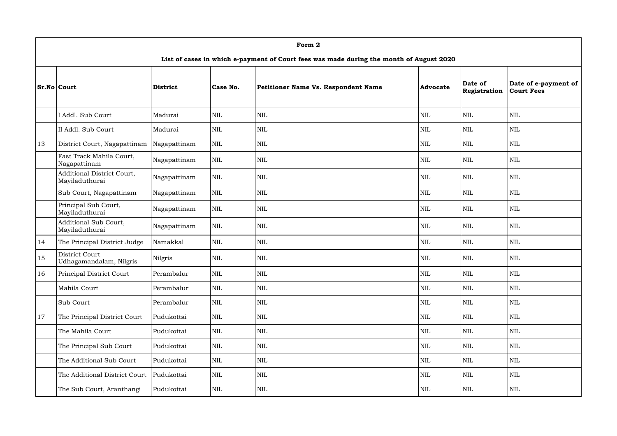|    | Form 2                                              |                 |              |                                                                                         |                 |                         |                                           |  |  |  |  |  |
|----|-----------------------------------------------------|-----------------|--------------|-----------------------------------------------------------------------------------------|-----------------|-------------------------|-------------------------------------------|--|--|--|--|--|
|    |                                                     |                 |              | List of cases in which e-payment of Court fees was made during the month of August 2020 |                 |                         |                                           |  |  |  |  |  |
|    | <b>Sr.No Court</b>                                  | <b>District</b> | Case No.     | Petitioner Name Vs. Respondent Name                                                     | <b>Advocate</b> | Date of<br>Registration | Date of e-payment of<br><b>Court Fees</b> |  |  |  |  |  |
|    | I Addl. Sub Court                                   | Madurai         | <b>NIL</b>   | <b>NIL</b>                                                                              | <b>NIL</b>      | <b>NIL</b>              | <b>NIL</b>                                |  |  |  |  |  |
|    | II Addl. Sub Court                                  | Madurai         | <b>NIL</b>   | <b>NIL</b>                                                                              | NIL             | <b>NIL</b>              | <b>NIL</b>                                |  |  |  |  |  |
| 13 | District Court, Nagapattinam                        | Nagapattinam    | <b>NIL</b>   | <b>NIL</b>                                                                              | <b>NIL</b>      | <b>NIL</b>              | <b>NIL</b>                                |  |  |  |  |  |
|    | Fast Track Mahila Court,<br>Nagapattinam            | Nagapattinam    | <b>NIL</b>   | $\mbox{NIL}$                                                                            | <b>NIL</b>      | <b>NIL</b>              | <b>NIL</b>                                |  |  |  |  |  |
|    | <b>Additional District Court,</b><br>Mayiladuthurai | Nagapattinam    | <b>NIL</b>   | <b>NIL</b>                                                                              | <b>NIL</b>      | <b>NIL</b>              | <b>NIL</b>                                |  |  |  |  |  |
|    | Sub Court, Nagapattinam                             | Nagapattinam    | <b>NIL</b>   | $\mbox{NIL}$                                                                            | <b>NIL</b>      | <b>NIL</b>              | <b>NIL</b>                                |  |  |  |  |  |
|    | Principal Sub Court,<br>Mayiladuthurai              | Nagapattinam    | <b>NIL</b>   | <b>NIL</b>                                                                              | <b>NIL</b>      | <b>NIL</b>              | <b>NIL</b>                                |  |  |  |  |  |
|    | Additional Sub Court,<br>Mayiladuthurai             | Nagapattinam    | <b>NIL</b>   | $\mbox{NIL}$                                                                            | <b>NIL</b>      | <b>NIL</b>              | <b>NIL</b>                                |  |  |  |  |  |
| 14 | The Principal District Judge                        | Namakkal        | <b>NIL</b>   | $\mbox{NIL}$                                                                            | <b>NIL</b>      | <b>NIL</b>              | <b>NIL</b>                                |  |  |  |  |  |
| 15 | District Court<br>Udhagamandalam, Nilgris           | Nilgris         | <b>NIL</b>   | <b>NIL</b>                                                                              | <b>NIL</b>      | <b>NIL</b>              | <b>NIL</b>                                |  |  |  |  |  |
| 16 | Principal District Court                            | Perambalur      | $\mbox{NIL}$ | $\mbox{NIL}$                                                                            | $\mbox{NIL}$    | $\mbox{NIL}$            | $\mbox{NIL}$                              |  |  |  |  |  |
|    | Mahila Court                                        | Perambalur      | <b>NIL</b>   | $\mbox{NIL}$                                                                            | <b>NIL</b>      | <b>NIL</b>              | NIL                                       |  |  |  |  |  |
|    | Sub Court                                           | Perambalur      | <b>NIL</b>   | $\mbox{NIL}$                                                                            | <b>NIL</b>      | $\mbox{NIL}$            | <b>NIL</b>                                |  |  |  |  |  |
| 17 | The Principal District Court                        | Pudukottai      | <b>NIL</b>   | $\mbox{NIL}$                                                                            | NIL             | $\mbox{NIL}$            | <b>NIL</b>                                |  |  |  |  |  |
|    | The Mahila Court                                    | Pudukottai      | <b>NIL</b>   | $\mbox{NIL}$                                                                            | <b>NIL</b>      | <b>NIL</b>              | NIL                                       |  |  |  |  |  |
|    | The Principal Sub Court                             | Pudukottai      | <b>NIL</b>   | $\mbox{NIL}$                                                                            | <b>NIL</b>      | <b>NIL</b>              | NIL                                       |  |  |  |  |  |
|    | The Additional Sub Court                            | Pudukottai      | $\mbox{NIL}$ | $\mbox{NIL}$                                                                            | <b>NIL</b>      | <b>NIL</b>              | <b>NIL</b>                                |  |  |  |  |  |
|    | The Additional District Court                       | Pudukottai      | <b>NIL</b>   | $\mbox{NIL}$                                                                            | <b>NIL</b>      | <b>NIL</b>              | NIL                                       |  |  |  |  |  |
|    | The Sub Court, Aranthangi                           | Pudukottai      | <b>NIL</b>   | NIL                                                                                     | NIL             | <b>NIL</b>              | <b>NIL</b>                                |  |  |  |  |  |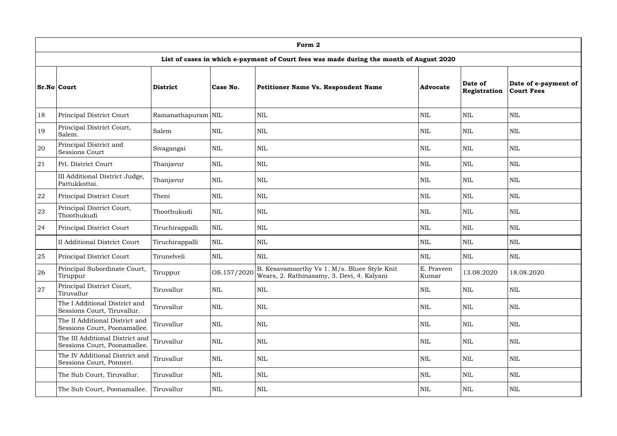|               | Form 2                                                          |                    |              |                                                                                            |                     |                         |                                           |  |  |  |  |  |
|---------------|-----------------------------------------------------------------|--------------------|--------------|--------------------------------------------------------------------------------------------|---------------------|-------------------------|-------------------------------------------|--|--|--|--|--|
|               |                                                                 |                    |              | List of cases in which e-payment of Court fees was made during the month of August 2020    |                     |                         |                                           |  |  |  |  |  |
|               | <b>Sr.No Court</b>                                              | <b>District</b>    | Case No.     | Petitioner Name Vs. Respondent Name                                                        | <b>Advocate</b>     | Date of<br>Registration | Date of e-payment of<br><b>Court Fees</b> |  |  |  |  |  |
| 18            | Principal District Court                                        | Ramanathapuram NIL |              | <b>NIL</b>                                                                                 | <b>NIL</b>          | <b>NIL</b>              | <b>NIL</b>                                |  |  |  |  |  |
| 19            | Principal District Court,<br>Salem.                             | Salem              | <b>NIL</b>   | <b>NIL</b>                                                                                 | <b>NIL</b>          | <b>NIL</b>              | <b>NIL</b>                                |  |  |  |  |  |
| 20            | Principal District and<br>Sessions Court                        | Sivagangai         | <b>NIL</b>   | <b>NIL</b>                                                                                 | NIL                 | <b>NIL</b>              | <b>NIL</b>                                |  |  |  |  |  |
| 21            | Prl. District Court                                             | Thanjavur          | <b>NIL</b>   | <b>NIL</b>                                                                                 | <b>NIL</b>          | <b>NIL</b>              | <b>NIL</b>                                |  |  |  |  |  |
|               | III Additional District Judge,<br>Pattukkottai.                 | Thanjavur          | <b>NIL</b>   | <b>NIL</b>                                                                                 | <b>NIL</b>          | <b>NIL</b>              | <b>NIL</b>                                |  |  |  |  |  |
| 22            | Principal District Court                                        | Theni              | <b>NIL</b>   | <b>NIL</b>                                                                                 | <b>NIL</b>          | <b>NIL</b>              | <b>NIL</b>                                |  |  |  |  |  |
| 23            | Principal District Court,<br>Thoothukudi                        | Thoothukudi        | <b>NIL</b>   | <b>NIL</b>                                                                                 | <b>NIL</b>          | <b>NIL</b>              | <b>NIL</b>                                |  |  |  |  |  |
| 24            | Principal District Court                                        | Tiruchirappalli    | <b>NIL</b>   | <b>NIL</b>                                                                                 | <b>NIL</b>          | <b>NIL</b>              | <b>NIL</b>                                |  |  |  |  |  |
|               | <b>II Additional District Court</b>                             | Tiruchirappalli    | <b>NIL</b>   | $\mbox{NIL}$                                                                               | <b>NIL</b>          | <b>NIL</b>              | <b>NIL</b>                                |  |  |  |  |  |
| 25            | Principal District Court                                        | Tirunelveli        | <b>NIL</b>   | <b>NIL</b>                                                                                 | <b>NIL</b>          | <b>NIL</b>              | <b>NIL</b>                                |  |  |  |  |  |
| <sup>26</sup> | Principal Subordinate Court,<br>Tiruppur                        | Tiruppur           | OS.157/2020  | B. Kesavamoorthy Vs 1. M/s. Bluee Style Knit<br>Wears, 2. Rathinasamy, 3. Devi, 4. Kalyani | E. Praveen<br>Kumar | 13.08.2020              | 18.08.2020                                |  |  |  |  |  |
| 27            | Principal District Court,<br>Tiruvallur                         | Tiruvallur         | <b>NIL</b>   | <b>NIL</b>                                                                                 | <b>NIL</b>          | <b>NIL</b>              | <b>NIL</b>                                |  |  |  |  |  |
|               | The I Additional District and<br>Sessions Court, Tiruvallur.    | Tiruvallur         | <b>NIL</b>   | <b>NIL</b>                                                                                 | <b>NIL</b>          | <b>NIL</b>              | <b>NIL</b>                                |  |  |  |  |  |
|               | The II Additional District and<br>Sessions Court, Poonamallee.  | Tiruvallur         | $\mbox{NIL}$ | $\mbox{NIL}$                                                                               | <b>NIL</b>          | <b>NIL</b>              | <b>NIL</b>                                |  |  |  |  |  |
|               | The III Additional District and<br>Sessions Court, Poonamallee. | Tiruvallur         | <b>NIL</b>   | $\mbox{NIL}$                                                                               | <b>NIL</b>          | <b>NIL</b>              | <b>NIL</b>                                |  |  |  |  |  |
|               | The IV Additional District and<br>Sessions Court, Ponneri.      | Tiruvallur         | <b>NIL</b>   | $\mbox{NIL}$                                                                               | <b>NIL</b>          | <b>NIL</b>              | <b>NIL</b>                                |  |  |  |  |  |
|               | The Sub Court, Tiruvallur.                                      | Tiruvallur         | <b>NIL</b>   | <b>NIL</b>                                                                                 | NIL                 | <b>NIL</b>              | <b>NIL</b>                                |  |  |  |  |  |
|               | The Sub Court, Poonamallee.                                     | Tiruvallur         | <b>NIL</b>   | $\mbox{NIL}$                                                                               | <b>NIL</b>          | <b>NIL</b>              | <b>NIL</b>                                |  |  |  |  |  |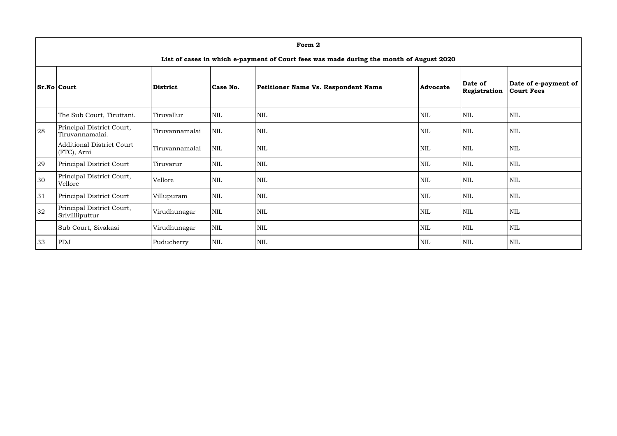|    | Form 2                                          |                 |              |                                                                                         |                 |                         |                                    |  |
|----|-------------------------------------------------|-----------------|--------------|-----------------------------------------------------------------------------------------|-----------------|-------------------------|------------------------------------|--|
|    |                                                 |                 |              | List of cases in which e-payment of Court fees was made during the month of August 2020 |                 |                         |                                    |  |
|    | <b>Sr.No Court</b>                              | <b>District</b> | Case No.     | <b>Petitioner Name Vs. Respondent Name</b>                                              | <b>Advocate</b> | Date of<br>Registration | Date of e-payment of<br>Court Fees |  |
|    | The Sub Court, Tiruttani.                       | Tiruvallur      | <b>NIL</b>   | $\mbox{NIL}$                                                                            | <b>NIL</b>      | <b>NIL</b>              | <b>NIL</b>                         |  |
| 28 | Principal District Court,<br>Tiruvannamalai.    | Tiruvannamalai  | <b>NIL</b>   | <b>NIL</b>                                                                              | <b>NIL</b>      | <b>NIL</b>              | <b>NIL</b>                         |  |
|    | <b>Additional District Court</b><br>(FTC), Arni | Tiruvannamalai  | $\mbox{NIL}$ | $\mbox{NIL}$                                                                            | <b>NIL</b>      | <b>NIL</b>              | $\mbox{NIL}$                       |  |
| 29 | Principal District Court                        | Tiruvarur       | <b>NIL</b>   | $\mbox{NIL}$                                                                            | <b>NIL</b>      | <b>NIL</b>              | <b>NIL</b>                         |  |
| 30 | Principal District Court,<br>Vellore            | Vellore         | <b>NIL</b>   | <b>NIL</b>                                                                              | <b>NIL</b>      | <b>NIL</b>              | $\mbox{NIL}$                       |  |
| 31 | Principal District Court                        | Villupuram      | <b>NIL</b>   | <b>NIL</b>                                                                              | <b>NIL</b>      | NIL                     | NIL                                |  |
| 32 | Principal District Court,<br>Srivillliputtur    | Virudhunagar    | <b>NIL</b>   | $\mbox{NIL}$                                                                            | <b>NIL</b>      | $\mbox{NIL}$            | <b>NIL</b>                         |  |
|    | Sub Court, Sivakasi                             | Virudhunagar    | <b>NIL</b>   | <b>NIL</b>                                                                              | <b>NIL</b>      | <b>NIL</b>              | <b>NIL</b>                         |  |
| 33 | PDJ                                             | Puducherry      | <b>NIL</b>   | <b>NIL</b>                                                                              | <b>NIL</b>      | <b>NIL</b>              | <b>NIL</b>                         |  |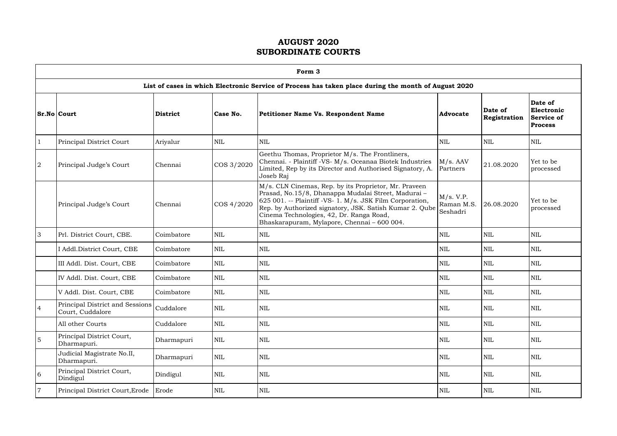|                | Form 3                                              |                 |            |                                                                                                                                                                                                                                                                                                                               |                                     |                                |                                                              |  |
|----------------|-----------------------------------------------------|-----------------|------------|-------------------------------------------------------------------------------------------------------------------------------------------------------------------------------------------------------------------------------------------------------------------------------------------------------------------------------|-------------------------------------|--------------------------------|--------------------------------------------------------------|--|
|                |                                                     |                 |            | List of cases in which Electronic Service of Process has taken place during the month of August 2020                                                                                                                                                                                                                          |                                     |                                |                                                              |  |
|                | <b>Sr.No Court</b>                                  | <b>District</b> | Case No.   | <b>Petitioner Name Vs. Respondent Name</b>                                                                                                                                                                                                                                                                                    | <b>Advocate</b>                     | Date of<br><b>Registration</b> | Date of<br>Electronic<br><b>Service of</b><br><b>Process</b> |  |
| $\mathbf{1}$   | Principal District Court                            | Ariyalur        | <b>NIL</b> | <b>NIL</b>                                                                                                                                                                                                                                                                                                                    | <b>NIL</b>                          | <b>NIL</b>                     | <b>NIL</b>                                                   |  |
| $\overline{2}$ | Principal Judge's Court                             | Chennai         | COS 3/2020 | Geethu Thomas, Proprietor M/s. The Frontliners,<br>Chennai. - Plaintiff -VS- M/s. Oceanaa Biotek Industries<br>Limited, Rep by its Director and Authorised Signatory, A.<br>Joseb Raj                                                                                                                                         | $M/s.$ AAV<br>Partners              | 21.08.2020                     | Yet to be<br>processed                                       |  |
|                | Principal Judge's Court                             | Chennai         | COS 4/2020 | M/s. CLN Cinemas, Rep. by its Proprietor, Mr. Praveen<br>Prasad, No.15/8, Dhanappa Mudalai Street, Madurai-<br>625 001. -- Plaintiff -VS- 1. M/s. JSK Film Corporation,<br>Rep. by Authorized signatory, JSK. Satish Kumar 2. Qube<br>Cinema Technologies, 42, Dr. Ranga Road,<br>Bhaskarapuram, Mylapore, Chennai – 600 004. | M/s. V.P.<br>Raman M.S.<br>Seshadri | 26.08.2020                     | Yet to be<br>processed                                       |  |
| 3              | Prl. District Court, CBE.                           | Coimbatore      | <b>NIL</b> | <b>NIL</b>                                                                                                                                                                                                                                                                                                                    | <b>NIL</b>                          | <b>NIL</b>                     | <b>NIL</b>                                                   |  |
|                | I Addl.District Court, CBE                          | Coimbatore      | <b>NIL</b> | <b>NIL</b>                                                                                                                                                                                                                                                                                                                    | <b>NIL</b>                          | <b>NIL</b>                     | <b>NIL</b>                                                   |  |
|                | III Addl. Dist. Court, CBE                          | Coimbatore      | <b>NIL</b> | <b>NIL</b>                                                                                                                                                                                                                                                                                                                    | <b>NIL</b>                          | <b>NIL</b>                     | <b>NIL</b>                                                   |  |
|                | IV Addl. Dist. Court, CBE                           | Coimbatore      | <b>NIL</b> | <b>NIL</b>                                                                                                                                                                                                                                                                                                                    | NIL                                 | <b>NIL</b>                     | <b>NIL</b>                                                   |  |
|                | V Addl. Dist. Court, CBE                            | Coimbatore      | <b>NIL</b> | <b>NIL</b>                                                                                                                                                                                                                                                                                                                    | <b>NIL</b>                          | <b>NIL</b>                     | <b>NIL</b>                                                   |  |
| $\overline{4}$ | Principal District and Sessions<br>Court, Cuddalore | Cuddalore       | NIL        | <b>NIL</b>                                                                                                                                                                                                                                                                                                                    | $\text{NIL}$                        | <b>NIL</b>                     | <b>NIL</b>                                                   |  |
|                | All other Courts                                    | Cuddalore       | NIL        | $\mbox{NIL}$                                                                                                                                                                                                                                                                                                                  | <b>NIL</b>                          | <b>NIL</b>                     | <b>NIL</b>                                                   |  |
| $\overline{5}$ | Principal District Court,<br>Dharmapuri.            | Dharmapuri      | NIL        | <b>NIL</b>                                                                                                                                                                                                                                                                                                                    | $\mbox{NIL}$                        | <b>NIL</b>                     | <b>NIL</b>                                                   |  |
|                | Judicial Magistrate No.II,<br>Dharmapuri.           | Dharmapuri      | NIL        | $\mbox{NIL}$                                                                                                                                                                                                                                                                                                                  | $\mbox{NIL}$                        | <b>NIL</b>                     | <b>NIL</b>                                                   |  |
| 6              | Principal District Court,<br>Dindigul               | Dindigul        | <b>NIL</b> | <b>NIL</b>                                                                                                                                                                                                                                                                                                                    | $\mbox{NIL}$                        | <b>NIL</b>                     | <b>NIL</b>                                                   |  |
| $\overline{7}$ | Principal District Court, Erode                     | Erode           | NIL        | $\mbox{NIL}$                                                                                                                                                                                                                                                                                                                  | NIL                                 | <b>NIL</b>                     | <b>NIL</b>                                                   |  |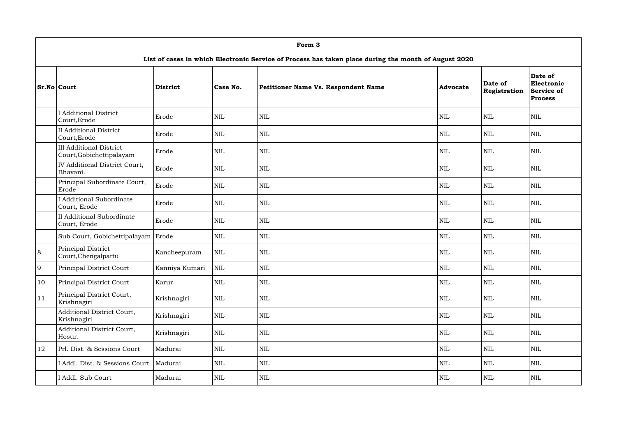|    | Form 3                                                     |                 |              |                                                                                                      |                 |                         |                                                              |  |
|----|------------------------------------------------------------|-----------------|--------------|------------------------------------------------------------------------------------------------------|-----------------|-------------------------|--------------------------------------------------------------|--|
|    |                                                            |                 |              | List of cases in which Electronic Service of Process has taken place during the month of August 2020 |                 |                         |                                                              |  |
|    | <b>Sr.No Court</b>                                         | <b>District</b> | Case No.     | Petitioner Name Vs. Respondent Name                                                                  | <b>Advocate</b> | Date of<br>Registration | Date of<br>Electronic<br><b>Service of</b><br><b>Process</b> |  |
|    | <b>I</b> Additional District<br>Court, Erode               | Erode           | <b>NIL</b>   | <b>NIL</b>                                                                                           | <b>NIL</b>      | $\mbox{NIL}$            | <b>NIL</b>                                                   |  |
|    | <b>II Additional District</b><br>Court, Erode              | Erode           | <b>NIL</b>   | <b>NIL</b>                                                                                           | <b>NIL</b>      | <b>NIL</b>              | <b>NIL</b>                                                   |  |
|    | <b>III Additional District</b><br>Court, Gobichettipalayam | Erode           | <b>NIL</b>   | <b>NIL</b>                                                                                           | <b>NIL</b>      | <b>NIL</b>              | <b>NIL</b>                                                   |  |
|    | IV Additional District Court,<br>Bhavani.                  | Erode           | <b>NIL</b>   | <b>NIL</b>                                                                                           | $\mbox{NIL}$    | $\text{NIL}$            | $\text{NIL}$                                                 |  |
|    | Principal Subordinate Court,<br>Erode                      | Erode           | <b>NIL</b>   | <b>NIL</b>                                                                                           | <b>NIL</b>      | <b>NIL</b>              | <b>NIL</b>                                                   |  |
|    | I Additional Subordinate<br>Court, Erode                   | Erode           | <b>NIL</b>   | <b>NIL</b>                                                                                           | <b>NIL</b>      | NIL                     | $\text{NIL}$                                                 |  |
|    | <b>II</b> Additional Subordinate<br>Court, Erode           | Erode           | <b>NIL</b>   | <b>NIL</b>                                                                                           | $\mbox{NIL}$    | $\mbox{NIL}$            | $\mbox{NIL}$                                                 |  |
|    | Sub Court, Gobichettipalayam                               | Erode           | $\mbox{NIL}$ | <b>NIL</b>                                                                                           | <b>NIL</b>      | $\text{NIL}$            | <b>NIL</b>                                                   |  |
| 8  | Principal District<br>Court, Chengalpattu                  | Kancheepuram    | <b>NIL</b>   | <b>NIL</b>                                                                                           | $\mbox{NIL}$    | $\text{NIL}$            | <b>NIL</b>                                                   |  |
| 9  | <b>Principal District Court</b>                            | Kanniya Kumari  | $\mbox{NIL}$ | <b>NIL</b>                                                                                           | $\mbox{NIL}$    | <b>NIL</b>              | <b>NIL</b>                                                   |  |
| 10 | <b>Principal District Court</b>                            | Karur           | $\mbox{NIL}$ | $\mbox{NIL}$                                                                                         | $\mbox{NIL}$    | $\mbox{NIL}$            | <b>NIL</b>                                                   |  |
| 11 | Principal District Court,<br>Krishnagiri                   | Krishnagiri     | $\mbox{NIL}$ | <b>NIL</b>                                                                                           | $\mbox{NIL}$    | $\mbox{NIL}$            | $\mbox{NIL}$                                                 |  |
|    | Additional District Court,<br>Krishnagiri                  | Krishnagiri     | <b>NIL</b>   | <b>NIL</b>                                                                                           | $\mbox{NIL}$    | $\mbox{NIL}$            | $\mbox{NIL}$                                                 |  |
|    | Additional District Court,<br>Hosur.                       | Krishnagiri     | $\mbox{NIL}$ | $\mbox{NIL}$                                                                                         | $\mbox{NIL}$    | $\mbox{NIL}$            | $\mbox{NIL}$                                                 |  |
| 12 | Prl. Dist. & Sessions Court                                | Madurai         | <b>NIL</b>   | <b>NIL</b>                                                                                           | $\mbox{NIL}$    | $\mbox{NIL}$            | $\mbox{NIL}$                                                 |  |
|    | I Addl. Dist. & Sessions Court                             | Madurai         | $\mbox{NIL}$ | <b>NIL</b>                                                                                           | $\mbox{NIL}$    | $\mbox{NIL}$            | <b>NIL</b>                                                   |  |
|    | I Addl. Sub Court                                          | Madurai         | <b>NIL</b>   | $\mbox{NIL}$                                                                                         | $\mbox{NIL}$    | $\mbox{NIL}$            | $\mbox{NIL}$                                                 |  |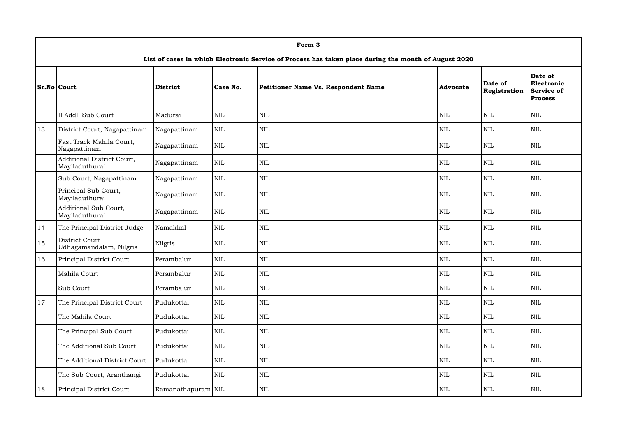|    | Form 3                                       |                    |              |                                                                                                      |                 |                         |                                                              |  |  |
|----|----------------------------------------------|--------------------|--------------|------------------------------------------------------------------------------------------------------|-----------------|-------------------------|--------------------------------------------------------------|--|--|
|    |                                              |                    |              | List of cases in which Electronic Service of Process has taken place during the month of August 2020 |                 |                         |                                                              |  |  |
|    | <b>Sr.No Court</b>                           | <b>District</b>    | Case No.     | Petitioner Name Vs. Respondent Name                                                                  | <b>Advocate</b> | Date of<br>Registration | Date of<br>Electronic<br><b>Service of</b><br><b>Process</b> |  |  |
|    | II Addl. Sub Court                           | Madurai            | $\mbox{NIL}$ | <b>NIL</b>                                                                                           | <b>NIL</b>      | <b>NIL</b>              | <b>NIL</b>                                                   |  |  |
| 13 | District Court, Nagapattinam                 | Nagapattinam       | <b>NIL</b>   | <b>NIL</b>                                                                                           | <b>NIL</b>      | <b>NIL</b>              | <b>NIL</b>                                                   |  |  |
|    | Fast Track Mahila Court,<br>Nagapattinam     | Nagapattinam       | <b>NIL</b>   | <b>NIL</b>                                                                                           | <b>NIL</b>      | <b>NIL</b>              | <b>NIL</b>                                                   |  |  |
|    | Additional District Court,<br>Mayiladuthurai | Nagapattinam       | <b>NIL</b>   | <b>NIL</b>                                                                                           | <b>NIL</b>      | <b>NIL</b>              | <b>NIL</b>                                                   |  |  |
|    | Sub Court, Nagapattinam                      | Nagapattinam       | <b>NIL</b>   | <b>NIL</b>                                                                                           | <b>NIL</b>      | $\text{NIL}$            | <b>NIL</b>                                                   |  |  |
|    | Principal Sub Court,<br>Mayiladuthurai       | Nagapattinam       | <b>NIL</b>   | <b>NIL</b>                                                                                           | <b>NIL</b>      | NIL                     | <b>NIL</b>                                                   |  |  |
|    | Additional Sub Court,<br>Mayiladuthurai      | Nagapattinam       | <b>NIL</b>   | <b>NIL</b>                                                                                           | <b>NIL</b>      | <b>NIL</b>              | <b>NIL</b>                                                   |  |  |
| 14 | The Principal District Judge                 | Namakkal           | <b>NIL</b>   | <b>NIL</b>                                                                                           | <b>NIL</b>      | <b>NIL</b>              | <b>NIL</b>                                                   |  |  |
| 15 | District Court<br>Udhagamandalam, Nilgris    | Nilgris            | $\mbox{NIL}$ | <b>NIL</b>                                                                                           | <b>NIL</b>      | <b>NIL</b>              | <b>NIL</b>                                                   |  |  |
| 16 | Principal District Court                     | Perambalur         | <b>NIL</b>   | <b>NIL</b>                                                                                           | <b>NIL</b>      | <b>NIL</b>              | <b>NIL</b>                                                   |  |  |
|    | Mahila Court                                 | Perambalur         | NIL          | $\mbox{NIL}$                                                                                         | $\mbox{NIL}$    | $\mbox{NIL}$            | <b>NIL</b>                                                   |  |  |
|    | Sub Court                                    | Perambalur         | $\mbox{NIL}$ | $\mbox{NIL}$                                                                                         | $\mbox{NIL}$    | $\mbox{NIL}$            | $\mbox{NIL}$                                                 |  |  |
| 17 | The Principal District Court                 | Pudukottai         | <b>NIL</b>   | $\mbox{NIL}$                                                                                         | $\mbox{NIL}$    | $\mbox{NIL}$            | <b>NIL</b>                                                   |  |  |
|    | The Mahila Court                             | Pudukottai         | $\mbox{NIL}$ | $\mbox{NIL}$                                                                                         | $\mbox{NIL}$    | $\mbox{NIL}$            | <b>NIL</b>                                                   |  |  |
|    | The Principal Sub Court                      | Pudukottai         | $\mbox{NIL}$ | $\mbox{NIL}$                                                                                         | $\mbox{NIL}$    | $\mbox{NIL}$            | $\mbox{NIL}$                                                 |  |  |
|    | The Additional Sub Court                     | Pudukottai         | NIL          | $\mbox{NIL}$                                                                                         | $\mbox{NIL}$    | $\mbox{NIL}$            | <b>NIL</b>                                                   |  |  |
|    | The Additional District Court                | Pudukottai         | $\mbox{NIL}$ | $\mbox{NIL}$                                                                                         | $\mbox{NIL}$    | $\rm NIL$               | <b>NIL</b>                                                   |  |  |
|    | The Sub Court, Aranthangi                    | Pudukottai         | <b>NIL</b>   | <b>NIL</b>                                                                                           | $\mbox{NIL}$    | NIL                     | <b>NIL</b>                                                   |  |  |
| 18 | Principal District Court                     | Ramanathapuram NIL |              | $\mbox{NIL}$                                                                                         | $\mbox{NIL}$    | $\mbox{NIL}$            | $\mbox{NIL}$                                                 |  |  |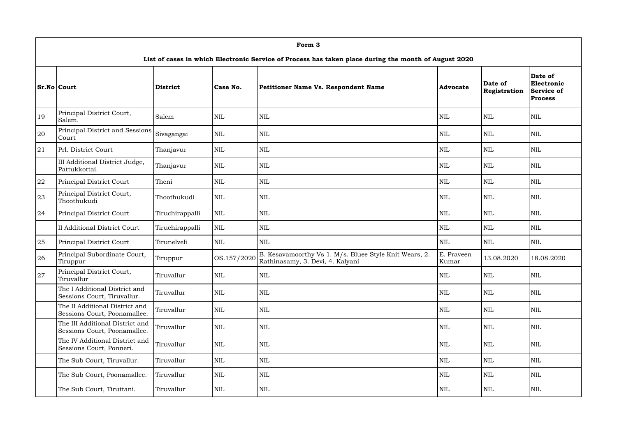|    |                                                                 |                 |              | Form 3                                                                                               |                     |                         |                                                              |
|----|-----------------------------------------------------------------|-----------------|--------------|------------------------------------------------------------------------------------------------------|---------------------|-------------------------|--------------------------------------------------------------|
|    |                                                                 |                 |              | List of cases in which Electronic Service of Process has taken place during the month of August 2020 |                     |                         |                                                              |
|    | <b>Sr.No Court</b>                                              | <b>District</b> | Case No.     | <b>Petitioner Name Vs. Respondent Name</b>                                                           | <b>Advocate</b>     | Date of<br>Registration | Date of<br>Electronic<br><b>Service of</b><br><b>Process</b> |
| 19 | Principal District Court,<br>Salem.                             | Salem           | <b>NIL</b>   | <b>NIL</b>                                                                                           | <b>NIL</b>          | <b>NIL</b>              | <b>NIL</b>                                                   |
| 20 | Principal District and Sessions<br>Court                        | Sivagangai      | <b>NIL</b>   | <b>NIL</b>                                                                                           | <b>NIL</b>          | NIL                     | <b>NIL</b>                                                   |
| 21 | Prl. District Court                                             | Thanjavur       | <b>NIL</b>   | <b>NIL</b>                                                                                           | <b>NIL</b>          | <b>NIL</b>              | <b>NIL</b>                                                   |
|    | III Additional District Judge,<br>Pattukkottai.                 | Thanjavur       | <b>NIL</b>   | <b>NIL</b>                                                                                           | <b>NIL</b>          | <b>NIL</b>              | <b>NIL</b>                                                   |
| 22 | Principal District Court                                        | Theni           | $\mbox{NIL}$ | <b>NIL</b>                                                                                           | <b>NIL</b>          | <b>NIL</b>              | <b>NIL</b>                                                   |
| 23 | Principal District Court,<br>Thoothukudi                        | Thoothukudi     | <b>NIL</b>   | <b>NIL</b>                                                                                           | <b>NIL</b>          | <b>NIL</b>              | <b>NIL</b>                                                   |
| 24 | Principal District Court                                        | Tiruchirappalli | <b>NIL</b>   | <b>NIL</b>                                                                                           | $\mbox{NIL}$        | <b>NIL</b>              | <b>NIL</b>                                                   |
|    | <b>II Additional District Court</b>                             | Tiruchirappalli | $\mbox{NIL}$ | <b>NIL</b>                                                                                           | <b>NIL</b>          | <b>NIL</b>              | <b>NIL</b>                                                   |
| 25 | Principal District Court                                        | Tirunelveli     | $\mbox{NIL}$ | <b>NIL</b>                                                                                           | <b>NIL</b>          | $\text{NIL}$            | <b>NIL</b>                                                   |
| 26 | Principal Subordinate Court,<br>Tiruppur                        | Tiruppur        | OS.157/2020  | B. Kesavamoorthy Vs 1. M/s. Bluee Style Knit Wears, 2.<br>Rathinasamy, 3. Devi, 4. Kalyani           | E. Praveen<br>Kumar | 13.08.2020              | 18.08.2020                                                   |
| 27 | Principal District Court,<br>Tiruvallur                         | Tiruvallur      | $\mbox{NIL}$ | $\mbox{NIL}$                                                                                         | $\mbox{NIL}$        | $\mbox{NIL}$            | <b>NIL</b>                                                   |
|    | The I Additional District and<br>Sessions Court, Tiruvallur.    | Tiruvallur      | <b>NIL</b>   | $\mbox{NIL}$                                                                                         | $\mbox{NIL}$        | $\mbox{NIL}$            | <b>NIL</b>                                                   |
|    | The II Additional District and<br>Sessions Court, Poonamallee.  | Tiruvallur      | <b>NIL</b>   | $\mbox{NIL}$                                                                                         | <b>NIL</b>          | <b>NIL</b>              | <b>NIL</b>                                                   |
|    | The III Additional District and<br>Sessions Court, Poonamallee. | Tiruvallur      | <b>NIL</b>   | <b>NIL</b>                                                                                           | $\mbox{NIL}$        | $\mbox{NIL}$            | <b>NIL</b>                                                   |
|    | The IV Additional District and<br>Sessions Court, Ponneri.      | Tiruvallur      | $\mbox{NIL}$ | <b>NIL</b>                                                                                           | <b>NIL</b>          | <b>NIL</b>              | <b>NIL</b>                                                   |
|    | The Sub Court, Tiruvallur.                                      | Tiruvallur      | $\mbox{NIL}$ | <b>NIL</b>                                                                                           | $\mbox{NIL}$        | $\mbox{NIL}$            | <b>NIL</b>                                                   |
|    | The Sub Court, Poonamallee.                                     | Tiruvallur      | $\mbox{NIL}$ | <b>NIL</b>                                                                                           | $\mbox{NIL}$        | $\mbox{NIL}$            | <b>NIL</b>                                                   |
|    | The Sub Court, Tiruttani.                                       | Tiruvallur      | <b>NIL</b>   | $\mbox{NIL}$                                                                                         | <b>NIL</b>          | $\mbox{NIL}$            | $\mbox{NIL}$                                                 |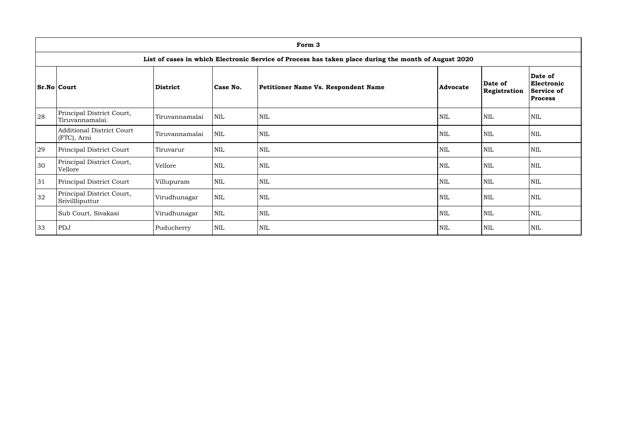|    | Form 3                                          |                 |              |                                                                                                      |                 |                         |                                                              |  |
|----|-------------------------------------------------|-----------------|--------------|------------------------------------------------------------------------------------------------------|-----------------|-------------------------|--------------------------------------------------------------|--|
|    |                                                 |                 |              | List of cases in which Electronic Service of Process has taken place during the month of August 2020 |                 |                         |                                                              |  |
|    | Sr.No Court                                     | <b>District</b> | Case No.     | Petitioner Name Vs. Respondent Name                                                                  | <b>Advocate</b> | Date of<br>Registration | Date of<br>Electronic<br><b>Service of</b><br><b>Process</b> |  |
| 28 | Principal District Court,<br>Tiruvannamalai.    | Tiruvannamalai  | <b>NIL</b>   | <b>NIL</b>                                                                                           | <b>NIL</b>      | $\mbox{NIL}$            | <b>NIL</b>                                                   |  |
|    | <b>Additional District Court</b><br>(FTC), Arni | Tiruvannamalai  | <b>NIL</b>   | <b>NIL</b>                                                                                           | <b>NIL</b>      | <b>NIL</b>              | <b>NIL</b>                                                   |  |
| 29 | <b>Principal District Court</b>                 | Tiruvarur       | <b>NIL</b>   | <b>NIL</b>                                                                                           | <b>NIL</b>      | <b>NIL</b>              | <b>NIL</b>                                                   |  |
| 30 | Principal District Court,<br>Vellore            | Vellore         | <b>NIL</b>   | <b>NIL</b>                                                                                           | <b>NIL</b>      | <b>NIL</b>              | <b>NIL</b>                                                   |  |
| 31 | <b>Principal District Court</b>                 | Villupuram      | <b>NIL</b>   | <b>NIL</b>                                                                                           | <b>NIL</b>      | <b>NIL</b>              | <b>NIL</b>                                                   |  |
| 32 | Principal District Court,<br>Srivillliputtur    | Virudhunagar    | $\mbox{NIL}$ | <b>NIL</b>                                                                                           | $\mbox{NIL}$    | $\mbox{NIL}$            | <b>NIL</b>                                                   |  |
|    | Sub Court, Sivakasi                             | Virudhunagar    | <b>NIL</b>   | <b>NIL</b>                                                                                           | <b>NIL</b>      | <b>NIL</b>              | <b>NIL</b>                                                   |  |
| 33 | PDJ                                             | Puducherry      | <b>NIL</b>   | <b>NIL</b>                                                                                           | $\mbox{NIL}$    | <b>NIL</b>              | <b>NIL</b>                                                   |  |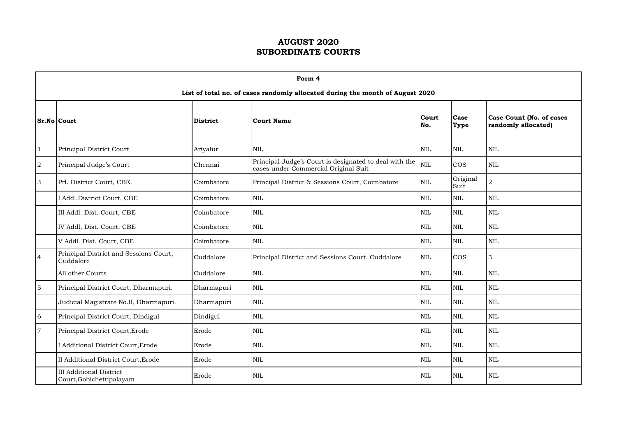|                  | Form 4                                                     |                 |                                                                                                |              |                            |                                                        |  |  |
|------------------|------------------------------------------------------------|-----------------|------------------------------------------------------------------------------------------------|--------------|----------------------------|--------------------------------------------------------|--|--|
|                  |                                                            |                 | List of total no. of cases randomly allocated during the month of August 2020                  |              |                            |                                                        |  |  |
|                  | $Sr.No $ Court                                             | <b>District</b> | <b>Court Name</b>                                                                              | Court<br>No. | <b>Case</b><br><b>Type</b> | <b>Case Count (No. of cases</b><br>randomly allocated) |  |  |
|                  | Principal District Court                                   | Ariyalur        | <b>NIL</b>                                                                                     | $\mbox{NIL}$ | <b>NIL</b>                 | <b>NIL</b>                                             |  |  |
| $\boldsymbol{2}$ | Principal Judge's Court                                    | Chennai         | Principal Judge's Court is designated to deal with the<br>cases under Commercial Original Suit | <b>NIL</b>   | <b>COS</b>                 | $\mbox{NIL}$                                           |  |  |
| 3                | Prl. District Court, CBE.                                  | Coimbatore      | Principal District & Sessions Court, Coimbatore                                                | $\mbox{NIL}$ | Original<br>Suit           | $\sqrt{2}$                                             |  |  |
|                  | I Addl.District Court, CBE                                 | Coimbatore      | <b>NIL</b>                                                                                     | $\mbox{NIL}$ | <b>NIL</b>                 | <b>NIL</b>                                             |  |  |
|                  | III Addl. Dist. Court, CBE                                 | Coimbatore      | <b>NIL</b>                                                                                     | NIL          | <b>NIL</b>                 | <b>NIL</b>                                             |  |  |
|                  | IV Addl. Dist. Court, CBE                                  | Coimbatore      | <b>NIL</b>                                                                                     | $\mbox{NIL}$ | <b>NIL</b>                 | <b>NIL</b>                                             |  |  |
|                  | V Addl. Dist. Court, CBE                                   | Coimbatore      | $\mbox{NIL}$                                                                                   | $\mbox{NIL}$ | <b>NIL</b>                 | <b>NIL</b>                                             |  |  |
| $\overline{4}$   | Principal District and Sessions Court,<br>Cuddalore        | Cuddalore       | Principal District and Sessions Court, Cuddalore                                               | $\mbox{NIL}$ | <b>COS</b>                 | $\mathfrak{Z}$                                         |  |  |
|                  | All other Courts                                           | Cuddalore       | $\mbox{NIL}$                                                                                   | <b>NIL</b>   | <b>NIL</b>                 | <b>NIL</b>                                             |  |  |
| 5                | Principal District Court, Dharmapuri.                      | Dharmapuri      | <b>NIL</b>                                                                                     | <b>NIL</b>   | $\mbox{NIL}$               | <b>NIL</b>                                             |  |  |
|                  | Judicial Magistrate No.II, Dharmapuri.                     | Dharmapuri      | <b>NIL</b>                                                                                     | $\mbox{NIL}$ | <b>NIL</b>                 | <b>NIL</b>                                             |  |  |
| 6                | Principal District Court, Dindigul                         | Dindigul        | <b>NIL</b>                                                                                     | $\mbox{NIL}$ | <b>NIL</b>                 | <b>NIL</b>                                             |  |  |
| $\overline{7}$   | Principal District Court, Erode                            | Erode           | <b>NIL</b>                                                                                     | NIL          | <b>NIL</b>                 | <b>NIL</b>                                             |  |  |
|                  | I Additional District Court, Erode                         | Erode           | <b>NIL</b>                                                                                     | NIL          | <b>NIL</b>                 | $\mbox{NIL}$                                           |  |  |
|                  | II Additional District Court, Erode                        | Erode           | <b>NIL</b>                                                                                     | NIL          | <b>NIL</b>                 | <b>NIL</b>                                             |  |  |
|                  | <b>III Additional District</b><br>Court, Gobichettipalayam | Erode           | $\mbox{NIL}$                                                                                   | NIL          | NIL                        | $\mbox{NIL}$                                           |  |  |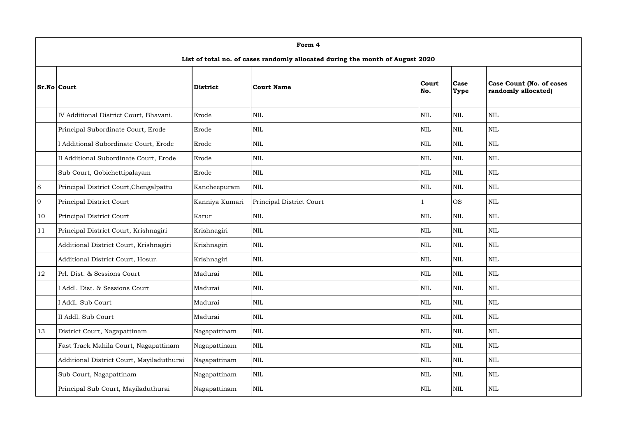|       |                                                                               |                 | Form 4                   |              |                     |                                                        |  |  |
|-------|-------------------------------------------------------------------------------|-----------------|--------------------------|--------------|---------------------|--------------------------------------------------------|--|--|
|       | List of total no. of cases randomly allocated during the month of August 2020 |                 |                          |              |                     |                                                        |  |  |
|       | <b>Sr.No Court</b>                                                            | <b>District</b> | <b>Court Name</b>        | Court<br>No. | Case<br><b>Type</b> | <b>Case Count (No. of cases</b><br>randomly allocated) |  |  |
|       | IV Additional District Court, Bhavani.                                        | Erode           | <b>NIL</b>               | <b>NIL</b>   | $\mbox{NIL}$        | <b>NIL</b>                                             |  |  |
|       | Principal Subordinate Court, Erode                                            | Erode           | <b>NIL</b>               | <b>NIL</b>   | <b>NIL</b>          | <b>NIL</b>                                             |  |  |
|       | I Additional Subordinate Court, Erode                                         | Erode           | <b>NIL</b>               | <b>NIL</b>   | <b>NIL</b>          | <b>NIL</b>                                             |  |  |
|       | II Additional Subordinate Court, Erode                                        | Erode           | <b>NIL</b>               | <b>NIL</b>   | <b>NIL</b>          | <b>NIL</b>                                             |  |  |
|       | Sub Court, Gobichettipalayam                                                  | Erode           | <b>NIL</b>               | $\mbox{NIL}$ | <b>NIL</b>          | <b>NIL</b>                                             |  |  |
| $8\,$ | Principal District Court, Chengalpattu                                        | Kancheepuram    | $\text{NIL}$             | <b>NIL</b>   | <b>NIL</b>          | <b>NIL</b>                                             |  |  |
| 9     | Principal District Court                                                      | Kanniya Kumari  | Principal District Court |              | <b>OS</b>           | <b>NIL</b>                                             |  |  |
| 10    | Principal District Court                                                      | Karur           | <b>NIL</b>               | $\mbox{NIL}$ | <b>NIL</b>          | <b>NIL</b>                                             |  |  |
| 11    | Principal District Court, Krishnagiri                                         | Krishnagiri     | <b>NIL</b>               | <b>NIL</b>   | <b>NIL</b>          | <b>NIL</b>                                             |  |  |
|       | Additional District Court, Krishnagiri                                        | Krishnagiri     | <b>NIL</b>               | <b>NIL</b>   | <b>NIL</b>          | <b>NIL</b>                                             |  |  |
|       | Additional District Court, Hosur.                                             | Krishnagiri     | <b>NIL</b>               | $\mbox{NIL}$ | <b>NIL</b>          | <b>NIL</b>                                             |  |  |
| 12    | Prl. Dist. & Sessions Court                                                   | Madurai         | $\mbox{NIL}$             | $\mbox{NIL}$ | $\mbox{NIL}$        | $\mbox{NIL}$                                           |  |  |
|       | I Addl. Dist. & Sessions Court                                                | Madurai         | $\mbox{NIL}$             | $\mbox{NIL}$ | <b>NIL</b>          | <b>NIL</b>                                             |  |  |
|       | I Addl. Sub Court                                                             | Madurai         | <b>NIL</b>               | $\mbox{NIL}$ | <b>NIL</b>          | <b>NIL</b>                                             |  |  |
|       | II Addl. Sub Court                                                            | Madurai         | <b>NIL</b>               | $\mbox{NIL}$ | <b>NIL</b>          | $\mbox{NIL}$                                           |  |  |
| 13    | District Court, Nagapattinam                                                  | Nagapattinam    | $\mbox{NIL}$             | $\mbox{NIL}$ | <b>NIL</b>          | <b>NIL</b>                                             |  |  |
|       | Fast Track Mahila Court, Nagapattinam                                         | Nagapattinam    | $\mbox{NIL}$             | $\mbox{NIL}$ | <b>NIL</b>          | <b>NIL</b>                                             |  |  |
|       | Additional District Court, Mayiladuthurai                                     | Nagapattinam    | $\mbox{NIL}$             | $\mbox{NIL}$ | <b>NIL</b>          | $\mbox{NIL}$                                           |  |  |
|       | Sub Court, Nagapattinam                                                       | Nagapattinam    | $\mbox{NIL}$             | $\mbox{NIL}$ | <b>NIL</b>          | <b>NIL</b>                                             |  |  |
|       | Principal Sub Court, Mayiladuthurai                                           | Nagapattinam    | $\mbox{NIL}$             | $\mbox{NIL}$ | <b>NIL</b>          | <b>NIL</b>                                             |  |  |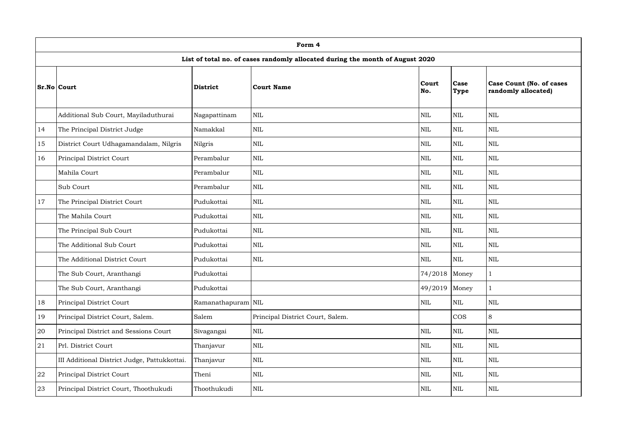|    |                                              |                    | Form 4                                                                        |                 |              |                                                        |
|----|----------------------------------------------|--------------------|-------------------------------------------------------------------------------|-----------------|--------------|--------------------------------------------------------|
|    |                                              |                    | List of total no. of cases randomly allocated during the month of August 2020 |                 |              |                                                        |
|    | <b>Sr.No Court</b>                           | <b>District</b>    | <b>Court Name</b>                                                             | Court<br>No.    | Case<br>Type | <b>Case Count (No. of cases</b><br>randomly allocated) |
|    | Additional Sub Court, Mayiladuthurai         | Nagapattinam       | <b>NIL</b>                                                                    | <b>NIL</b>      | $\mbox{NIL}$ | <b>NIL</b>                                             |
| 14 | The Principal District Judge                 | Namakkal           | $\mbox{NIL}$                                                                  | <b>NIL</b>      | <b>NIL</b>   | <b>NIL</b>                                             |
| 15 | District Court Udhagamandalam, Nilgris       | Nilgris            | <b>NIL</b>                                                                    | <b>NIL</b>      | <b>NIL</b>   | <b>NIL</b>                                             |
| 16 | Principal District Court                     | Perambalur         | $\mbox{NIL}$                                                                  | <b>NIL</b>      | <b>NIL</b>   | <b>NIL</b>                                             |
|    | Mahila Court                                 | Perambalur         | <b>NIL</b>                                                                    | $\mbox{NIL}$    | <b>NIL</b>   | <b>NIL</b>                                             |
|    | Sub Court                                    | Perambalur         | <b>NIL</b>                                                                    | <b>NIL</b>      | <b>NIL</b>   | <b>NIL</b>                                             |
| 17 | The Principal District Court                 | Pudukottai         | <b>NIL</b>                                                                    | <b>NIL</b>      | <b>NIL</b>   | <b>NIL</b>                                             |
|    | The Mahila Court                             | Pudukottai         | <b>NIL</b>                                                                    | $\mbox{NIL}$    | <b>NIL</b>   | <b>NIL</b>                                             |
|    | The Principal Sub Court                      | Pudukottai         | <b>NIL</b>                                                                    | <b>NIL</b>      | <b>NIL</b>   | <b>NIL</b>                                             |
|    | The Additional Sub Court                     | Pudukottai         | <b>NIL</b>                                                                    | <b>NIL</b>      | <b>NIL</b>   | <b>NIL</b>                                             |
|    | The Additional District Court                | Pudukottai         | <b>NIL</b>                                                                    | $\mbox{NIL}$    | <b>NIL</b>   | <b>NIL</b>                                             |
|    | The Sub Court, Aranthangi                    | Pudukottai         |                                                                               | $74/2018$ Money |              |                                                        |
|    | The Sub Court, Aranthangi                    | Pudukottai         |                                                                               | $49/2019$ Money |              | 1                                                      |
| 18 | Principal District Court                     | Ramanathapuram NIL |                                                                               | $\mbox{NIL}$    | <b>NIL</b>   | <b>NIL</b>                                             |
| 19 | Principal District Court, Salem.             | Salem              | Principal District Court, Salem.                                              |                 | <b>COS</b>   | 8                                                      |
| 20 | Principal District and Sessions Court        | Sivagangai         | $\mbox{NIL}$                                                                  | $\mbox{NIL}$    | <b>NIL</b>   | <b>NIL</b>                                             |
| 21 | Prl. District Court                          | Thanjavur          | <b>NIL</b>                                                                    | $\mbox{NIL}$    | <b>NIL</b>   | <b>NIL</b>                                             |
|    | III Additional District Judge, Pattukkottai. | Thanjavur          | $\mbox{NIL}$                                                                  | $\mbox{NIL}$    | <b>NIL</b>   | $\mbox{NIL}$                                           |
| 22 | Principal District Court                     | Theni              | <b>NIL</b>                                                                    | $\mbox{NIL}$    | <b>NIL</b>   | <b>NIL</b>                                             |
| 23 | Principal District Court, Thoothukudi        | Thoothukudi        | <b>NIL</b>                                                                    | $\mbox{NIL}$    | <b>NIL</b>   | <b>NIL</b>                                             |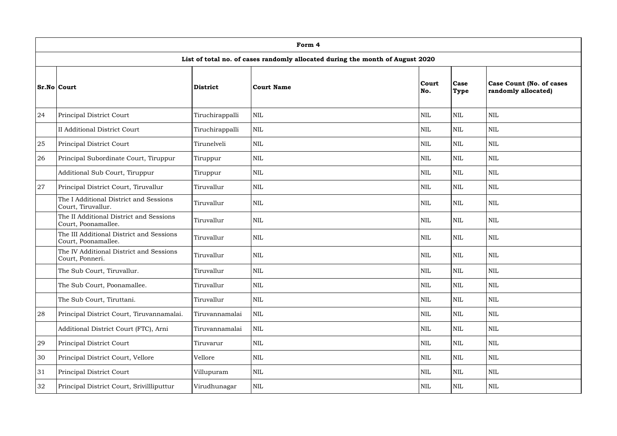|    |                                                                               |                 | Form 4            |              |                     |                                                        |  |  |  |
|----|-------------------------------------------------------------------------------|-----------------|-------------------|--------------|---------------------|--------------------------------------------------------|--|--|--|
|    | List of total no. of cases randomly allocated during the month of August 2020 |                 |                   |              |                     |                                                        |  |  |  |
|    | $Sr.No $ Court                                                                | District        | <b>Court Name</b> | Court<br>No. | <b>Case</b><br>Type | <b>Case Count (No. of cases</b><br>randomly allocated) |  |  |  |
| 24 | Principal District Court                                                      | Tiruchirappalli | $\mbox{NIL}$      | <b>NIL</b>   | <b>NIL</b>          | $\mbox{NIL}$                                           |  |  |  |
|    | <b>II Additional District Court</b>                                           | Tiruchirappalli | $\mbox{NIL}$      | <b>NIL</b>   | <b>NIL</b>          | <b>NIL</b>                                             |  |  |  |
| 25 | Principal District Court                                                      | Tirunelveli     | $\mbox{NIL}$      | <b>NIL</b>   | <b>NIL</b>          | <b>NIL</b>                                             |  |  |  |
| 26 | Principal Subordinate Court, Tiruppur                                         | Tiruppur        | $\text{NIL}$      | <b>NIL</b>   | <b>NIL</b>          | <b>NIL</b>                                             |  |  |  |
|    | Additional Sub Court, Tiruppur                                                | Tiruppur        | $\text{NIL}$      | <b>NIL</b>   | <b>NIL</b>          | $\mbox{NIL}$                                           |  |  |  |
| 27 | Principal District Court, Tiruvallur                                          | Tiruvallur      | $\mbox{NIL}$      | <b>NIL</b>   | <b>NIL</b>          | <b>NIL</b>                                             |  |  |  |
|    | The I Additional District and Sessions<br>Court, Tiruvallur.                  | Tiruvallur      | $\mbox{NIL}$      | <b>NIL</b>   | <b>NIL</b>          | <b>NIL</b>                                             |  |  |  |
|    | The II Additional District and Sessions<br>Court, Poonamallee.                | Tiruvallur      | $\mbox{NIL}$      | <b>NIL</b>   | <b>NIL</b>          | <b>NIL</b>                                             |  |  |  |
|    | The III Additional District and Sessions<br>Court, Poonamallee.               | Tiruvallur      | $\mbox{NIL}$      | <b>NIL</b>   | <b>NIL</b>          | <b>NIL</b>                                             |  |  |  |
|    | The IV Additional District and Sessions<br>Court, Ponneri.                    | Tiruvallur      | $\mbox{NIL}$      | <b>NIL</b>   | <b>NIL</b>          | <b>NIL</b>                                             |  |  |  |
|    | The Sub Court, Tiruvallur.                                                    | Tiruvallur      | $\mbox{NIL}$      | $\mbox{NIL}$ | $\mbox{NIL}$        | $\mbox{NIL}$                                           |  |  |  |
|    | The Sub Court, Poonamallee.                                                   | Tiruvallur      | $\mbox{NIL}$      | $\mbox{NIL}$ | <b>NIL</b>          | $\mbox{NIL}$                                           |  |  |  |
|    | The Sub Court, Tiruttani.                                                     | Tiruvallur      | $\mbox{NIL}$      | <b>NIL</b>   | <b>NIL</b>          | <b>NIL</b>                                             |  |  |  |
| 28 | Principal District Court, Tiruvannamalai.                                     | Tiruvannamalai  | $\mbox{NIL}$      | <b>NIL</b>   | <b>NIL</b>          | <b>NIL</b>                                             |  |  |  |
|    | Additional District Court (FTC), Arni                                         | Tiruvannamalai  | $\mbox{NIL}$      | $\mbox{NIL}$ | <b>NIL</b>          | $\mbox{NIL}$                                           |  |  |  |
| 29 | Principal District Court                                                      | Tiruvarur       | $\mbox{NIL}$      | <b>NIL</b>   | <b>NIL</b>          | <b>NIL</b>                                             |  |  |  |
| 30 | Principal District Court, Vellore                                             | Vellore         | $\mbox{NIL}$      | <b>NIL</b>   | <b>NIL</b>          | <b>NIL</b>                                             |  |  |  |
| 31 | Principal District Court                                                      | Villupuram      | $\mbox{NIL}$      | $\mbox{NIL}$ | <b>NIL</b>          | $\mbox{NIL}$                                           |  |  |  |
| 32 | Principal District Court, Srivillliputtur                                     | Virudhunagar    | $\mbox{NIL}$      | <b>NIL</b>   | <b>NIL</b>          | <b>NIL</b>                                             |  |  |  |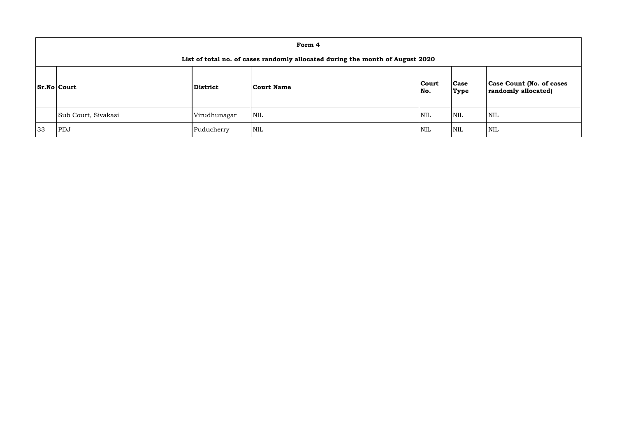|    | Form 4                                                                        |                 |                   |              |                     |            |  |  |  |
|----|-------------------------------------------------------------------------------|-----------------|-------------------|--------------|---------------------|------------|--|--|--|
|    | List of total no. of cases randomly allocated during the month of August 2020 |                 |                   |              |                     |            |  |  |  |
|    | <b>Sr.No Court</b>                                                            | <b>District</b> | <b>Court Name</b> | Court<br>No. | <b>Case</b><br>Type | Cas<br>ran |  |  |  |
|    | Sub Court, Sivakasi                                                           | Virudhunagar    | <b>NIL</b>        | <b>NIL</b>   | <b>NIL</b>          | NIL        |  |  |  |
| 33 | PDJ                                                                           | Puducherry      | <b>NIL</b>        | <b>NIL</b>   | <b>NIL</b>          | NIL        |  |  |  |

| ₿<br>e | <b>Case Count (No. of cases</b><br>randomly allocated) |
|--------|--------------------------------------------------------|
|        | <b>NIL</b>                                             |
|        |                                                        |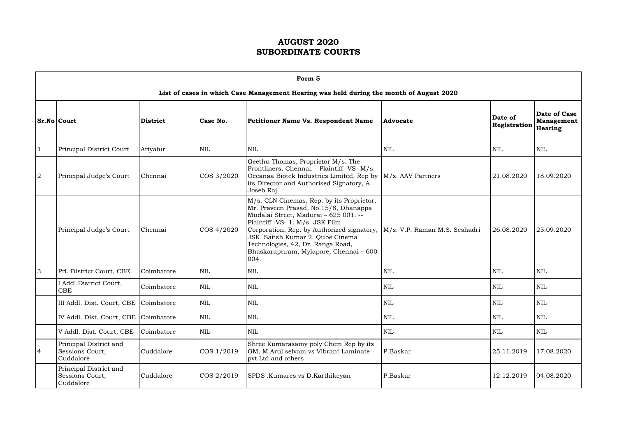|                  | Form 5                                                                                  |                 |              |                                                                                                                                                                                                                                                                                                                                         |                               |                         |                                              |  |  |  |
|------------------|-----------------------------------------------------------------------------------------|-----------------|--------------|-----------------------------------------------------------------------------------------------------------------------------------------------------------------------------------------------------------------------------------------------------------------------------------------------------------------------------------------|-------------------------------|-------------------------|----------------------------------------------|--|--|--|
|                  | List of cases in which Case Management Hearing was held during the month of August 2020 |                 |              |                                                                                                                                                                                                                                                                                                                                         |                               |                         |                                              |  |  |  |
|                  | Sr.No Court                                                                             | <b>District</b> | Case No.     | <b>Petitioner Name Vs. Respondent Name</b>                                                                                                                                                                                                                                                                                              | <b>Advocate</b>               | Date of<br>Registration | Date of Case<br><b>Management</b><br>Hearing |  |  |  |
|                  | Principal District Court                                                                | Ariyalur        | <b>NIL</b>   | <b>NIL</b>                                                                                                                                                                                                                                                                                                                              | <b>NIL</b>                    | <b>NIL</b>              | <b>NIL</b>                                   |  |  |  |
| $\boldsymbol{2}$ | Principal Judge's Court                                                                 | Chennai         | COS 3/2020   | Geethu Thomas, Proprietor M/s. The<br>Frontliners, Chennai. - Plaintiff -VS- M/s.<br>Oceanaa Biotek Industries Limited, Rep by<br>its Director and Authorised Signatory, A.<br>Joseb Raj                                                                                                                                                | M/s. AAV Partners             | 21.08.2020              | 18.09.2020                                   |  |  |  |
|                  | Principal Judge's Court                                                                 | Chennai         | COS 4/2020   | M/s. CLN Cinemas, Rep. by its Proprietor,<br>Mr. Praveen Prasad, No.15/8, Dhanappa<br>Mudalai Street, Madurai - 625 001. --<br>Plaintiff -VS- 1. M/s. JSK Film<br>Corporation, Rep. by Authorized signatory,<br>JSK. Satish Kumar 2. Qube Cinema<br>Technologies, 42, Dr. Ranga Road,<br>Bhaskarapuram, Mylapore, Chennai - 600<br>004. | M/s. V.P. Raman M.S. Seshadri | 26.08.2020              | 25.09.2020                                   |  |  |  |
| 3                | Prl. District Court, CBE.                                                               | Coimbatore      | <b>NIL</b>   | $\mbox{NIL}$                                                                                                                                                                                                                                                                                                                            | <b>NIL</b>                    | <b>NIL</b>              | <b>NIL</b>                                   |  |  |  |
|                  | I Addl.District Court,<br><b>CBE</b>                                                    | Coimbatore      | <b>NIL</b>   | $\mbox{NIL}$                                                                                                                                                                                                                                                                                                                            | <b>NIL</b>                    | <b>NIL</b>              | <b>NIL</b>                                   |  |  |  |
|                  | III Addl. Dist. Court, CBE Coimbatore                                                   |                 | $\mbox{NIL}$ | <b>NIL</b>                                                                                                                                                                                                                                                                                                                              | <b>NIL</b>                    | $\mbox{NIL}$            | <b>NIL</b>                                   |  |  |  |
|                  | IV Addl. Dist. Court, CBE Coimbatore                                                    |                 | <b>NIL</b>   | <b>NIL</b>                                                                                                                                                                                                                                                                                                                              | <b>NIL</b>                    | <b>NIL</b>              | <b>NIL</b>                                   |  |  |  |
|                  | V Addl. Dist. Court, CBE                                                                | Coimbatore      | <b>NIL</b>   | <b>NIL</b>                                                                                                                                                                                                                                                                                                                              | <b>NIL</b>                    | <b>NIL</b>              | <b>NIL</b>                                   |  |  |  |
| $\overline{4}$   | Principal District and<br>Sessions Court,<br>Cuddalore                                  | Cuddalore       | COS 1/2019   | Shree Kumarasamy poly Chem Rep by its<br>GM, M.Arul selvam vs Vibrant Laminate<br>pvt.Ltd and others                                                                                                                                                                                                                                    | P.Baskar                      | 25.11.2019              | 17.08.2020                                   |  |  |  |
|                  | Principal District and<br>Sessions Court,<br>Cuddalore                                  | Cuddalore       | COS 2/2019   | SPDS .Kumares vs D.Karthikeyan                                                                                                                                                                                                                                                                                                          | P.Baskar                      | 12.12.2019              | 04.08.2020                                   |  |  |  |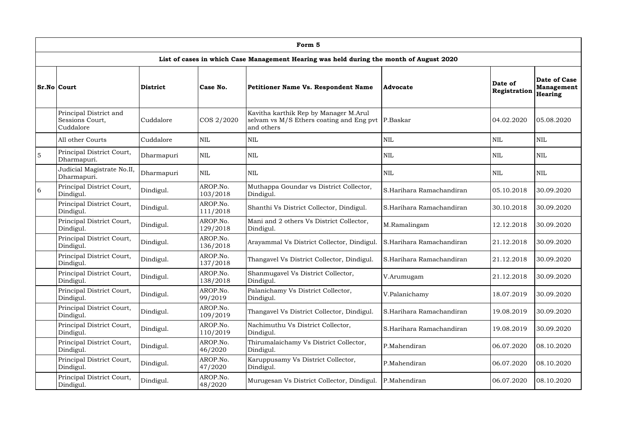|   | Form 5                                                                                  |            |                      |                                                                                                            |                          |                         |                                              |  |  |  |  |  |
|---|-----------------------------------------------------------------------------------------|------------|----------------------|------------------------------------------------------------------------------------------------------------|--------------------------|-------------------------|----------------------------------------------|--|--|--|--|--|
|   | List of cases in which Case Management Hearing was held during the month of August 2020 |            |                      |                                                                                                            |                          |                         |                                              |  |  |  |  |  |
|   | <b>Sr.No Court</b>                                                                      | District   | Case No.             | <b>Petitioner Name Vs. Respondent Name</b>                                                                 | Advocate                 | Date of<br>Registration | Date of Case<br><b>Management</b><br>Hearing |  |  |  |  |  |
|   | Principal District and<br>Sessions Court,<br>Cuddalore                                  | Cuddalore  | COS 2/2020           | Kavitha karthik Rep by Manager M.Arul<br>selvam vs M/S Ethers coating and Eng pvt   P.Baskar<br>and others |                          | 04.02.2020              | 05.08.2020                                   |  |  |  |  |  |
|   | All other Courts                                                                        | Cuddalore  | <b>NIL</b>           | <b>NIL</b>                                                                                                 | <b>NIL</b>               | <b>NIL</b>              | <b>NIL</b>                                   |  |  |  |  |  |
| 5 | Principal District Court,<br>Dharmapuri.                                                | Dharmapuri | NIL                  | <b>NIL</b>                                                                                                 | <b>NIL</b>               | <b>NIL</b>              | <b>NIL</b>                                   |  |  |  |  |  |
|   | Judicial Magistrate No.II,<br>Dharmapuri.                                               | Dharmapuri | <b>NIL</b>           | <b>NIL</b>                                                                                                 | <b>NIL</b>               | <b>NIL</b>              | <b>NIL</b>                                   |  |  |  |  |  |
| 6 | Principal District Court,<br>Dindigul.                                                  | Dindigul.  | AROP.No.<br>103/2018 | Muthappa Goundar vs District Collector,<br>Dindigul.                                                       | S.Harihara Ramachandiran | 05.10.2018              | 30.09.2020                                   |  |  |  |  |  |
|   | Principal District Court,<br>Dindigul.                                                  | Dindigul.  | AROP.No.<br>111/2018 | Shanthi Vs District Collector, Dindigul.                                                                   | S.Harihara Ramachandiran | 30.10.2018              | 30.09.2020                                   |  |  |  |  |  |
|   | Principal District Court,<br>Dindigul.                                                  | Dindigul.  | AROP.No.<br>129/2018 | Mani and 2 others Vs District Collector,<br>Dindigul.                                                      | M.Ramalingam             | 12.12.2018              | 30.09.2020                                   |  |  |  |  |  |
|   | Principal District Court,<br>Dindigul.                                                  | Dindigul.  | AROP.No.<br>136/2018 | Arayammal Vs District Collector, Dindigul.                                                                 | S.Harihara Ramachandiran | 21.12.2018              | 30.09.2020                                   |  |  |  |  |  |
|   | Principal District Court,<br>Dindigul.                                                  | Dindigul.  | AROP.No.<br>137/2018 | Thangavel Vs District Collector, Dindigul.                                                                 | S.Harihara Ramachandiran | 21.12.2018              | 30.09.2020                                   |  |  |  |  |  |
|   | Principal District Court,<br>Dindigul.                                                  | Dindigul.  | AROP.No.<br>138/2018 | Shanmugavel Vs District Collector,<br>Dindigul.                                                            | V.Arumugam               | 21.12.2018              | 30.09.2020                                   |  |  |  |  |  |
|   | Principal District Court,<br>Dindigul.                                                  | Dindigul.  | AROP.No.<br>99/2019  | Palanichamy Vs District Collector,<br>Dindigul.                                                            | V.Palanichamy            | 18.07.2019              | 30.09.2020                                   |  |  |  |  |  |
|   | Principal District Court,<br>Dindigul.                                                  | Dindigul.  | AROP.No.<br>109/2019 | Thangavel Vs District Collector, Dindigul.                                                                 | S.Harihara Ramachandiran | 19.08.2019              | 30.09.2020                                   |  |  |  |  |  |
|   | Principal District Court,<br>Dindigul.                                                  | Dindigul.  | AROP.No.<br>110/2019 | Nachimuthu Vs District Collector,<br>Dindigul.                                                             | S.Harihara Ramachandiran | 19.08.2019              | 30.09.2020                                   |  |  |  |  |  |
|   | Principal District Court,<br>Dindigul.                                                  | Dindigul.  | AROP.No.<br>46/2020  | Thirumalaichamy Vs District Collector,<br>Dindigul.                                                        | P.Mahendiran             | 06.07.2020              | 08.10.2020                                   |  |  |  |  |  |
|   | Principal District Court,<br>Dindigul.                                                  | Dindigul.  | AROP.No.<br>47/2020  | Karuppusamy Vs District Collector,<br>Dindigul.                                                            | P.Mahendiran             | 06.07.2020              | 08.10.2020                                   |  |  |  |  |  |
|   | Principal District Court,<br>Dindigul.                                                  | Dindigul.  | AROP.No.<br>48/2020  | Murugesan Vs District Collector, Dindigul.                                                                 | P.Mahendiran             | 06.07.2020              | 08.10.2020                                   |  |  |  |  |  |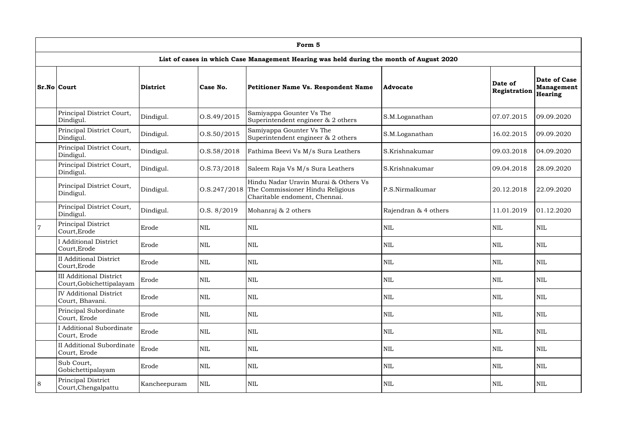|                | Form 5                                                                                  |              |                 |                                                                                                                        |                      |                         |                                              |  |  |  |  |  |
|----------------|-----------------------------------------------------------------------------------------|--------------|-----------------|------------------------------------------------------------------------------------------------------------------------|----------------------|-------------------------|----------------------------------------------|--|--|--|--|--|
|                | List of cases in which Case Management Hearing was held during the month of August 2020 |              |                 |                                                                                                                        |                      |                         |                                              |  |  |  |  |  |
|                | <b>Sr.No Court</b>                                                                      | District     | Case No.        | Petitioner Name Vs. Respondent Name                                                                                    | <b>Advocate</b>      | Date of<br>Registration | Date of Case<br><b>Management</b><br>Hearing |  |  |  |  |  |
|                | Principal District Court,<br>Dindigul.                                                  | Dindigul.    | 0. S.49/2015    | Samiyappa Gounter Vs The<br>Superintendent engineer $\&$ 2 others                                                      | S.M.Loganathan       | 07.07.2015              | 09.09.2020                                   |  |  |  |  |  |
|                | Principal District Court,<br>Dindigul.                                                  | Dindigul.    | 0. S. 50 / 2015 | Samiyappa Gounter Vs The<br>Superintendent engineer & 2 others                                                         | S.M.Loganathan       | 16.02.2015              | 09.09.2020                                   |  |  |  |  |  |
|                | Principal District Court,<br>Dindigul.                                                  | Dindigul.    | 0. S. 58 / 2018 | Fathima Beevi Vs M/s Sura Leathers                                                                                     | S.Krishnakumar       | 09.03.2018              | 04.09.2020                                   |  |  |  |  |  |
|                | Principal District Court,<br>Dindigul.                                                  | Dindigul.    | 0. S. 73/2018   | Saleem Raja Vs M/s Sura Leathers                                                                                       | S.Krishnakumar       | 09.04.2018              | 28.09.2020                                   |  |  |  |  |  |
|                | Principal District Court,<br>Dindigul.                                                  | Dindigul.    |                 | Hindu Nadar Uravin Murai & Others Vs<br>O.S.247/2018 The Commissioner Hindu Religious<br>Charitable endoment, Chennai. | P.S.Nirmalkumar      | 20.12.2018              | 22.09.2020                                   |  |  |  |  |  |
|                | Principal District Court,<br>Dindigul.                                                  | Dindigul.    | 0.S. 8/2019     | Mohanraj & 2 others                                                                                                    | Rajendran & 4 others | 11.01.2019              | 01.12.2020                                   |  |  |  |  |  |
| $\overline{7}$ | Principal District<br>Court, Erode                                                      | Erode        | NIL             | <b>NIL</b>                                                                                                             | <b>NIL</b>           | NIL                     | <b>NIL</b>                                   |  |  |  |  |  |
|                | <b>I</b> Additional District<br>Court, Erode                                            | Erode        | <b>NIL</b>      | $\mbox{NIL}$                                                                                                           | <b>NIL</b>           | NIL                     | <b>NIL</b>                                   |  |  |  |  |  |
|                | <b>II</b> Additional District<br>Court, Erode                                           | Erode        | NIL             | <b>NIL</b>                                                                                                             | <b>NIL</b>           | $\mbox{NIL}$            | <b>NIL</b>                                   |  |  |  |  |  |
|                | <b>III Additional District</b><br>Court, Gobichettipalayam                              | Erode        | $\mbox{NIL}$    | <b>NIL</b>                                                                                                             | <b>NIL</b>           | $\mbox{NIL}$            | <b>NIL</b>                                   |  |  |  |  |  |
|                | <b>IV Additional District</b><br>Court, Bhavani.                                        | Erode        | NIL             | <b>NIL</b>                                                                                                             | <b>NIL</b>           | <b>NIL</b>              | <b>NIL</b>                                   |  |  |  |  |  |
|                | Principal Subordinate<br>Court, Erode                                                   | Erode        | <b>NIL</b>      | <b>NIL</b>                                                                                                             | <b>NIL</b>           | <b>NIL</b>              | <b>NIL</b>                                   |  |  |  |  |  |
|                | <b>I</b> Additional Subordinate<br>Court, Erode                                         | Erode        | $\mbox{NIL}$    | <b>NIL</b>                                                                                                             | $\mbox{NIL}$         | <b>NIL</b>              | <b>NIL</b>                                   |  |  |  |  |  |
|                | II Additional Subordinate<br>Court, Erode                                               | Erode        | $\mbox{NIL}$    | <b>NIL</b>                                                                                                             | <b>NIL</b>           | $\mbox{NIL}$            | <b>NIL</b>                                   |  |  |  |  |  |
|                | Sub Court,<br>Gobichettipalayam                                                         | Erode        | $\mbox{NIL}$    | <b>NIL</b>                                                                                                             | $\mbox{NIL}$         | <b>NIL</b>              | <b>NIL</b>                                   |  |  |  |  |  |
| 8              | Principal District<br>Court, Chengalpattu                                               | Kancheepuram | NIL             | <b>NIL</b>                                                                                                             | $\mbox{NIL}$         | NIL                     | <b>NIL</b>                                   |  |  |  |  |  |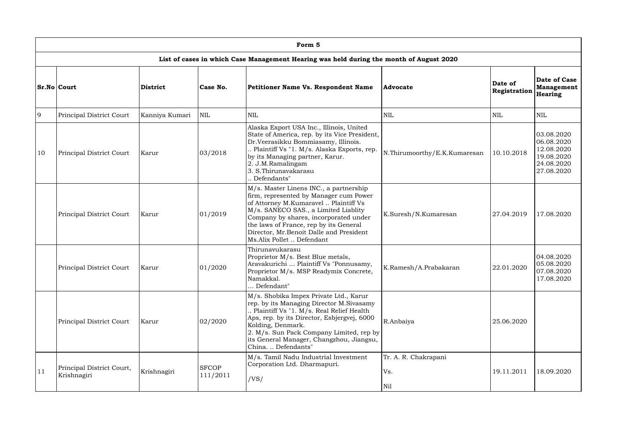|    | Form 5                                   |                 |                          |                                                                                                                                                                                                                                                                                                                               |                                    |                         |                                                                                  |  |  |  |  |  |
|----|------------------------------------------|-----------------|--------------------------|-------------------------------------------------------------------------------------------------------------------------------------------------------------------------------------------------------------------------------------------------------------------------------------------------------------------------------|------------------------------------|-------------------------|----------------------------------------------------------------------------------|--|--|--|--|--|
|    |                                          |                 |                          | List of cases in which Case Management Hearing was held during the month of August 2020                                                                                                                                                                                                                                       |                                    |                         |                                                                                  |  |  |  |  |  |
|    | <b>Sr.No Court</b>                       | <b>District</b> | Case No.                 | <b>Petitioner Name Vs. Respondent Name</b>                                                                                                                                                                                                                                                                                    | Advocate                           | Date of<br>Registration | Date of Case<br><b>Management</b><br><b>Hearing</b>                              |  |  |  |  |  |
| 9  | Principal District Court                 | Kanniya Kumari  | NIL                      | <b>NIL</b>                                                                                                                                                                                                                                                                                                                    | NIL                                | <b>NIL</b>              | <b>NIL</b>                                                                       |  |  |  |  |  |
| 10 | <b>Principal District Court</b>          | Karur           | 03/2018                  | Alaska Export USA Inc., Illinois, United<br>State of America, rep. by its Vice President,<br>Dr.Veerasikku Bommiasamy, Illinois.<br>Plaintiff Vs "1. M/s. Alaska Exports, rep.<br>by its Managing partner, Karur.<br>2. J.M.Ramalingam<br>3. S. Thirunavakarasu<br>. Defendants"                                              | N.Thirumoorthy/E.K.Kumaresan       | 10.10.2018              | 03.08.2020<br>06.08.2020<br>12.08.2020<br>19.08.2020<br>24.08.2020<br>27.08.2020 |  |  |  |  |  |
|    | Principal District Court                 | Karur           | 01/2019                  | M/s. Master Linens INC., a partnership<br>firm, represented by Manager cum Power<br>of Attorney M.Kumaravel  Plaintiff Vs<br>M/s. SANECO SAS., a Limited Liablity<br>Company by shares, incorporated under<br>the laws of France, rep by its General<br>Director, Mr. Benoit Dalle and President<br>Ms.Alix Pollet  Defendant | K.Suresh/N.Kumaresan               | 27.04.2019              | 17.08.2020                                                                       |  |  |  |  |  |
|    | <b>Principal District Court</b>          | Karur           | 01/2020                  | Thirunavukarasu<br>Proprietor M/s. Best Blue metals,<br>Aravakurichi  Plaintiff Vs "Ponnusamy,<br>Proprietor M/s. MSP Readymix Concrete,<br>Namakkal.<br>Defendant"                                                                                                                                                           | K.Ramesh/A.Prabakaran              | 22.01.2020              | 04.08.2020<br>05.08.2020<br>07.08.2020<br>17.08.2020                             |  |  |  |  |  |
|    | <b>Principal District Court</b>          | Karur           | 02/2020                  | M/s. Shobika Impex Private Ltd., Karur<br>rep. by its Managing Director M. Sivasamy<br>Plaintiff Vs "1. M/s. Real Relief Health<br>Aps, rep. by its Director, Esbjergvej, 6000<br>Kolding, Denmark.<br>2. M/s. Sun Pack Company Limited, rep by<br>its General Manager, Changzhou, Jiangsu,<br>China.  Defendants"            | R.Anbaiya                          | 25.06.2020              |                                                                                  |  |  |  |  |  |
| 11 | Principal District Court,<br>Krishnagiri | Krishnagiri     | <b>SFCOP</b><br>111/2011 | M/s. Tamil Nadu Industrial Investment<br>Corporation Ltd. Dharmapuri.<br>/VS/                                                                                                                                                                                                                                                 | Tr. A. R. Chakrapani<br>Vs.<br>Nil | 19.11.2011              | 18.09.2020                                                                       |  |  |  |  |  |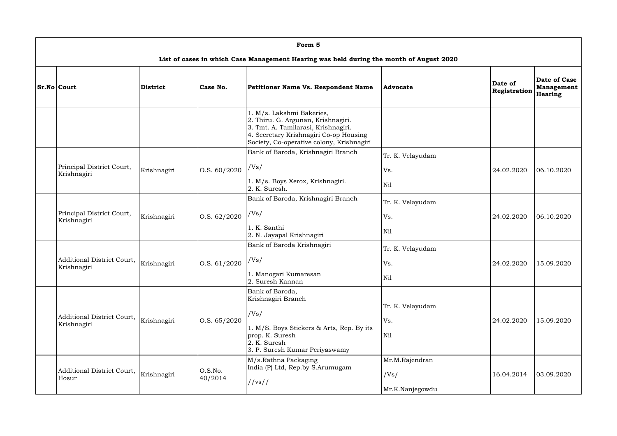| Form 5                                    |                 |                      |                                                                                                                                                                                               |                                           |                         |                                                            |  |  |  |  |
|-------------------------------------------|-----------------|----------------------|-----------------------------------------------------------------------------------------------------------------------------------------------------------------------------------------------|-------------------------------------------|-------------------------|------------------------------------------------------------|--|--|--|--|
|                                           |                 |                      | List of cases in which Case Management Hearing was held during the month of August 2020                                                                                                       |                                           |                         |                                                            |  |  |  |  |
| <b>Sr.No Court</b>                        | <b>District</b> | Case No.             | Petitioner Name Vs. Respondent Name                                                                                                                                                           | <b>Advocate</b>                           | Date of<br>Registration | <b>Date of Case</b><br><b>Management</b><br><b>Hearing</b> |  |  |  |  |
|                                           |                 |                      | 1. M/s. Lakshmi Bakeries,<br>2. Thiru. G. Argunan, Krishnagiri.<br>3. Tmt. A. Tamilarasi, Krishnagiri.<br>4. Secretary Krishnagiri Co-op Housing<br>Society, Co-operative colony, Krishnagiri |                                           |                         |                                                            |  |  |  |  |
| Principal District Court,<br>Krishnagiri  | Krishnagiri     | $\vert$ O.S. 60/2020 | Bank of Baroda, Krishnagiri Branch<br>/Vs/<br>1. M/s. Boys Xerox, Krishnagiri.<br>2. K. Suresh.                                                                                               | Tr. K. Velayudam<br>Vs.<br>Nil            | 24.02.2020              | 06.10.2020                                                 |  |  |  |  |
| Principal District Court,<br>Krishnagiri  | Krishnagiri     | $\vert$ O.S. 62/2020 | Bank of Baroda, Krishnagiri Branch<br>/Vs/<br>1. K. Santhi<br>2. N. Jayapal Krishnagiri                                                                                                       | Tr. K. Velayudam<br>Vs.<br>Nil            | 24.02.2020              | 06.10.2020                                                 |  |  |  |  |
| Additional District Court,<br>Krishnagiri | Krishnagiri     | O.S. 61/2020         | Bank of Baroda Krishnagiri<br>/Vs/<br>1. Manogari Kumaresan<br>2. Suresh Kannan                                                                                                               | Tr. K. Velayudam<br>Vs.<br>Nil            | 24.02.2020              | 15.09.2020                                                 |  |  |  |  |
| Additional District Court,<br>Krishnagiri | Krishnagiri     | $\vert$ O.S. 65/2020 | Bank of Baroda,<br>Krishnagiri Branch<br>/Vs/<br>1. M/S. Boys Stickers & Arts, Rep. By its<br>prop. K. Suresh<br>2. K. Suresh<br>3. P. Suresh Kumar Periyaswamy                               | Tr. K. Velayudam<br>Vs.<br>Nil            | 24.02.2020              | 15.09.2020                                                 |  |  |  |  |
| Additional District Court,<br>Hosur       | Krishnagiri     | O.S.No.<br>40/2014   | M/s.Rathna Packaging<br>India (P) Ltd, Rep.by S.Arumugam<br>$1/\mathrm{vs}/7$                                                                                                                 | Mr.M.Rajendran<br>/Vs/<br>Mr.K.Nanjegowdu | 16.04.2014              | 03.09.2020                                                 |  |  |  |  |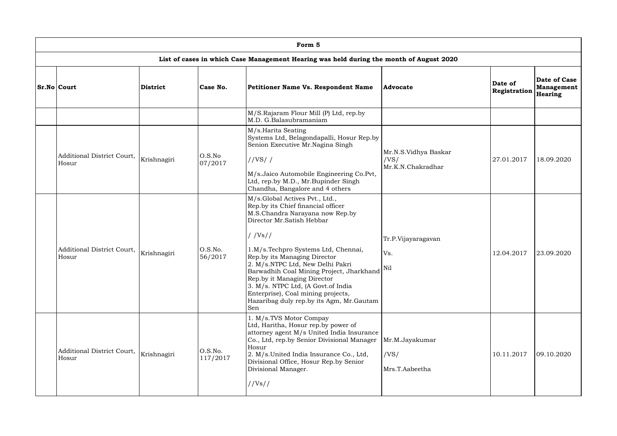| Form 5                                                                                  |                 |                     |                                                                                                                                                                                                                                                                                                                                                                                                                                                                     |                                                   |                         |                                                     |  |  |  |  |
|-----------------------------------------------------------------------------------------|-----------------|---------------------|---------------------------------------------------------------------------------------------------------------------------------------------------------------------------------------------------------------------------------------------------------------------------------------------------------------------------------------------------------------------------------------------------------------------------------------------------------------------|---------------------------------------------------|-------------------------|-----------------------------------------------------|--|--|--|--|
| List of cases in which Case Management Hearing was held during the month of August 2020 |                 |                     |                                                                                                                                                                                                                                                                                                                                                                                                                                                                     |                                                   |                         |                                                     |  |  |  |  |
| <b>Sr.No Court</b>                                                                      | <b>District</b> | Case No.            | Petitioner Name Vs. Respondent Name                                                                                                                                                                                                                                                                                                                                                                                                                                 | Advocate                                          | Date of<br>Registration | Date of Case<br><b>Management</b><br><b>Hearing</b> |  |  |  |  |
|                                                                                         |                 |                     | M/S.Rajaram Flour Mill (P) Ltd, rep.by<br>M.D. G.Balasubramaniam                                                                                                                                                                                                                                                                                                                                                                                                    |                                                   |                         |                                                     |  |  |  |  |
| Additional District Court,<br>Hosur                                                     | Krishnagiri     | O.S.No<br>07/2017   | M/s.Harita Seating<br>Systems Ltd, Belagondapalli, Hosur Rep.by<br>Senion Executive Mr. Nagina Singh<br>//VS//<br>M/s.Jaico Automobile Engineering Co.Pvt,<br>Ltd, rep.by M.D., Mr.Bupinder Singh<br>Chandha, Bangalore and 4 others                                                                                                                                                                                                                                | Mr.N.S.Vidhya Baskar<br>/VS/<br>Mr.K.N.Chakradhar | 27.01.2017              | 18.09.2020                                          |  |  |  |  |
| Additional District Court,<br>Hosur                                                     | Krishnagiri     | O.S.No.<br>56/2017  | M/s.Global Actives Pvt., Ltd.,<br>Rep.by its Chief financial officer<br>M.S.Chandra Narayana now Rep.by<br>Director Mr.Satish Hebbar<br>//Vs//<br>1.M/s.Techpro Systems Ltd, Chennai,<br>Rep.by its Managing Director<br>2. M/s.NTPC Ltd, New Delhi Pakri<br>Barwadhih Coal Mining Project, Jharkhand<br>Rep.by it Managing Director<br>3. M/s. NTPC Ltd, (A Govt.of India<br>Enterprise), Coal mining projects,<br>Hazaribag duly rep.by its Agm, Mr.Gautam<br>Sen | Tr.P.Vijayaragavan<br>Vs.<br>Nil                  | 12.04.2017              | 23.09.2020                                          |  |  |  |  |
| Additional District Court,<br>Hosur                                                     | Krishnagiri     | O.S.No.<br>117/2017 | 1. M/s.TVS Motor Compay<br>Ltd, Haritha, Hosur rep.by power of<br>attorney agent M/s United India Insurance<br>Co., Ltd, rep.by Senior Divisional Manager<br>Hosur<br>2. M/s.United India Insurance Co., Ltd,<br>Divisional Office, Hosur Rep.by Senior<br>Divisional Manager.<br>//Vs//                                                                                                                                                                            | Mr.M.Jayakumar<br>/VS/<br>Mrs.T.Aabeetha          | 10.11.2017              | 09.10.2020                                          |  |  |  |  |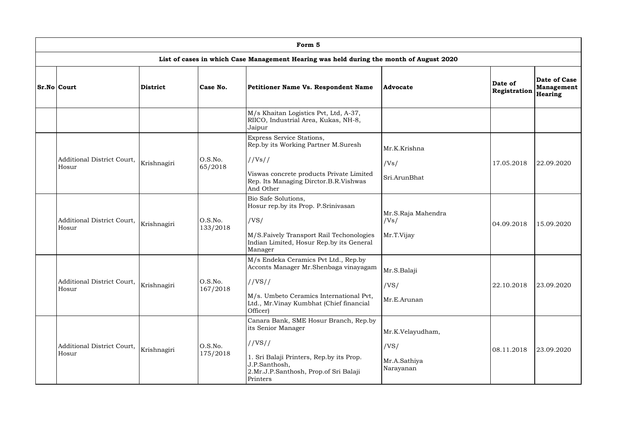|  | Form 5                                                                                  |             |                     |                                                                                                                |                            |                         |                                              |  |  |  |  |
|--|-----------------------------------------------------------------------------------------|-------------|---------------------|----------------------------------------------------------------------------------------------------------------|----------------------------|-------------------------|----------------------------------------------|--|--|--|--|
|  | List of cases in which Case Management Hearing was held during the month of August 2020 |             |                     |                                                                                                                |                            |                         |                                              |  |  |  |  |
|  | <b>Sr.No Court</b>                                                                      | District    | Case No.            | Petitioner Name Vs. Respondent Name                                                                            | Advocate                   | Date of<br>Registration | Date of Case<br><b>Management</b><br>Hearing |  |  |  |  |
|  |                                                                                         |             |                     | M/s Khaitan Logistics Pvt, Ltd, A-37,<br>RIICO, Industrial Area, Kukas, NH-8,<br>Jaipur                        |                            |                         |                                              |  |  |  |  |
|  |                                                                                         |             |                     | Express Service Stations,<br>Rep.by its Working Partner M.Suresh                                               | Mr.K.Krishna               |                         |                                              |  |  |  |  |
|  | Additional District Court,<br>Hosur                                                     | Krishnagiri | O.S.No.<br>65/2018  | //Vs//                                                                                                         | /Vs/                       | 17.05.2018              | 22.09.2020                                   |  |  |  |  |
|  |                                                                                         |             |                     | Viswas concrete products Private Limited<br>Rep. Its Managing Dirctor.B.R.Vishwas<br>And Other                 | Sri.ArunBhat               |                         |                                              |  |  |  |  |
|  | Additional District Court,                                                              |             | O.S.No.             | Bio Safe Solutions,<br>Hosur rep.by its Prop. P.Srinivasan<br>/VS/                                             | Mr.S.Raja Mahendra<br>/Vs/ | 04.09.2018              | 15.09.2020                                   |  |  |  |  |
|  | Hosur                                                                                   | Krishnagiri | 133/2018            | M/S.Faively Transport Rail Techonologies<br>Indian Limited, Hosur Rep.by its General<br>Manager                | Mr.T.Vijay                 |                         |                                              |  |  |  |  |
|  |                                                                                         |             |                     | M/s Endeka Ceramics Pvt Ltd., Rep.by<br>Acconts Manager Mr.Shenbaga vinayagam   Mr.S.Balaji                    |                            |                         |                                              |  |  |  |  |
|  | Additional District Court,                                                              | Krishnagiri | O.S.No.<br>167/2018 | //VS//                                                                                                         | /VS/                       | 22.10.2018              | 23.09.2020                                   |  |  |  |  |
|  | Hosur                                                                                   |             |                     | M/s. Umbeto Ceramics International Pvt,<br>Ltd., Mr.Vinay Kumbhat (Chief financial<br>Officer)                 | Mr.E.Arunan                |                         |                                              |  |  |  |  |
|  |                                                                                         |             |                     | Canara Bank, SME Hosur Branch, Rep.by<br>its Senior Manager                                                    |                            |                         |                                              |  |  |  |  |
|  | Additional District Court,<br>Hosur                                                     |             |                     |                                                                                                                | Mr.K.Velayudham,           |                         |                                              |  |  |  |  |
|  |                                                                                         | Krishnagiri | O.S.No.<br>175/2018 | //VS//                                                                                                         | /VS/                       | 08.11.2018              | 23.09.2020                                   |  |  |  |  |
|  |                                                                                         |             |                     | 1. Sri Balaji Printers, Rep.by its Prop.<br>J.P.Santhosh,<br>2.Mr.J.P.Santhosh, Prop.of Sri Balaji<br>Printers | Mr.A.Sathiya<br>Narayanan  |                         |                                              |  |  |  |  |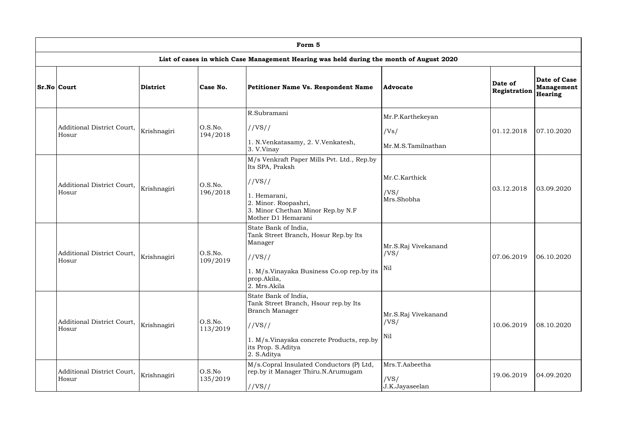| Form 5                                                                                  |                 |                     |                                                                                                 |                        |                         |                                              |  |  |  |  |
|-----------------------------------------------------------------------------------------|-----------------|---------------------|-------------------------------------------------------------------------------------------------|------------------------|-------------------------|----------------------------------------------|--|--|--|--|
| List of cases in which Case Management Hearing was held during the month of August 2020 |                 |                     |                                                                                                 |                        |                         |                                              |  |  |  |  |
| <b>Sr.No Court</b>                                                                      | <b>District</b> | Case No.            | Petitioner Name Vs. Respondent Name                                                             | Advocate               | Date of<br>Registration | Date of Case<br><b>Management</b><br>Hearing |  |  |  |  |
|                                                                                         |                 |                     | R.Subramani                                                                                     | Mr.P.Karthekeyan       |                         |                                              |  |  |  |  |
| Additional District Court,<br>Hosur                                                     | Krishnagiri     | O.S.No.<br>194/2018 | //VS//                                                                                          | /Vs/                   | 01.12.2018              | 07.10.2020                                   |  |  |  |  |
|                                                                                         |                 |                     | 1. N.Venkatasamy, 2. V.Venkatesh,<br>3. V.Vinay                                                 | Mr.M.S.Tamilnathan     |                         |                                              |  |  |  |  |
|                                                                                         |                 |                     | M/s Venkraft Paper Mills Pvt. Ltd., Rep.by<br>Its SPA, Praksh                                   |                        |                         |                                              |  |  |  |  |
| Additional District Court,                                                              |                 | O.S.No.             | //VS//                                                                                          | Mr.C.Karthick          |                         | 03.09.2020                                   |  |  |  |  |
| Hosur                                                                                   | Krishnagiri     | 196/2018            | 1. Hemarani,<br>2. Minor. Roopashri,<br>3. Minor Chethan Minor Rep.by N.F<br>Mother D1 Hemarani | /VS/<br>Mrs.Shobha     | 03.12.2018              |                                              |  |  |  |  |
|                                                                                         |                 |                     | State Bank of India,<br>Tank Street Branch, Hosur Rep.by Its<br>Manager                         | Mr.S.Raj Vivekanand    |                         |                                              |  |  |  |  |
| Additional District Court,<br>Hosur                                                     | Krishnagiri     | O.S.No.<br>109/2019 | //VS//                                                                                          | /VS/                   | 07.06.2019              | 06.10.2020                                   |  |  |  |  |
|                                                                                         |                 |                     | 1. M/s.Vinayaka Business Co.op rep.by its<br>prop.Akila,<br>2. Mrs.Akila                        | $\vert$ Nil            |                         |                                              |  |  |  |  |
|                                                                                         |                 |                     | State Bank of India,<br>Tank Street Branch, Hsour rep.by Its<br>Branch Manager                  | Mr.S.Raj Vivekanand    |                         |                                              |  |  |  |  |
| Additional District Court,<br>Hosur                                                     | Krishnagiri     | O.S.No.<br>113/2019 | //VS//                                                                                          | /VS/                   | 10.06.2019              | 08.10.2020                                   |  |  |  |  |
|                                                                                         |                 |                     | 1. M/s.Vinayaka concrete Products, rep.by<br>its Prop. S.Aditya<br>2. S.Aditya                  | Nil                    |                         |                                              |  |  |  |  |
| Additional District Court,                                                              |                 | O.S.No              | M/s.Copral Insulated Conductors (P) Ltd,<br>rep.by it Manager Thiru.N.Arumugam                  | Mrs.T.Aabeetha         |                         |                                              |  |  |  |  |
| Hosur                                                                                   | Krishnagiri     | 135/2019            | //VS//                                                                                          | /VS/<br>J.K.Jayaseelan | 19.06.2019              | 04.09.2020                                   |  |  |  |  |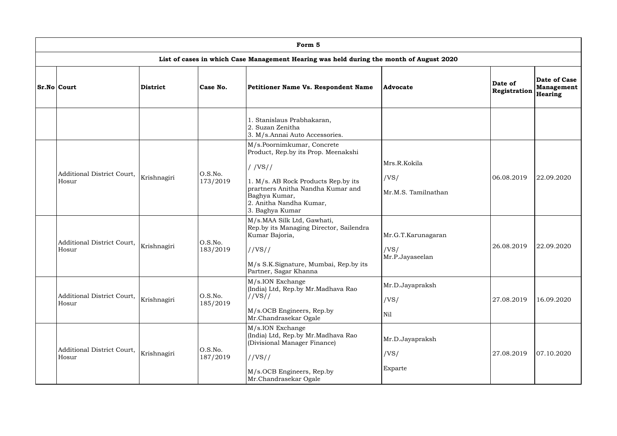| Form 5                              |                 |                     |                                                                                                                                                                                                                           |                                               |                         |                                              |  |  |  |
|-------------------------------------|-----------------|---------------------|---------------------------------------------------------------------------------------------------------------------------------------------------------------------------------------------------------------------------|-----------------------------------------------|-------------------------|----------------------------------------------|--|--|--|
|                                     |                 |                     | List of cases in which Case Management Hearing was held during the month of August 2020                                                                                                                                   |                                               |                         |                                              |  |  |  |
| $Sr.No $ Court                      | <b>District</b> | Case No.            | Petitioner Name Vs. Respondent Name                                                                                                                                                                                       | <b>Advocate</b>                               | Date of<br>Registration | <b>Date of Case</b><br>Management<br>Hearing |  |  |  |
|                                     |                 |                     | 1. Stanislaus Prabhakaran,<br>2. Suzan Zenitha<br>3. M/s.Annai Auto Accessories.                                                                                                                                          |                                               |                         |                                              |  |  |  |
| Additional District Court,<br>Hosur | Krishnagiri     | O.S.No.<br>173/2019 | M/s.Poornimkumar, Concrete<br>Product, Rep.by its Prop. Meenakshi<br>$/$ /VS//<br>1. M/s. AB Rock Products Rep.by its<br>prartners Anitha Nandha Kumar and<br>Baghya Kumar,<br>2. Anitha Nandha Kumar,<br>3. Baghya Kumar | Mrs.R.Kokila<br>/VS/<br>Mr.M.S. Tamilnathan   | 06.08.2019              | 22.09.2020                                   |  |  |  |
| Additional District Court,<br>Hosur | Krishnagiri     | O.S.No.<br>183/2019 | M/s.MAA Silk Ltd, Gawhati,<br>Rep.by its Managing Director, Sailendra<br>Kumar Bajoria,<br>//VS//<br>M/s S.K. Signature, Mumbai, Rep. by its<br>Partner, Sagar Khanna                                                     | Mr.G.T.Karunagaran<br>/VS/<br>Mr.P.Jayaseelan | 26.08.2019              | 22.09.2020                                   |  |  |  |
| Additional District Court,<br>Hosur | Krishnagiri     | O.S.No.<br>185/2019 | M/s.ION Exchange<br>(India) Ltd, Rep.by Mr.Madhava Rao<br>//VS//<br>M/s.OCB Engineers, Rep.by<br>Mr.Chandrasekar Ogale                                                                                                    | Mr.D.Jayapraksh<br>/VS/<br>Nil                | 27.08.2019              | 16.09.2020                                   |  |  |  |
| Additional District Court,<br>Hosur | Krishnagiri     | O.S.No.<br>187/2019 | M/s.ION Exchange<br>(India) Ltd, Rep.by Mr.Madhava Rao<br>(Divisional Manager Finance)<br>//VS//<br>M/s.OCB Engineers, Rep.by<br>Mr.Chandrasekar Ogale                                                                    | Mr.D.Jayapraksh<br>/VS/<br>Exparte            | 27.08.2019              | 07.10.2020                                   |  |  |  |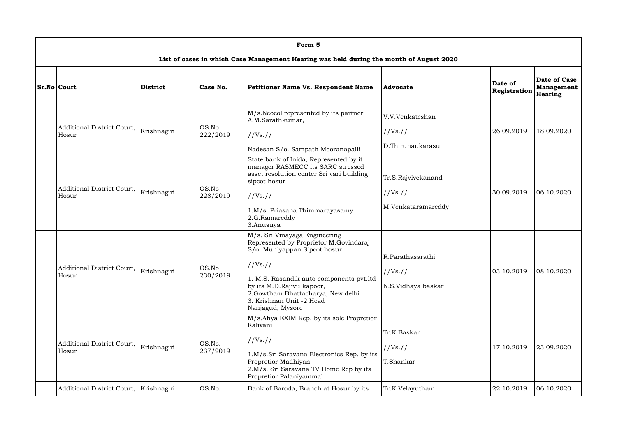| Form 5                              |                 |                    |                                                                                                                                                                                                                                                                                   |                                                      |                         |                                              |  |  |  |  |
|-------------------------------------|-----------------|--------------------|-----------------------------------------------------------------------------------------------------------------------------------------------------------------------------------------------------------------------------------------------------------------------------------|------------------------------------------------------|-------------------------|----------------------------------------------|--|--|--|--|
|                                     |                 |                    | List of cases in which Case Management Hearing was held during the month of August 2020                                                                                                                                                                                           |                                                      |                         |                                              |  |  |  |  |
| <b>Sr.No Court</b>                  | <b>District</b> | Case No.           | Petitioner Name Vs. Respondent Name                                                                                                                                                                                                                                               | Advocate                                             | Date of<br>Registration | Date of Case<br><b>Management</b><br>Hearing |  |  |  |  |
| Additional District Court,<br>Hosur | Krishnagiri     | OS.No<br>222/2019  | M/s. Neocol represented by its partner<br>A.M.Sarathkumar,<br>//Vs. //<br>Nadesan S/o. Sampath Mooranapalli                                                                                                                                                                       | V.V.Venkateshan<br>//Vs. //<br>D.Thirunaukarasu      | 26.09.2019              | 18.09.2020                                   |  |  |  |  |
| Additional District Court,<br>Hosur | Krishnagiri     | OS.No<br>228/2019  | State bank of Inida, Represented by it<br>manager RASMECC its SARC stressed<br>asset resolution center Sri vari building<br>sipcot hosur<br>//Vs. //<br>1.M/s. Priasana Thimmarayasamy<br>2.G.Ramareddy<br>3.Anusuya                                                              | Tr.S.Rajvivekanand<br>//Vs. //<br>M.Venkataramareddy | 30.09.2019              | 06.10.2020                                   |  |  |  |  |
| Additional District Court,<br>Hosur | Krishnagiri     | OS.No<br>230/2019  | M/s. Sri Vinayaga Engineering<br>Represented by Proprietor M.Govindaraj<br>S/o. Muniyappan Sipcot hosur<br>//Vs. //<br>1. M.S. Rasandik auto components pvt.ltd<br>by its M.D.Rajivu kapoor,<br>2.Gowtham Bhattacharya, New delhi<br>3. Krishnan Unit -2 Head<br>Nanjagud, Mysore | R.Parathasarathi<br>//Vs. //<br>N.S.Vidhaya baskar   | 03.10.2019              | 08.10.2020                                   |  |  |  |  |
| Additional District Court,<br>Hosur | Krishnagiri     | OS.No.<br>237/2019 | M/s.Ahya EXIM Rep. by its sole Propretior<br>Kalivani<br>//Vs. //<br>1.M/s.Sri Saravana Electronics Rep. by its<br>Propretior Madhiyan<br>2.M/s. Sri Saravana TV Home Rep by its<br>Propretior Palaniyammal                                                                       | Tr.K.Baskar<br>//Vs. //<br>T.Shankar                 | 17.10.2019              | 23.09.2020                                   |  |  |  |  |
| Additional District Court,          | Krishnagiri     | OS.No.             | Bank of Baroda, Branch at Hosur by its                                                                                                                                                                                                                                            | Tr.K.Velayutham                                      | 22.10.2019              | 06.10.2020                                   |  |  |  |  |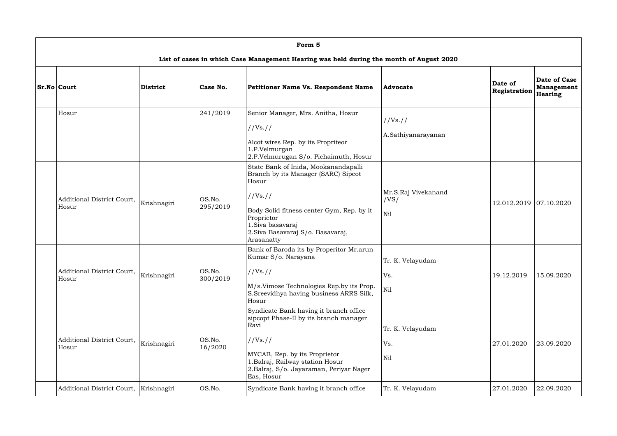| Form 5                                                                                  |                 |                    |                                                                                                                                                                                                                                     |                                    |                         |                                              |  |  |  |  |
|-----------------------------------------------------------------------------------------|-----------------|--------------------|-------------------------------------------------------------------------------------------------------------------------------------------------------------------------------------------------------------------------------------|------------------------------------|-------------------------|----------------------------------------------|--|--|--|--|
| List of cases in which Case Management Hearing was held during the month of August 2020 |                 |                    |                                                                                                                                                                                                                                     |                                    |                         |                                              |  |  |  |  |
| <b>Sr.No Court</b>                                                                      | <b>District</b> | Case No.           | Petitioner Name Vs. Respondent Name                                                                                                                                                                                                 | <b>Advocate</b>                    | Date of<br>Registration | Date of Case<br><b>Management</b><br>Hearing |  |  |  |  |
| Hosur                                                                                   |                 | 241/2019           | Senior Manager, Mrs. Anitha, Hosur<br>//Vs. //<br>Alcot wires Rep. by its Propriteor<br>1.P.Velmurgan<br>2.P.Velmurugan S/o. Pichaimuth, Hosur                                                                                      | //Vs. //<br>A.Sathiyanarayanan     |                         |                                              |  |  |  |  |
| Additional District Court,<br>Hosur                                                     | Krishnagiri     | OS.No.<br>295/2019 | State Bank of Inida, Mookanandapalli<br>Branch by its Manager (SARC) Sipcot<br>Hosur<br>//Vs. //<br>Body Solid fitness center Gym, Rep. by it<br>Proprietor<br>1. Siva basavaraj<br>2. Siva Basavaraj S/o. Basavaraj,<br>Arasanatty | Mr.S.Raj Vivekanand<br>/VS/<br>Nil | 12.012.2019 07.10.2020  |                                              |  |  |  |  |
| Additional District Court,<br>Hosur                                                     | Krishnagiri     | OS.No.<br>300/2019 | Bank of Baroda its by Properitor Mr.arun<br>Kumar S/o. Narayana<br>//Vs://<br>M/s.Vimose Technologies Rep.by its Prop.<br>S. Sreevidhya having business ARRS Silk,<br>Hosur                                                         | Tr. K. Velayudam<br>Vs.<br>Nil     | 19.12.2019              | 15.09.2020                                   |  |  |  |  |
| Additional District Court,<br>Hosur                                                     | Krishnagiri     | OS.No.<br>16/2020  | Syndicate Bank having it branch office<br>sipcopt Phase-II by its branch manager<br>Ravi<br>//Vs. //<br>MYCAB, Rep. by its Proprietor<br>1. Balraj, Railway station Hosur<br>2.Balraj, S/o. Jayaraman, Periyar Nager<br>Eas, Hosur  | Tr. K. Velayudam<br>Vs.<br>Nil     | 27.01.2020              | 23.09.2020                                   |  |  |  |  |
| Additional District Court,                                                              | Krishnagiri     | OS.No.             | Syndicate Bank having it branch office                                                                                                                                                                                              | Tr. K. Velayudam                   | 27.01.2020              | 22.09.2020                                   |  |  |  |  |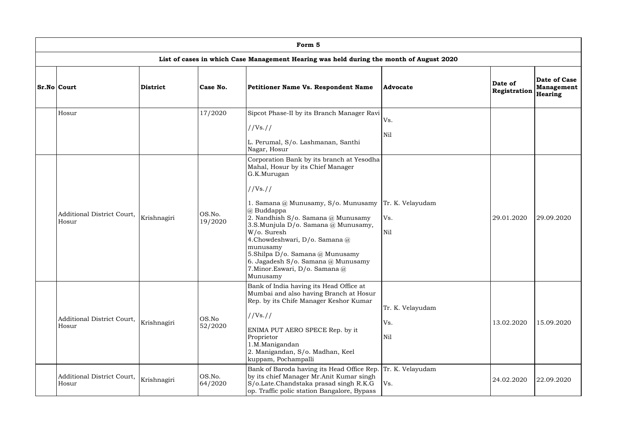| Form 5                                                                                  |                 |                   |                                                                                                                                                                                                                                                                                                                                                                                                                                 |                                |                         |                                                     |  |  |  |  |  |
|-----------------------------------------------------------------------------------------|-----------------|-------------------|---------------------------------------------------------------------------------------------------------------------------------------------------------------------------------------------------------------------------------------------------------------------------------------------------------------------------------------------------------------------------------------------------------------------------------|--------------------------------|-------------------------|-----------------------------------------------------|--|--|--|--|--|
| List of cases in which Case Management Hearing was held during the month of August 2020 |                 |                   |                                                                                                                                                                                                                                                                                                                                                                                                                                 |                                |                         |                                                     |  |  |  |  |  |
| <b>Sr.No Court</b>                                                                      | <b>District</b> | Case No.          | Petitioner Name Vs. Respondent Name                                                                                                                                                                                                                                                                                                                                                                                             | <b>Advocate</b>                | Date of<br>Registration | <b>Date of Case</b><br><b>Management</b><br>Hearing |  |  |  |  |  |
| Hosur                                                                                   |                 | 17/2020           | Sipcot Phase-II by its Branch Manager Ravi<br>//Vs. //<br>L. Perumal, S/o. Lashmanan, Santhi<br>Nagar, Hosur                                                                                                                                                                                                                                                                                                                    | Vs.<br>Nil                     |                         |                                                     |  |  |  |  |  |
| Additional District Court,<br>Hosur                                                     | Krishnagiri     | OS.No.<br>19/2020 | Corporation Bank by its branch at Yesodha<br>Mahal, Hosur by its Chief Manager<br>G.K.Murugan<br>//Vs. //<br>1. Samana @ Munusamy, S/o. Munusamy<br>@ Buddappa<br>2. Nandhish S/o. Samana @ Munusamy<br>3.S.Munjula D/o. Samana @ Munusamy,<br>W/o. Suresh<br>4.Chowdeshwari, D/o. Samana @<br>munusamy<br>5.Shilpa D/o. Samana @ Munusamy<br>6. Jagadesh S/o. Samana @ Munusamy<br>7. Minor. Eswari, D/o. Samana @<br>Munusamy | Tr. K. Velayudam<br>Vs.<br>Nil | 29.01.2020              | 29.09.2020                                          |  |  |  |  |  |
| Additional District Court,<br>Hosur                                                     | Krishnagiri     | OS.No<br>52/2020  | Bank of India having its Head Office at<br>Mumbai and also having Branch at Hosur<br>Rep. by its Chife Manager Keshor Kumar<br>//Vs. //<br>ENIMA PUT AERO SPECE Rep. by it<br>Proprietor<br>1.M.Manigandan<br>2. Manigandan, S/o. Madhan, Keel<br>kuppam, Pochampalli                                                                                                                                                           | Tr. K. Velayudam<br>Vs.<br>Nil | 13.02.2020              | 15.09.2020                                          |  |  |  |  |  |
| Additional District Court,<br>Hosur                                                     | Krishnagiri     | OS.No.<br>64/2020 | Bank of Baroda having its Head Office Rep. Tr. K. Velayudam<br>by its chief Manager Mr.Anit Kumar singh<br>S/o.Late.Chandstaka prasad singh R.K.G<br>op. Traffic polic station Bangalore, Bypass                                                                                                                                                                                                                                | Vs.                            | 24.02.2020              | 22.09.2020                                          |  |  |  |  |  |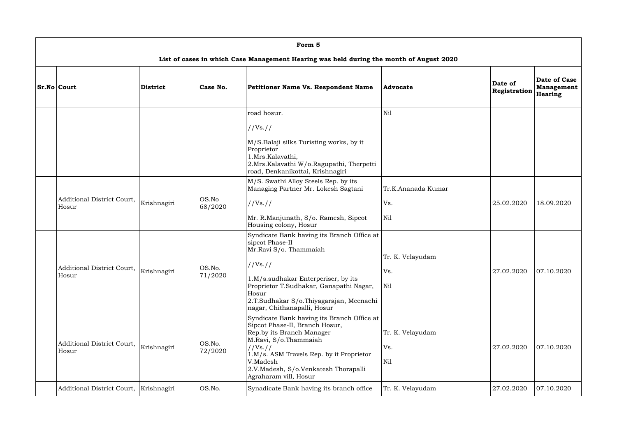| Form 5                                                                                  |                 |                   |                                                                                                                                                                                                                                                                          |                                              |                         |                                              |  |  |  |  |  |
|-----------------------------------------------------------------------------------------|-----------------|-------------------|--------------------------------------------------------------------------------------------------------------------------------------------------------------------------------------------------------------------------------------------------------------------------|----------------------------------------------|-------------------------|----------------------------------------------|--|--|--|--|--|
| List of cases in which Case Management Hearing was held during the month of August 2020 |                 |                   |                                                                                                                                                                                                                                                                          |                                              |                         |                                              |  |  |  |  |  |
| <b>Sr.No Court</b>                                                                      | <b>District</b> | Case No.          | Petitioner Name Vs. Respondent Name                                                                                                                                                                                                                                      | <b>Advocate</b>                              | Date of<br>Registration | Date of Case<br><b>Management</b><br>Hearing |  |  |  |  |  |
|                                                                                         |                 |                   | road hosur.<br>//Vs. //<br>M/S.Balaji silks Turisting works, by it<br>Proprietor<br>1.Mrs.Kalavathi,<br>2.Mrs. Kalavathi W/o. Ragupathi, Therpetti<br>road, Denkanikottai, Krishnagiri                                                                                   | Nil                                          |                         |                                              |  |  |  |  |  |
| Additional District Court,<br>Hosur                                                     | Krishnagiri     | OS.No<br>68/2020  | M/S. Swathi Alloy Steels Rep. by its<br>Managing Partner Mr. Lokesh Sagtani<br>//Vs. //<br>Mr. R.Manjunath, S/o. Ramesh, Sipcot<br>Housing colony, Hosur                                                                                                                 | Tr.K.Ananada Kumar<br>Vs.<br>N <sub>il</sub> | 25.02.2020              | 18.09.2020                                   |  |  |  |  |  |
| Additional District Court,<br>Hosur                                                     | Krishnagiri     | OS.No.<br>71/2020 | Syndicate Bank having its Branch Office at<br>sipcot Phase-II<br>Mr.Ravi S/o. Thammaiah<br>//Vs. //<br>1.M/s.sudhakar Enterperiser, by its<br>Proprietor T.Sudhakar, Ganapathi Nagar,<br>Hosur<br>2.T.Sudhakar S/o.Thiyagarajan, Meenachi<br>nagar, Chithanapalli, Hosur | Tr. K. Velayudam<br>Vs.<br>Nil               | 27.02.2020              | [07.10.2020]                                 |  |  |  |  |  |
| Additional District Court,<br>Hosur                                                     | Krishnagiri     | OS.No.<br>72/2020 | Syndicate Bank having its Branch Office at<br>Sipcot Phase-II, Branch Hosur,<br>Rep.by its Branch Manager<br>M.Ravi, S/o.Thammaiah<br>//Vs. //<br>1.M/s. ASM Travels Rep. by it Proprietor<br>V.Madesh<br>2.V.Madesh, S/o.Venkatesh Thorapalli<br>Agraharam vill, Hosur  | Tr. K. Velayudam<br>Vs.<br>Nil               | 27.02.2020              | 07.10.2020                                   |  |  |  |  |  |
| Additional District Court,                                                              | Krishnagiri     | OS.No.            | Synadicate Bank having its branch office                                                                                                                                                                                                                                 | Tr. K. Velayudam                             | 27.02.2020              | 07.10.2020                                   |  |  |  |  |  |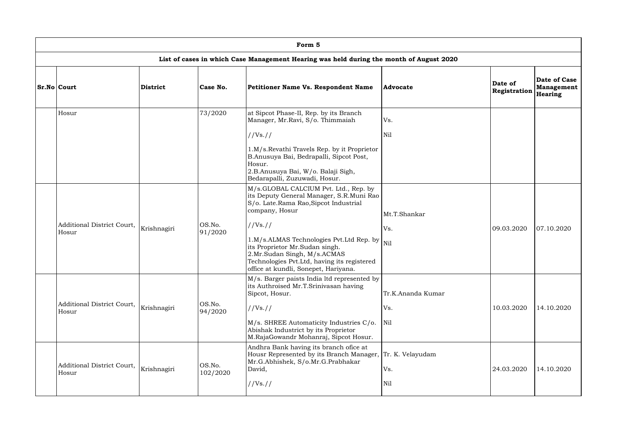| Form 5                                                                                  |                 |                    |                                                                                                                                                                                                  |                   |                         |                                              |  |  |  |  |  |
|-----------------------------------------------------------------------------------------|-----------------|--------------------|--------------------------------------------------------------------------------------------------------------------------------------------------------------------------------------------------|-------------------|-------------------------|----------------------------------------------|--|--|--|--|--|
| List of cases in which Case Management Hearing was held during the month of August 2020 |                 |                    |                                                                                                                                                                                                  |                   |                         |                                              |  |  |  |  |  |
| $Sr.No $ Court                                                                          | <b>District</b> | Case No.           | Petitioner Name Vs. Respondent Name                                                                                                                                                              | <b>Advocate</b>   | Date of<br>Registration | Date of Case<br><b>Management</b><br>Hearing |  |  |  |  |  |
| Hosur                                                                                   |                 | 73/2020            | at Sipcot Phase-II, Rep. by its Branch<br>Manager, Mr.Ravi, S/o. Thimmaiah                                                                                                                       | Vs.               |                         |                                              |  |  |  |  |  |
|                                                                                         |                 |                    | //Vs. //                                                                                                                                                                                         | Nil               |                         |                                              |  |  |  |  |  |
|                                                                                         |                 |                    | 1.M/s.Revathi Travels Rep. by it Proprietor<br>B.Anusuya Bai, Bedrapalli, Sipcot Post,<br>Hosur.<br>2.B.Anusuya Bai, W/o. Balaji Sigh,<br>Bedarapalli, Zuzuwadi, Hosur.                          |                   |                         |                                              |  |  |  |  |  |
|                                                                                         |                 |                    | M/s.GLOBAL CALCIUM Pvt. Ltd., Rep. by<br>its Deputy General Manager, S.R.Muni Rao<br>S/o. Late.Rama Rao,Sipcot Industrial<br>company, Hosur                                                      | Mt.T.Shankar      |                         |                                              |  |  |  |  |  |
| Additional District Court,<br>Hosur                                                     | Krishnagiri     | OS.No.<br>91/2020  | //Vs. //                                                                                                                                                                                         | Vs.               | 09.03.2020              | 07.10.2020                                   |  |  |  |  |  |
|                                                                                         |                 |                    | 1.M/s.ALMAS Technologies Pvt.Ltd Rep. by<br>its Proprietor Mr.Sudan singh.<br>2.Mr.Sudan Singh, M/s.ACMAS<br>Technologies Pvt.Ltd, having its registered<br>office at kundli, Sonepet, Hariyana. | Ni1               |                         |                                              |  |  |  |  |  |
|                                                                                         |                 |                    | M/s. Barger paists India ltd represented by<br>its Authroised Mr.T.Srinivasan having<br>Sipcot, Hosur.                                                                                           | Tr.K.Ananda Kumar |                         |                                              |  |  |  |  |  |
| Additional District Court,<br>Hosur                                                     | Krishnagiri     | OS.No.<br>94/2020  | //Vs. //                                                                                                                                                                                         | Vs.               | 10.03.2020              | 14.10.2020                                   |  |  |  |  |  |
|                                                                                         |                 |                    | M/s. SHREE Automaticity Industries C/o.<br>Abishak Industrict by its Proprietor<br>M.RajaGowandr Mohanraj, Sipcot Hosur.                                                                         | Nil               |                         |                                              |  |  |  |  |  |
| Additional District Court,<br>Hosur                                                     | Krishnagiri     | OS.No.<br>102/2020 | Andhra Bank having its branch ofice at<br>Housr Represented by its Branch Manager, Tr. K. Velayudam<br>Mr.G.Abhishek, S/o.Mr.G.Prabhakar<br>David,                                               | Vs.               | 24.03.2020              | 14.10.2020                                   |  |  |  |  |  |
|                                                                                         |                 |                    | //Vs. //                                                                                                                                                                                         | Nil               |                         |                                              |  |  |  |  |  |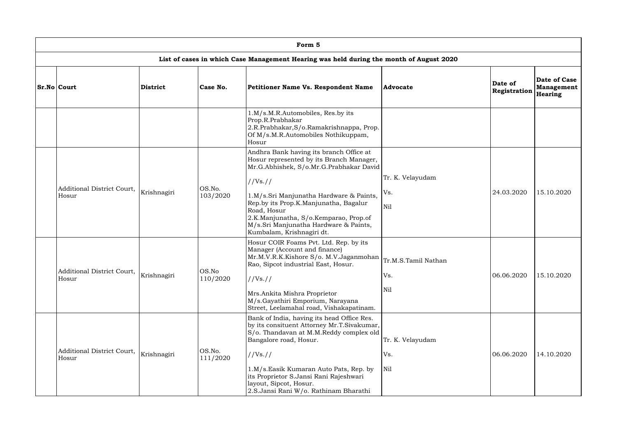| Form 5                                                                                  |                 |                    |                                                                                                                                                                                                                                                                                                                                |                                   |                         |                                                     |  |  |  |  |  |
|-----------------------------------------------------------------------------------------|-----------------|--------------------|--------------------------------------------------------------------------------------------------------------------------------------------------------------------------------------------------------------------------------------------------------------------------------------------------------------------------------|-----------------------------------|-------------------------|-----------------------------------------------------|--|--|--|--|--|
| List of cases in which Case Management Hearing was held during the month of August 2020 |                 |                    |                                                                                                                                                                                                                                                                                                                                |                                   |                         |                                                     |  |  |  |  |  |
| <b>Sr.No Court</b>                                                                      | <b>District</b> | Case No.           | Petitioner Name Vs. Respondent Name                                                                                                                                                                                                                                                                                            | <b>Advocate</b>                   | Date of<br>Registration | <b>Date of Case</b><br><b>Management</b><br>Hearing |  |  |  |  |  |
|                                                                                         |                 |                    | 1.M/s.M.R.Automobiles, Res.by its<br>Prop.R.Prabhakar<br>2.R.Prabhakar, S/o.Ramakrishnappa, Prop.<br>Of M/s.M.R.Automobiles Nothikuppam,<br>Hosur                                                                                                                                                                              |                                   |                         |                                                     |  |  |  |  |  |
|                                                                                         |                 |                    | Andhra Bank having its branch Office at<br>Hosur represented by its Branch Manager,<br>Mr.G.Abhishek, S/o.Mr.G.Prabhakar David                                                                                                                                                                                                 |                                   |                         |                                                     |  |  |  |  |  |
| Additional District Court,<br>Hosur                                                     | Krishnagiri     | OS.No.<br>103/2020 | //Vs. //<br>1.M/s.Sri Manjunatha Hardware & Paints,<br>Rep.by its Prop.K.Manjunatha, Bagalur<br>Road, Hosur<br>2.K.Manjunatha, S/o.Kemparao, Prop.of<br>M/s.Sri Manjunatha Hardware & Paints,<br>Kumbalam, Krishnagiri dt.<br>Hosur COIR Foams Pvt. Ltd. Rep. by its<br>Manager (Account and finance)                          | Tr. K. Velayudam<br>Vs.<br>Nil    | 24.03.2020              | 15.10.2020                                          |  |  |  |  |  |
| Additional District Court,<br>Hosur                                                     | Krishnagiri     | OS.No<br>110/2020  | Mr.M.V.R.K.Kishore S/o. M.V.Jaganmohan<br>Rao, Sipcot industrial East, Hosur.<br>//Vs. //<br>Mrs.Ankita Mishra Proprietor<br>M/s.Gayathiri Emporium, Narayana<br>Street, Leelamahal road, Vishakapatinam.                                                                                                                      | Tr.M.S.Tamil Nathan<br>Vs.<br>Nil | 06.06.2020              | 15.10.2020                                          |  |  |  |  |  |
| Additional District Court,<br>Hosur                                                     | Krishnagiri     | OS.No.<br>111/2020 | Bank of India, having its head Office Res.<br>by its consituent Attorney Mr.T.Sivakumar,<br>S/o. Thandavan at M.M.Reddy complex old<br>Bangalore road, Hosur.<br>//Vs//<br>1.M/s.Easik Kumaran Auto Pats, Rep. by<br>its Proprietor S.Jansi Rani Rajeshwari<br>layout, Sipcot, Hosur.<br>2.S.Jansi Rani W/o. Rathinam Bharathi | Tr. K. Velayudam<br>Vs.<br>Nil    | 06.06.2020              | 14.10.2020                                          |  |  |  |  |  |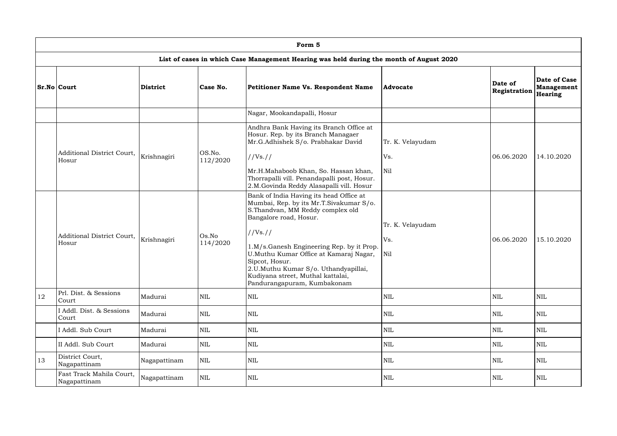|               | Form 5                                                                                  |                 |                    |                                                                                                                                                                                                                                                                                                                                                                                   |                                |                         |                                              |  |  |  |  |  |
|---------------|-----------------------------------------------------------------------------------------|-----------------|--------------------|-----------------------------------------------------------------------------------------------------------------------------------------------------------------------------------------------------------------------------------------------------------------------------------------------------------------------------------------------------------------------------------|--------------------------------|-------------------------|----------------------------------------------|--|--|--|--|--|
|               | List of cases in which Case Management Hearing was held during the month of August 2020 |                 |                    |                                                                                                                                                                                                                                                                                                                                                                                   |                                |                         |                                              |  |  |  |  |  |
|               | <b>Sr.No Court</b>                                                                      | <b>District</b> | Case No.           | Petitioner Name Vs. Respondent Name                                                                                                                                                                                                                                                                                                                                               | Advocate                       | Date of<br>Registration | Date of Case<br><b>Management</b><br>Hearing |  |  |  |  |  |
|               |                                                                                         |                 |                    | Nagar, Mookandapalli, Hosur                                                                                                                                                                                                                                                                                                                                                       |                                |                         |                                              |  |  |  |  |  |
|               | Additional District Court,<br>Hosur                                                     | Krishnagiri     | OS.No.<br>112/2020 | Andhra Bank Having its Branch Office at<br>Hosur. Rep. by its Branch Managaer<br>Mr.G.Adhishek S/o. Prabhakar David<br>//Vs. //<br>Mr.H.Mahaboob Khan, So. Hassan khan,<br>Thorrapalli vill. Penandapalli post, Hosur.<br>2.M.Govinda Reddy Alasapalli vill. Hosur                                                                                                                | Tr. K. Velayudam<br>Vs.<br>Nil | 06.06.2020              | 14.10.2020                                   |  |  |  |  |  |
|               | Additional District Court,<br>Hosur                                                     | Krishnagiri     | Os.No<br>114/2020  | Bank of India Having its head Office at<br>Mumbai, Rep. by its Mr.T.Sivakumar S/o.<br>S.Thandvan, MM Reddy complex old<br>Bangalore road, Hosur.<br>//Vs. //<br>1.M/s.Ganesh Engineering Rep. by it Prop.<br>U.Muthu Kumar Office at Kamaraj Nagar,<br>Sipcot, Hosur.<br>2.U.Muthu Kumar S/o. Uthandyapillai,<br>Kudiyana street, Muthal kattalai,<br>Pandurangapuram, Kumbakonam | Tr. K. Velayudam<br>Vs.<br>Nil | 06.06.2020              | 15.10.2020                                   |  |  |  |  |  |
| <sup>12</sup> | Prl. Dist. & Sessions<br>Court                                                          | Madurai         | $\mbox{NIL}$       | $\mbox{NIL}$                                                                                                                                                                                                                                                                                                                                                                      | $\mbox{NIL}$                   | <b>NIL</b>              | <b>NIL</b>                                   |  |  |  |  |  |
|               | I Addl. Dist. & Sessions<br>Court                                                       | Madurai         | $\mbox{NIL}$       | <b>NIL</b>                                                                                                                                                                                                                                                                                                                                                                        | <b>NIL</b>                     | <b>NIL</b>              | <b>NIL</b>                                   |  |  |  |  |  |
|               | I Addl. Sub Court                                                                       | Madurai         | $\mbox{NIL}$       | <b>NIL</b>                                                                                                                                                                                                                                                                                                                                                                        | <b>NIL</b>                     | <b>NIL</b>              | <b>NIL</b>                                   |  |  |  |  |  |
|               | II Addl. Sub Court                                                                      | Madurai         | <b>NIL</b>         | <b>NIL</b>                                                                                                                                                                                                                                                                                                                                                                        | <b>NIL</b>                     | <b>NIL</b>              | <b>NIL</b>                                   |  |  |  |  |  |
| 13            | District Court,<br>Nagapattinam                                                         | Nagapattinam    | $\mbox{NIL}$       | <b>NIL</b>                                                                                                                                                                                                                                                                                                                                                                        | <b>NIL</b>                     | <b>NIL</b>              | <b>NIL</b>                                   |  |  |  |  |  |
|               | Fast Track Mahila Court,<br>Nagapattinam                                                | Nagapattinam    | $\mbox{NIL}$       | $\mbox{NIL}$                                                                                                                                                                                                                                                                                                                                                                      | <b>NIL</b>                     | <b>NIL</b>              | <b>NIL</b>                                   |  |  |  |  |  |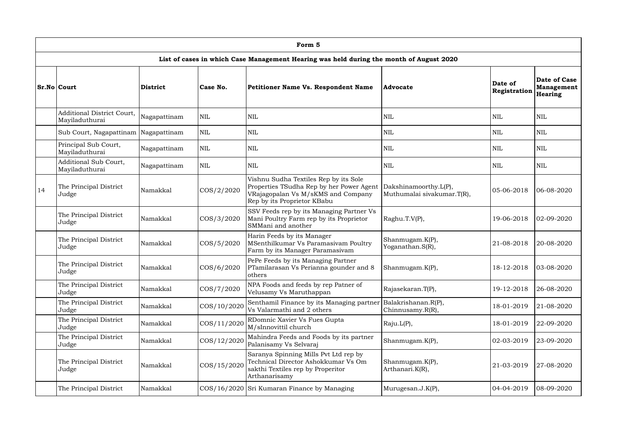|    | Form 5                                       |                 |               |                                                                                                                                                        |                                                     |                         |                                                     |  |  |  |  |  |
|----|----------------------------------------------|-----------------|---------------|--------------------------------------------------------------------------------------------------------------------------------------------------------|-----------------------------------------------------|-------------------------|-----------------------------------------------------|--|--|--|--|--|
|    |                                              |                 |               | List of cases in which Case Management Hearing was held during the month of August 2020                                                                |                                                     |                         |                                                     |  |  |  |  |  |
|    | $Sr.No $ Court                               | <b>District</b> | Case No.      | Petitioner Name Vs. Respondent Name                                                                                                                    | <b>Advocate</b>                                     | Date of<br>Registration | Date of Case<br><b>Management</b><br><b>Hearing</b> |  |  |  |  |  |
|    | Additional District Court,<br>Mayiladuthurai | Nagapattinam    | <b>NIL</b>    | <b>NIL</b>                                                                                                                                             | <b>NIL</b>                                          | <b>NIL</b>              | <b>NIL</b>                                          |  |  |  |  |  |
|    | Sub Court, Nagapattinam   Nagapattinam       |                 | $\mbox{NIL}$  | <b>NIL</b>                                                                                                                                             | <b>NIL</b>                                          | <b>NIL</b>              | $\mbox{NIL}$                                        |  |  |  |  |  |
|    | Principal Sub Court,<br>Mayiladuthurai       | Nagapattinam    | <b>NIL</b>    | <b>NIL</b>                                                                                                                                             | <b>NIL</b>                                          | <b>NIL</b>              | <b>NIL</b>                                          |  |  |  |  |  |
|    | Additional Sub Court,<br>Mayiladuthurai      | Nagapattinam    | $\mbox{NIL}$  | <b>NIL</b>                                                                                                                                             | <b>NIL</b>                                          | <b>NIL</b>              | <b>NIL</b>                                          |  |  |  |  |  |
| 14 | The Principal District<br>Judge              | Namakkal        | $\cos/2/2020$ | Vishnu Sudha Textiles Rep by its Sole<br>Properties TSudha Rep by her Power Agent<br>VRajagopalan Vs M/sKMS and Company<br>Rep by its Proprietor KBabu | Dakshinamoorthy.L(P),<br>Muthumalai sivakumar.T(R), | 05-06-2018              | 06-08-2020                                          |  |  |  |  |  |
|    | The Principal District<br>Judge              | Namakkal        | $\cos/3/2020$ | SSV Feeds rep by its Managing Partner Vs<br>Mani Poultry Farm rep by its Proprietor<br>SMMani and another                                              | Raghu.T.V(P),                                       | 19-06-2018              | 02-09-2020                                          |  |  |  |  |  |
|    | The Principal District<br>Judge              | Namakkal        | $\cos/5/2020$ | Harin Feeds by its Manager<br>MSenthilkumar Vs Paramasivam Poultry<br>Farm by its Manager Paramasivam                                                  | Shanmugam.K(P),<br>Yoganathan.S(R),                 | 21-08-2018              | 20-08-2020                                          |  |  |  |  |  |
|    | The Principal District<br>Judge              | Namakkal        | $\cos/6/2020$ | PePe Feeds by its Managing Partner<br>PTamilarasan Vs Perianna gounder and 8<br>others                                                                 | Shanmugam.K(P),                                     | 18-12-2018              | $ 03-08-2020$                                       |  |  |  |  |  |
|    | The Principal District<br>Judge              | Namakkal        | $\cos/7/2020$ | NPA Foods and feeds by rep Patner of<br>Velusamy Vs Maruthappan                                                                                        | Rajasekaran.T(P),                                   | 19-12-2018              | 26-08-2020                                          |  |  |  |  |  |
|    | The Principal District<br>Judge              | Namakkal        | COS/10/2020   | Senthamil Finance by its Managing partner<br>Vs Valarmathi and 2 others                                                                                | Balakrishanan.R(P),<br>Chinnusamy.R(R),             | 18-01-2019              | 21-08-2020                                          |  |  |  |  |  |
|    | The Principal District<br>Judge              | Namakkal        | COS/11/2020   | RDomnic Xavier Vs Fues Gupta<br>M/sInnovittil church                                                                                                   | Raju.L(P),                                          | 18-01-2019              | 22-09-2020                                          |  |  |  |  |  |
|    | The Principal District<br>Judge              | Namakkal        | COS/12/2020   | Mahindra Feeds and Foods by its partner<br>Palanisamy Vs Selvaraj                                                                                      | Shanmugam.K(P),                                     | 02-03-2019              | 23-09-2020                                          |  |  |  |  |  |
|    | The Principal District<br>Judge              | Namakkal        | COS/15/2020   | Saranya Spinning Mills Pvt Ltd rep by<br>Technical Director Ashokkumar Vs Om<br>sakthi Textiles rep by Properitor<br>Arthanarisamy                     | Shanmugam. $K(P)$ ,<br>Arthanari.K(R),              | 21-03-2019              | 27-08-2020                                          |  |  |  |  |  |
|    | The Principal District                       | Namakkal        |               | $\cos/16/2020$ Sri Kumaran Finance by Managing                                                                                                         | Murugesan.J.K(P),                                   | $ 04 - 04 - 2019$       | 08-09-2020                                          |  |  |  |  |  |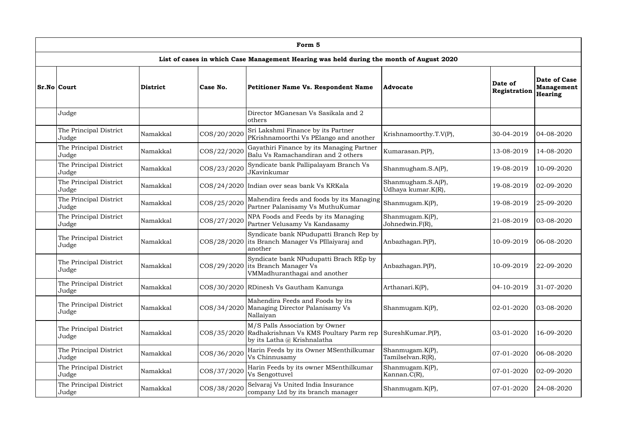| Form 5                          |                 |             |                                                                                                                                       |                                          |                         |                                                            |  |  |  |  |
|---------------------------------|-----------------|-------------|---------------------------------------------------------------------------------------------------------------------------------------|------------------------------------------|-------------------------|------------------------------------------------------------|--|--|--|--|
|                                 |                 |             | List of cases in which Case Management Hearing was held during the month of August 2020                                               |                                          |                         |                                                            |  |  |  |  |
| <b>Sr.No Court</b>              | <b>District</b> | Case No.    | <b>Petitioner Name Vs. Respondent Name</b>                                                                                            | <b>Advocate</b>                          | Date of<br>Registration | <b>Date of Case</b><br><b>Management</b><br><b>Hearing</b> |  |  |  |  |
| Judge                           |                 |             | Director MGanesan Vs Sasikala and 2<br>others                                                                                         |                                          |                         |                                                            |  |  |  |  |
| The Principal District<br>Judge | Namakkal        | COS/20/2020 | Sri Lakshmi Finance by its Partner<br>PKrishnamoorthi Vs PElango and another                                                          | Krishnamoorthy.T.V(P),                   | 30-04-2019              | 04-08-2020                                                 |  |  |  |  |
| The Principal District<br>Judge | Namakkal        | COS/22/2020 | Gayathiri Finance by its Managing Partner<br>Balu Vs Ramachandiran and 2 others                                                       | Kumarasan.P(P),                          | 13-08-2019              | 14-08-2020                                                 |  |  |  |  |
| The Principal District<br>Judge | Namakkal        | COS/23/2020 | Syndicate bank Pallipalayam Branch Vs<br>JKavinkumar                                                                                  | Shanmugham.S.A(P),                       | 19-08-2019              | 10-09-2020                                                 |  |  |  |  |
| The Principal District<br>Judge | Namakkal        |             | COS/24/2020 Indian over seas bank Vs KRKala                                                                                           | Shanmugham.S.A(P),<br>Udhaya kumar.K(R), | 19-08-2019              | 02-09-2020                                                 |  |  |  |  |
| The Principal District<br>Judge | Namakkal        | COS/25/2020 | Mahendira feeds and foods by its Managing<br>Partner Palanisamy Vs MuthuKumar                                                         | Shanmugam.K(P),                          | 19-08-2019              | 25-09-2020                                                 |  |  |  |  |
| The Principal District<br>Judge | Namakkal        | COS/27/2020 | NPA Foods and Feeds by its Managing<br>Partner Velusamy Vs Kandasamy                                                                  | Shanmugam.K(P),<br>Johnedwin.F(R),       | 21-08-2019              | 03-08-2020                                                 |  |  |  |  |
| The Principal District<br>Judge | Namakkal        |             | Syndicate bank NPudupatti Branch Rep by<br>COS/28/2020 its Branch Manager Vs PIllaiyaraj and<br>another                               | Anbazhagan.P(P),                         | 10-09-2019              | 06-08-2020                                                 |  |  |  |  |
| The Principal District<br>Judge | Namakkal        |             | Syndicate bank NPudupatti Brach REp by<br>COS/29/2020 its Branch Manager Vs<br>VMMadhuranthagai and another                           | Anbazhagan.P(P),                         | 10-09-2019              | 22-09-2020                                                 |  |  |  |  |
| The Principal District<br>Judge | Namakkal        |             | COS/30/2020 RDinesh Vs Gautham Kanunga                                                                                                | Arthanari.K(P),                          | 04-10-2019              | 31-07-2020                                                 |  |  |  |  |
| The Principal District<br>Judge | Namakkal        |             | Mahendira Feeds and Foods by its<br>COS/34/2020 Managing Director Palanisamy Vs<br>Nallaiyan                                          | Shanmugam.K(P),                          | 02-01-2020              | 03-08-2020                                                 |  |  |  |  |
| The Principal District<br>Judge | Namakkal        |             | M/S Palls Association by Owner<br>COS/35/2020 Radhakrishnan Vs KMS Poultary Parm rep SureshKumar.P(P),<br>by its Latha @ Krishnalatha |                                          | 03-01-2020              | 16-09-2020                                                 |  |  |  |  |
| The Principal District<br>Judge | Namakkal        | COS/36/2020 | Harin Feeds by its Owner MSenthilkumar<br>Vs Chinnusamy                                                                               | Shanmugam.K(P),<br>Tamilselvan.R(R),     | 07-01-2020              | 06-08-2020                                                 |  |  |  |  |
| The Principal District<br>Judge | Namakkal        | COS/37/2020 | Harin Feeds by its owner MSenthilkumar<br>Vs Sengottuvel                                                                              | Shanmugam.K(P),<br>Kannan.C(R),          | 07-01-2020              | 02-09-2020                                                 |  |  |  |  |
| The Principal District<br>Judge | Namakkal        | COS/38/2020 | Selvaraj Vs United India Insurance<br>company Ltd by its branch manager                                                               | Shanmugam.K(P),                          | 07-01-2020              | 24-08-2020                                                 |  |  |  |  |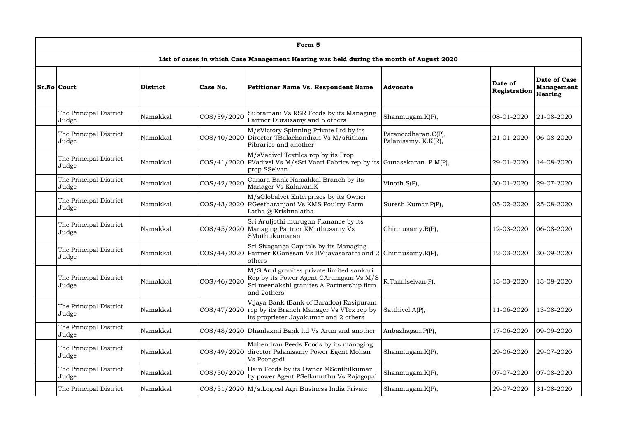| Form 5                          |                 |             |                                                                                                                                                 |                                            |                         |                                              |  |  |  |  |  |  |
|---------------------------------|-----------------|-------------|-------------------------------------------------------------------------------------------------------------------------------------------------|--------------------------------------------|-------------------------|----------------------------------------------|--|--|--|--|--|--|
|                                 |                 |             | List of cases in which Case Management Hearing was held during the month of August 2020                                                         |                                            |                         |                                              |  |  |  |  |  |  |
| <b>Sr.No Court</b>              | <b>District</b> | Case No.    | <b>Petitioner Name Vs. Respondent Name</b>                                                                                                      | Advocate                                   | Date of<br>Registration | Date of Case<br><b>Management</b><br>Hearing |  |  |  |  |  |  |
| The Principal District<br>Judge | Namakkal        | COS/39/2020 | Subramani Vs RSR Feeds by its Managing<br>Partner Duraisamy and 5 others                                                                        | Shanmugam.K(P),                            | 08-01-2020              | 21-08-2020                                   |  |  |  |  |  |  |
| The Principal District<br>Judge | Namakkal        |             | M/sVictory Spinning Private Ltd by its<br>COS/40/2020 Director TBalachandran Vs M/sRitham<br>Fibrarics and another                              | Paraneedharan.C(P),<br>Palanisamy. K.K(R), | 21-01-2020              | $ 06-08-2020 $                               |  |  |  |  |  |  |
| The Principal District<br>Judge | Namakkal        |             | M/sVadivel Textiles rep by its Prop<br>COS/41/2020 PVadivel Vs M/sSri Vaari Fabrics rep by its Gunasekaran. P.M(P),<br>prop SSelvan             |                                            | 29-01-2020              | 14-08-2020                                   |  |  |  |  |  |  |
| The Principal District<br>Judge | Namakkal        | COS/42/2020 | Canara Bank Namakkal Branch by its<br>Manager Vs KalaivaniK                                                                                     | Vinoth.S(P),                               | 30-01-2020              | 29-07-2020                                   |  |  |  |  |  |  |
| The Principal District<br>Judge | Namakkal        | COS/43/2020 | M/sGlobalvet Enterprises by its Owner<br>RGeetharanjani Vs KMS Poultry Farm<br>Latha @ Krishnalatha                                             | Suresh Kumar.P(P),                         | 05-02-2020              | 25-08-2020                                   |  |  |  |  |  |  |
| The Principal District<br>Judge | Namakkal        | COS/45/2020 | Sri Aruljothi murugan Fianance by its<br>Managing Partner KMuthusamy Vs<br>SMuthukumaran                                                        | Chinnusamy.R(P),                           | 12-03-2020              | 06-08-2020                                   |  |  |  |  |  |  |
| The Principal District<br>Judge | Namakkal        | COS/44/2020 | Sri Sivaganga Capitals by its Managing<br>Partner KGanesan Vs BVijayasarathi and 2 Chinnusamy.R(P),<br>others                                   |                                            | 12-03-2020              | 30-09-2020                                   |  |  |  |  |  |  |
| The Principal District<br>Judge | Namakkal        | COS/46/2020 | M/S Arul granites private limited sankari<br>Rep by its Power Agent CArumgam Vs M/S<br>Sri meenakshi granites A Partnership firm<br>and 2others | R.Tamilselvan(P),                          | 13-03-2020              | 13-08-2020                                   |  |  |  |  |  |  |
| The Principal District<br>Judge | Namakkal        |             | Vijaya Bank (Bank of Baradoa) Rasipuram<br>$\cos/47/2020$ rep by its Branch Manager Vs VTex rep by<br>its proprieter Jayakumar and 2 others     | Satthivel.A(P),                            | 11-06-2020              | 13-08-2020                                   |  |  |  |  |  |  |
| The Principal District<br>Judge | Namakkal        |             | COS/48/2020 Dhanlaxmi Bank ltd Vs Arun and another                                                                                              | Anbazhagan.P(P),                           | 17-06-2020              | 09-09-2020                                   |  |  |  |  |  |  |
| The Principal District<br>Judge | Namakkal        |             | Mahendran Feeds Foods by its managing<br>COS/49/2020 director Palanisamy Power Egent Mohan<br>Vs Poongodi                                       | Shanmugam.K(P),                            | 29-06-2020              | 29-07-2020                                   |  |  |  |  |  |  |
| The Principal District<br>Judge | Namakkal        | COS/50/2020 | Hain Feeds by its Owner MSenthilkumar<br>by power Agent PSellamuthu Vs Rajagopal                                                                | Shanmugam.K(P),                            | 07-07-2020              | 07-08-2020                                   |  |  |  |  |  |  |
| The Principal District          | Namakkal        |             | COS/51/2020   M/s. Logical Agri Business India Private                                                                                          | Shanmugam. $K(P)$ ,                        | 29-07-2020              | 31-08-2020                                   |  |  |  |  |  |  |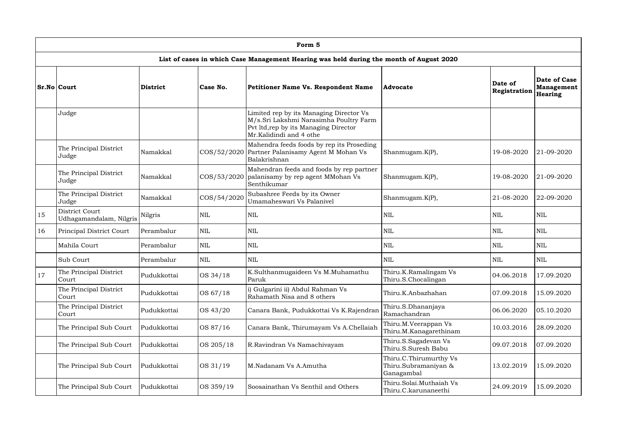|               | Form 5                                    |                 |             |                                                                                                                                                       |                                                              |                         |                                                     |  |  |  |  |  |
|---------------|-------------------------------------------|-----------------|-------------|-------------------------------------------------------------------------------------------------------------------------------------------------------|--------------------------------------------------------------|-------------------------|-----------------------------------------------------|--|--|--|--|--|
|               |                                           |                 |             | List of cases in which Case Management Hearing was held during the month of August 2020                                                               |                                                              |                         |                                                     |  |  |  |  |  |
|               | <b>Sr.No Court</b>                        | <b>District</b> | Case No.    | <b>Petitioner Name Vs. Respondent Name</b>                                                                                                            | Advocate                                                     | Date of<br>Registration | Date of Case<br><b>Management</b><br><b>Hearing</b> |  |  |  |  |  |
|               | Judge                                     |                 |             | Limited rep by its Managing Director Vs<br>M/s.Sri Lakshmi Narasimha Poultry Farm<br>Pvt ltd, rep by its Managing Director<br>Mr.Kalidindi and 4 othe |                                                              |                         |                                                     |  |  |  |  |  |
|               | The Principal District<br>Judge           | Namakkal        |             | Mahendra feeds foods by rep its Proseding<br>COS/52/2020 Partner Palanisamy Agent M Mohan Vs<br>Balakrishnan                                          | Shanmugam.K(P),                                              | 19-08-2020              | 21-09-2020                                          |  |  |  |  |  |
|               | The Principal District<br>Judge           | Namakkal        | COS/53/2020 | Mahendran feeds and foods by rep partner<br>palanisamy by rep agent MMohan Vs<br>Senthikumar                                                          | Shanmugam.K(P),                                              | 19-08-2020              | 21-09-2020                                          |  |  |  |  |  |
|               | The Principal District<br>Judge           | Namakkal        | COS/54/2020 | Subashree Feeds by its Owner<br>Umamaheswari Vs Palanivel                                                                                             | Shanmugam. $K(P)$ ,                                          | 21-08-2020              | 22-09-2020                                          |  |  |  |  |  |
| 15            | District Court<br>Udhagamandalam, Nilgris | Nilgris         | <b>NIL</b>  | $\mbox{NIL}$                                                                                                                                          | <b>NIL</b>                                                   | <b>NIL</b>              | NIL                                                 |  |  |  |  |  |
| 16            | Principal District Court                  | Perambalur      | <b>NIL</b>  | <b>NIL</b>                                                                                                                                            | <b>NIL</b>                                                   | <b>NIL</b>              | <b>NIL</b>                                          |  |  |  |  |  |
|               | Mahila Court                              | Perambalur      | <b>NIL</b>  | $\mbox{NIL}$                                                                                                                                          | <b>NIL</b>                                                   | <b>NIL</b>              | <b>NIL</b>                                          |  |  |  |  |  |
|               | Sub Court                                 | Perambalur      | NIL         | $\mbox{NIL}$                                                                                                                                          | <b>NIL</b>                                                   | <b>NIL</b>              | <b>NIL</b>                                          |  |  |  |  |  |
| <sup>17</sup> | The Principal District<br>Court           | Pudukkottai     | OS 34/18    | K.Sulthanmugaideen Vs M.Muhamathu<br>Paruk                                                                                                            | Thiru.K.Ramalingam Vs<br>Thiru.S.Chocalingan                 | 04.06.2018              | 17.09.2020                                          |  |  |  |  |  |
|               | The Principal District<br>Court           | Pudukkottai     | OS 67/18    | i) Gulgarini ii) Abdul Rahman Vs<br>Rahamath Nisa and 8 others                                                                                        | Thiru.K.Anbazhahan                                           | 07.09.2018              | 15.09.2020                                          |  |  |  |  |  |
|               | The Principal District<br>Court           | Pudukkottai     | OS 43/20    | Canara Bank, Pudukkottai Vs K.Rajendran                                                                                                               | Thiru.S.Dhananjaya<br>Ramachandran                           | 06.06.2020              | 05.10.2020                                          |  |  |  |  |  |
|               | The Principal Sub Court                   | Pudukkottai     | OS 87/16    | Canara Bank, Thirumayam Vs A.Chellaiah                                                                                                                | Thiru.M.Veerappan Vs<br>Thiru.M.Kanagarethinam               | 10.03.2016              | 28.09.2020                                          |  |  |  |  |  |
|               | The Principal Sub Court                   | Pudukkottai     | OS 205/18   | R.Ravindran Vs Namachivayam                                                                                                                           | Thiru.S.Sagadevan Vs<br>Thiru.S.Suresh Babu                  | 09.07.2018              | 07.09.2020                                          |  |  |  |  |  |
|               | The Principal Sub Court                   | Pudukkottai     | OS 31/19    | M.Nadanam Vs A.Amutha                                                                                                                                 | Thiru.C.Thirumurthy Vs<br>Thiru.Subramaniyan &<br>Ganagambal | 13.02.2019              | 15.09.2020                                          |  |  |  |  |  |
|               | The Principal Sub Court                   | Pudukkottai     | OS 359/19   | Soosainathan Vs Senthil and Others                                                                                                                    | Thiru.Solai.Muthaiah Vs<br>Thiru.C.karunaneethi              | 24.09.2019              | 15.09.2020                                          |  |  |  |  |  |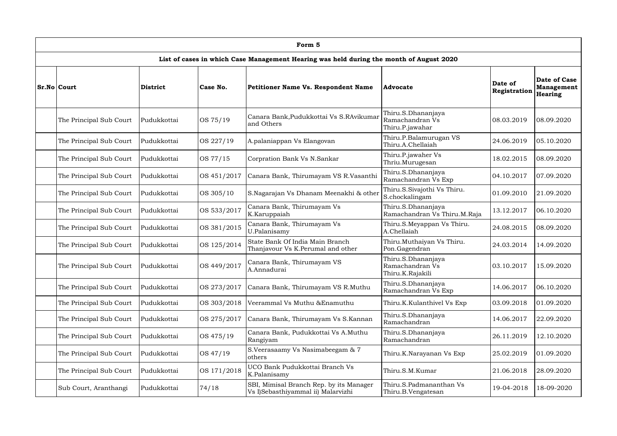| Form 5                  |                 |             |                                                                                         |                                                           |                         |                                                            |  |  |  |  |  |
|-------------------------|-----------------|-------------|-----------------------------------------------------------------------------------------|-----------------------------------------------------------|-------------------------|------------------------------------------------------------|--|--|--|--|--|
|                         |                 |             | List of cases in which Case Management Hearing was held during the month of August 2020 |                                                           |                         |                                                            |  |  |  |  |  |
| <b>Sr.No Court</b>      | <b>District</b> | Case No.    | <b>Petitioner Name Vs. Respondent Name</b>                                              | Advocate                                                  | Date of<br>Registration | <b>Date of Case</b><br><b>Management</b><br><b>Hearing</b> |  |  |  |  |  |
| The Principal Sub Court | Pudukkottai     | OS 75/19    | Canara Bank, Pudukkottai Vs S.RAvikumar<br>and Others                                   | Thiru.S.Dhananjaya<br>Ramachandran Vs<br>Thiru.P.jawahar  | 08.03.2019              | 08.09.2020                                                 |  |  |  |  |  |
| The Principal Sub Court | Pudukkottai     | OS 227/19   | A.palaniappan Vs Elangovan                                                              | Thiru.P.Balamurugan VS<br>Thiru.A.Chellaiah               | 24.06.2019              | 05.10.2020                                                 |  |  |  |  |  |
| The Principal Sub Court | Pudukkottai     | OS 77/15    | Corpration Bank Vs N.Sankar                                                             | Thiru.P.jawaher Vs<br>Thriu.Murugesan                     | 18.02.2015              | 08.09.2020                                                 |  |  |  |  |  |
| The Principal Sub Court | Pudukkottai     | OS 451/2017 | Canara Bank, Thirumayam VS R.Vasanthi                                                   | Thiru.S.Dhananjaya<br>Ramachandran Vs Exp                 | 04.10.2017              | 07.09.2020                                                 |  |  |  |  |  |
| The Principal Sub Court | Pudukkottai     | OS 305/10   | S.Nagarajan Vs Dhanam Meenakhi & other                                                  | Thiru.S.Sivajothi Vs Thiru.<br>S.chockalingam             | 01.09.2010              | 21.09.2020                                                 |  |  |  |  |  |
| The Principal Sub Court | Pudukkottai     | OS 533/2017 | Canara Bank, Thirumayam Vs<br>K.Karuppaiah                                              | Thiru.S.Dhananjaya<br>Ramachandran Vs Thiru.M.Raja        | 13.12.2017              | 06.10.2020                                                 |  |  |  |  |  |
| The Principal Sub Court | Pudukkottai     | OS 381/2015 | Canara Bank, Thirumayam Vs<br>U.Palanisamy                                              | Thiru.S.Meyappan Vs Thiru.<br>A.Chellaiah                 | 24.08.2015              | 08.09.2020                                                 |  |  |  |  |  |
| The Principal Sub Court | Pudukkottai     | OS 125/2014 | State Bank Of India Main Branch<br>Thanjavour Vs K.Perumal and other                    | Thiru. Muthaiyan Vs Thiru.<br>Pon.Gagendran               | 24.03.2014              | 14.09.2020                                                 |  |  |  |  |  |
| The Principal Sub Court | Pudukkottai     | OS 449/2017 | Canara Bank, Thirumayam VS<br>A.Annadurai                                               | Thiru.S.Dhananjaya<br>Ramachandran Vs<br>Thiru.K.Rajakili | 03.10.2017              | 15.09.2020                                                 |  |  |  |  |  |
| The Principal Sub Court | Pudukkottai     | OS 273/2017 | Canara Bank, Thirumayam VS R.Muthu                                                      | Thiru.S.Dhananjaya<br>Ramachandran Vs Exp                 | 14.06.2017              | 06.10.2020                                                 |  |  |  |  |  |
| The Principal Sub Court | Pudukkottai     | OS 303/2018 | Veerammal Vs Muthu & Enamuthu                                                           | Thiru.K.Kulanthivel Vs Exp                                | 03.09.2018              | 01.09.2020                                                 |  |  |  |  |  |
| The Principal Sub Court | Pudukkottai     | OS 275/2017 | Canara Bank, Thirumayam Vs S.Kannan                                                     | Thiru.S.Dhananjaya<br>Ramachandran                        | 14.06.2017              | 22.09.2020                                                 |  |  |  |  |  |
| The Principal Sub Court | Pudukkottai     | OS 475/19   | Canara Bank, Pudukkottai Vs A.Muthu<br>Rangiyam                                         | Thiru.S.Dhananjaya<br>Ramachandran                        | 26.11.2019              | 12.10.2020                                                 |  |  |  |  |  |
| The Principal Sub Court | Pudukkottai     | OS 47/19    | S.Veerasaamy Vs Nasimabeegam & 7<br>others                                              | Thiru.K.Narayanan Vs Exp                                  | 25.02.2019              | 01.09.2020                                                 |  |  |  |  |  |
| The Principal Sub Court | Pudukkottai     | OS 171/2018 | UCO Bank Pudukkottai Branch Vs<br>K.Palanisamy                                          | Thiru.S.M.Kumar                                           | 21.06.2018              | 28.09.2020                                                 |  |  |  |  |  |
| Sub Court, Aranthangi   | Pudukkottai     | 74/18       | SBI, Mimisal Branch Rep. by its Manager<br>Vs I)Sebasthiyammal ii) Malarvizhi           | Thiru.S.Padmananthan Vs<br>Thiru.B.Vengatesan             | 19-04-2018              | 18-09-2020                                                 |  |  |  |  |  |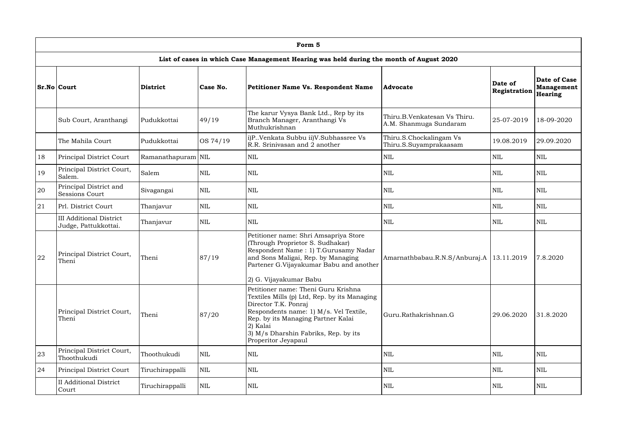|    | Form 5                                                 |                    |              |                                                                                                                                                                                                                                                                        |                                                        |                         |                                                     |  |  |  |  |  |
|----|--------------------------------------------------------|--------------------|--------------|------------------------------------------------------------------------------------------------------------------------------------------------------------------------------------------------------------------------------------------------------------------------|--------------------------------------------------------|-------------------------|-----------------------------------------------------|--|--|--|--|--|
|    |                                                        |                    |              | List of cases in which Case Management Hearing was held during the month of August 2020                                                                                                                                                                                |                                                        |                         |                                                     |  |  |  |  |  |
|    | <b>Sr.No Court</b>                                     | <b>District</b>    | Case No.     | Petitioner Name Vs. Respondent Name                                                                                                                                                                                                                                    | Advocate                                               | Date of<br>Registration | Date of Case<br><b>Management</b><br><b>Hearing</b> |  |  |  |  |  |
|    | Sub Court, Aranthangi                                  | Pudukkottai        | 49/19        | The karur Vysya Bank Ltd., Rep by its<br>Branch Manager, Aranthangi Vs<br>Muthukrishnan                                                                                                                                                                                | Thiru.B.Venkatesan Vs Thiru.<br>A.M. Shanmuga Sundaram | 25-07-2019              | 18-09-2020                                          |  |  |  |  |  |
|    | The Mahila Court                                       | Pudukkottai        | OS 74/19     | i)P. Venkata Subbu ii)V. Subhassree Vs<br>R.R. Srinivasan and 2 another                                                                                                                                                                                                | Thiru.S.Chockalingam Vs<br>Thiru.S.Suyamprakaasam      | 19.08.2019              | 29.09.2020                                          |  |  |  |  |  |
| 18 | Principal District Court                               | Ramanathapuram NIL |              | <b>NIL</b>                                                                                                                                                                                                                                                             | <b>NIL</b>                                             | <b>NIL</b>              | $\mbox{NIL}$                                        |  |  |  |  |  |
| 19 | Principal District Court,<br>Salem.                    | Salem              | <b>NIL</b>   | <b>NIL</b>                                                                                                                                                                                                                                                             | <b>NIL</b>                                             | <b>NIL</b>              | <b>NIL</b>                                          |  |  |  |  |  |
| 20 | Principal District and<br>Sessions Court               | Sivagangai         | <b>NIL</b>   | $\mbox{NIL}$                                                                                                                                                                                                                                                           | <b>NIL</b>                                             | <b>NIL</b>              | <b>NIL</b>                                          |  |  |  |  |  |
| 21 | Prl. District Court                                    | Thanjavur          | <b>NIL</b>   | <b>NIL</b>                                                                                                                                                                                                                                                             | <b>NIL</b>                                             | <b>NIL</b>              | <b>NIL</b>                                          |  |  |  |  |  |
|    | <b>III Additional District</b><br>Judge, Pattukkottai. | Thanjavur          | $\mbox{NIL}$ | <b>NIL</b>                                                                                                                                                                                                                                                             | <b>NIL</b>                                             | <b>NIL</b>              | <b>NIL</b>                                          |  |  |  |  |  |
| 22 | Principal District Court,<br>Theni                     | Theni              | 87/19        | Petitioner name: Shri Amsapriya Store<br>(Through Proprietor S. Sudhakar)<br>Respondent Name: 1) T.Gurusamy Nadar<br>and Sons Maligai, Rep. by Managing<br>Partener G.Vijayakumar Babu and another<br>2) G. Vijayakumar Babu                                           | Amarnathbabau.R.N.S/Anburaj.A                          | 13.11.2019              | 7.8.2020                                            |  |  |  |  |  |
|    | Principal District Court,<br>Theni                     | Theni              | 87/20        | Petitioner name: Theni Guru Krishna<br>Textiles Mills (p) Ltd, Rep. by its Managing<br>Director T.K. Ponraj<br>Respondents name: 1) M/s. Vel Textile,<br>Rep. by its Managing Partner Kalai<br>2) Kalai<br>3) M/s Dharshin Fabriks, Rep. by its<br>Properitor Jeyapaul | Guru.Rathakrishnan.G                                   | 29.06.2020              | 31.8.2020                                           |  |  |  |  |  |
| 23 | Principal District Court,<br>Thoothukudi               | Thoothukudi        | <b>NIL</b>   | $\mbox{NIL}$                                                                                                                                                                                                                                                           | <b>NIL</b>                                             | <b>NIL</b>              | $\mbox{NIL}$                                        |  |  |  |  |  |
| 24 | Principal District Court                               | Tiruchirappalli    | <b>NIL</b>   | $\mbox{NIL}$                                                                                                                                                                                                                                                           | <b>NIL</b>                                             | <b>NIL</b>              | <b>NIL</b>                                          |  |  |  |  |  |
|    | <b>II</b> Additional District<br>Court                 | Tiruchirappalli    | $\mbox{NIL}$ | $\mbox{NIL}$                                                                                                                                                                                                                                                           | <b>NIL</b>                                             | <b>NIL</b>              | $\mbox{NIL}$                                        |  |  |  |  |  |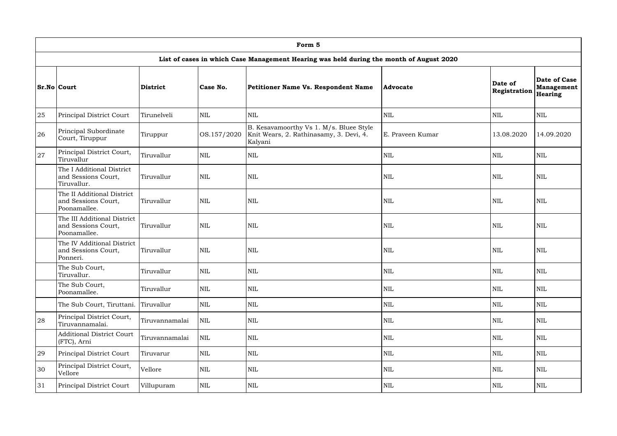|    | Form 5                                                                                  |                 |              |                                                                                               |                  |                         |                                              |  |  |  |  |  |
|----|-----------------------------------------------------------------------------------------|-----------------|--------------|-----------------------------------------------------------------------------------------------|------------------|-------------------------|----------------------------------------------|--|--|--|--|--|
|    | List of cases in which Case Management Hearing was held during the month of August 2020 |                 |              |                                                                                               |                  |                         |                                              |  |  |  |  |  |
|    | <b>Sr.No Court</b>                                                                      | <b>District</b> | Case No.     | Petitioner Name Vs. Respondent Name                                                           | <b>Advocate</b>  | Date of<br>Registration | Date of Case<br><b>Management</b><br>Hearing |  |  |  |  |  |
| 25 | <b>Principal District Court</b>                                                         | Tirunelveli     | <b>NIL</b>   | <b>NIL</b>                                                                                    | <b>NIL</b>       | <b>NIL</b>              | <b>NIL</b>                                   |  |  |  |  |  |
| 26 | Principal Subordinate<br>Court, Tiruppur                                                | Tiruppur        | OS.157/2020  | B. Kesavamoorthy Vs 1. M/s. Bluee Style<br>Knit Wears, 2. Rathinasamy, 3. Devi, 4.<br>Kalyani | E. Praveen Kumar | 13.08.2020              | 14.09.2020                                   |  |  |  |  |  |
| 27 | Principal District Court,<br>Tiruvallur                                                 | Tiruvallur      | NIL          | <b>NIL</b>                                                                                    | <b>NIL</b>       | <b>NIL</b>              | <b>NIL</b>                                   |  |  |  |  |  |
|    | The I Additional District<br>and Sessions Court,<br>Tiruvallur.                         | Tiruvallur      | <b>NIL</b>   | <b>NIL</b>                                                                                    | <b>NIL</b>       | $\mbox{NIL}$            | <b>NIL</b>                                   |  |  |  |  |  |
|    | The II Additional District<br>and Sessions Court,<br>Poonamallee.                       | Tiruvallur      | <b>NIL</b>   | <b>NIL</b>                                                                                    | <b>NIL</b>       | $\mbox{NIL}$            | <b>NIL</b>                                   |  |  |  |  |  |
|    | The III Additional District<br>and Sessions Court,<br>Poonamallee.                      | Tiruvallur      | $\mbox{NIL}$ | <b>NIL</b>                                                                                    | <b>NIL</b>       | $\mbox{NIL}$            | $\mbox{NIL}$                                 |  |  |  |  |  |
|    | The IV Additional District<br>and Sessions Court,<br>Ponneri.                           | Tiruvallur      | <b>NIL</b>   | <b>NIL</b>                                                                                    | <b>NIL</b>       | $\mbox{NIL}$            | $\mbox{NIL}$                                 |  |  |  |  |  |
|    | The Sub Court,<br>Tiruvallur.                                                           | Tiruvallur      | $\mbox{NIL}$ | $\mbox{NIL}$                                                                                  | <b>NIL</b>       | $\mbox{NIL}$            | $\mbox{NIL}$                                 |  |  |  |  |  |
|    | The Sub Court,<br>Poonamallee.                                                          | Tiruvallur      | $\mbox{NIL}$ | $\mbox{NIL}$                                                                                  | $\mbox{NIL}$     | <b>NIL</b>              | <b>NIL</b>                                   |  |  |  |  |  |
|    | The Sub Court, Tiruttani.                                                               | Tiruvallur      | $\mbox{NIL}$ | <b>NIL</b>                                                                                    | <b>NIL</b>       | <b>NIL</b>              | <b>NIL</b>                                   |  |  |  |  |  |
| 28 | Principal District Court,<br>Tiruvannamalai.                                            | Tiruvannamalai  | $\mbox{NIL}$ | <b>NIL</b>                                                                                    | $\mbox{NIL}$     | $\mbox{NIL}$            | NIL                                          |  |  |  |  |  |
|    | <b>Additional District Court</b><br>(FTC), Arni                                         | Tiruvannamalai  | NIL          | <b>NIL</b>                                                                                    | $\mbox{NIL}$     | $\mbox{NIL}$            | NIL                                          |  |  |  |  |  |
| 29 | Principal District Court                                                                | Tiruvarur       | $\mbox{NIL}$ | $\mbox{NIL}$                                                                                  | <b>NIL</b>       | $\mbox{NIL}$            | NIL                                          |  |  |  |  |  |
| 30 | Principal District Court,<br>Vellore                                                    | Vellore         | NIL          | <b>NIL</b>                                                                                    | $\mbox{NIL}$     | <b>NIL</b>              | <b>NIL</b>                                   |  |  |  |  |  |
| 31 | Principal District Court                                                                | Villupuram      | $\mbox{NIL}$ | $\mbox{NIL}$                                                                                  | <b>NIL</b>       | <b>NIL</b>              | <b>NIL</b>                                   |  |  |  |  |  |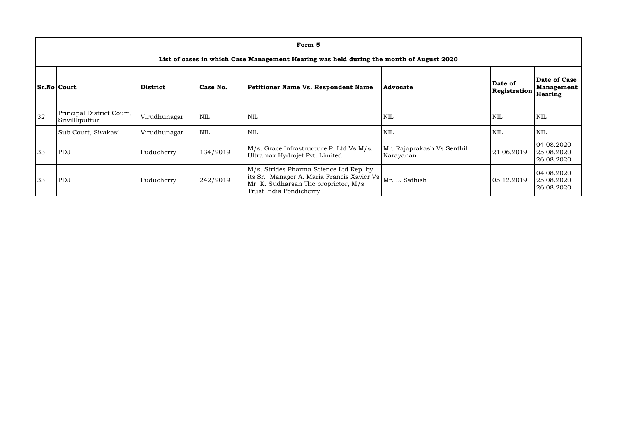|    | Form 5                                                                                  |              |            |                                                                                                                                                          |                                         |                         |                                              |  |  |  |  |  |
|----|-----------------------------------------------------------------------------------------|--------------|------------|----------------------------------------------------------------------------------------------------------------------------------------------------------|-----------------------------------------|-------------------------|----------------------------------------------|--|--|--|--|--|
|    | List of cases in which Case Management Hearing was held during the month of August 2020 |              |            |                                                                                                                                                          |                                         |                         |                                              |  |  |  |  |  |
|    | <b>Sr.No Court</b>                                                                      | District     | Case No.   | Petitioner Name Vs. Respondent Name                                                                                                                      | <b>Advocate</b>                         | Date of<br>Registration | <b>Date of Case</b><br>Management<br>Hearing |  |  |  |  |  |
| 32 | Principal District Court,<br>Srivillliputtur                                            | Virudhunagar | <b>NIL</b> | <b>NIL</b>                                                                                                                                               | <b>NIL</b>                              | <b>NIL</b>              | <b>NIL</b>                                   |  |  |  |  |  |
|    | Sub Court, Sivakasi                                                                     | Virudhunagar | <b>NIL</b> | <b>NIL</b>                                                                                                                                               | <b>NIL</b>                              | <b>NIL</b>              | <b>NIL</b>                                   |  |  |  |  |  |
| 33 | PDJ                                                                                     | Puducherry   | 134/2019   | M/s. Grace Infrastructure P. Ltd Vs M/s.<br>Ultramax Hydrojet Pvt. Limited                                                                               | Mr. Rajaprakash Vs Senthil<br>Narayanan | 21.06.2019              | 04.08.2020<br>25.08.2020<br>26.08.2020       |  |  |  |  |  |
| 33 | PDJ                                                                                     | Puducherry   | 242/2019   | M/s. Strides Pharma Science Ltd Rep. by<br>lits Sr Manager A. Maria Francis Xavier Vs<br>Mr. K. Sudharsan The proprietor, M/s<br>Trust India Pondicherry | Mr. L. Sathish                          | 05.12.2019              | 04.08.2020<br>25.08.2020<br>26.08.2020       |  |  |  |  |  |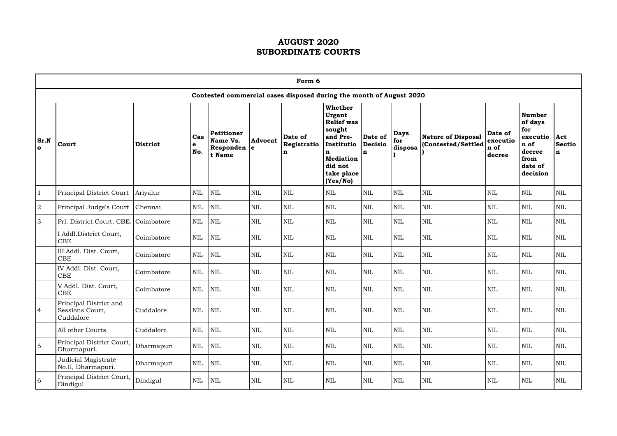|                      | Form 6                                                              |                 |                 |                                               |                 |                                       |                                                                                                                                          |                                          |                               |                                                 |                                       |                                                                                              |                           |
|----------------------|---------------------------------------------------------------------|-----------------|-----------------|-----------------------------------------------|-----------------|---------------------------------------|------------------------------------------------------------------------------------------------------------------------------------------|------------------------------------------|-------------------------------|-------------------------------------------------|---------------------------------------|----------------------------------------------------------------------------------------------|---------------------------|
|                      | Contested commercial cases disposed during the month of August 2020 |                 |                 |                                               |                 |                                       |                                                                                                                                          |                                          |                               |                                                 |                                       |                                                                                              |                           |
| Sr.N<br>$\mathbf{o}$ | Court                                                               | <b>District</b> | Cas<br>e<br>No. | Petitioner<br>Name Vs.<br>Responden<br>t Name | Advocat<br>l el | Date of<br>Registratio<br>$\mathbf n$ | Whether<br>Urgent<br><b>Relief</b> was<br>sought<br>and Pre-<br>Institutio<br>n<br><b>Mediation</b><br>did not<br>take place<br>(Yes/No) | Date of<br><b>Decisio</b><br>$\mathbf n$ | <b>Days</b><br>for<br>disposa | <b>Nature of Disposal</b><br>(Contested/Settled | Date of<br>executio<br>n of<br>decree | <b>Number</b><br>of days<br>for<br>executio<br>n of<br>decree<br>from<br>date of<br>decision | Act<br><b>Sectio</b><br>n |
| $^{\prime}$ 1        | Principal District Court                                            | Ariyalur        | <b>NIL</b>      | <b>NIL</b>                                    | <b>NIL</b>      | <b>NIL</b>                            | <b>NIL</b>                                                                                                                               | <b>NIL</b>                               | <b>NIL</b>                    | <b>NIL</b>                                      | <b>NIL</b>                            | <b>NIL</b>                                                                                   | <b>NIL</b>                |
| 2                    | Principal Judge's Court                                             | Chennai         | $\mbox{NIL}$    | <b>NIL</b>                                    | <b>NIL</b>      | <b>NIL</b>                            | <b>NIL</b>                                                                                                                               | $\mbox{NIL}$                             | <b>NIL</b>                    | $\mbox{NIL}$                                    | <b>NIL</b>                            | <b>NIL</b>                                                                                   | <b>NIL</b>                |
| $\mathfrak{Z}$       | Prl. District Court, CBE. Coimbatore                                |                 | <b>NIL</b>      | <b>NIL</b>                                    | <b>NIL</b>      | <b>NIL</b>                            | <b>NIL</b>                                                                                                                               | <b>NIL</b>                               | <b>NIL</b>                    | $\mbox{NIL}$                                    | <b>NIL</b>                            | <b>NIL</b>                                                                                   | <b>NIL</b>                |
|                      | I Addl.District Court,<br><b>CBE</b>                                | Coimbatore      | $\mbox{NIL}$    | $\mbox{NIL}$                                  | <b>NIL</b>      | <b>NIL</b>                            | <b>NIL</b>                                                                                                                               | <b>NIL</b>                               | <b>NIL</b>                    | $\mbox{NIL}$                                    | <b>NIL</b>                            | <b>NIL</b>                                                                                   | <b>NIL</b>                |
|                      | III Addl. Dist. Court,<br><b>CBE</b>                                | Coimbatore      | <b>NIL</b>      | <b>NIL</b>                                    | <b>NIL</b>      | <b>NIL</b>                            | <b>NIL</b>                                                                                                                               | <b>NIL</b>                               | <b>NIL</b>                    | <b>NIL</b>                                      | <b>NIL</b>                            | <b>NIL</b>                                                                                   | <b>NIL</b>                |
|                      | IV Addl. Dist. Court,<br><b>CBE</b>                                 | Coimbatore      | $\mbox{NIL}$    | <b>NIL</b>                                    | <b>NIL</b>      | <b>NIL</b>                            | <b>NIL</b>                                                                                                                               | <b>NIL</b>                               | <b>NIL</b>                    | <b>NIL</b>                                      | <b>NIL</b>                            | $\mbox{NIL}$                                                                                 | <b>NIL</b>                |
|                      | V Addl. Dist. Court,<br><b>CBE</b>                                  | Coimbatore      | $\mbox{NIL}$    | <b>NIL</b>                                    | <b>NIL</b>      | <b>NIL</b>                            | <b>NIL</b>                                                                                                                               | <b>NIL</b>                               | <b>NIL</b>                    | <b>NIL</b>                                      | <b>NIL</b>                            | <b>NIL</b>                                                                                   | <b>NIL</b>                |
| $\overline{4}$       | Principal District and<br>Sessions Court,<br>Cuddalore              | Cuddalore       | $\mbox{NIL}$    | <b>NIL</b>                                    | $\mbox{NIL}$    | $\mbox{NIL}$                          | $\mbox{NIL}$                                                                                                                             | $\mbox{NIL}$                             | $\mbox{NIL}$                  | $\mbox{NIL}$                                    | $\mbox{NIL}$                          | $\mbox{NIL}$                                                                                 | <b>NIL</b>                |
|                      | All other Courts                                                    | Cuddalore       | $\mbox{NIL}$    | NIL                                           | $\mbox{NIL}$    | <b>NIL</b>                            | <b>NIL</b>                                                                                                                               | $\mbox{NIL}$                             | <b>NIL</b>                    | NIL                                             | $\mbox{NIL}$                          | <b>NIL</b>                                                                                   | NIL                       |
| $\overline{5}$       | Principal District Court,<br>Dharmapuri.                            | Dharmapuri      | $\mbox{NIL}$    | NIL                                           | <b>NIL</b>      | <b>NIL</b>                            | NIL                                                                                                                                      | $\mbox{NIL}$                             | <b>NIL</b>                    | NIL                                             | <b>NIL</b>                            | <b>NIL</b>                                                                                   | NIL                       |
|                      | Judicial Magistrate<br>No.II, Dharmapuri.                           | Dharmapuri      | $\mbox{NIL}$    | <b>NIL</b>                                    | <b>NIL</b>      | <b>NIL</b>                            | <b>NIL</b>                                                                                                                               | $\mbox{NIL}$                             | NIL                           | <b>NIL</b>                                      | <b>NIL</b>                            | NIL                                                                                          | NIL                       |
| 6                    | Principal District Court,<br>Dindigul                               | Dindigul        | NIL             | NIL                                           | NIL             | <b>NIL</b>                            | NIL                                                                                                                                      | $\mbox{NIL}$                             | NIL                           | NIL                                             | $\mbox{NIL}$                          | $\mbox{NIL}$                                                                                 | NIL                       |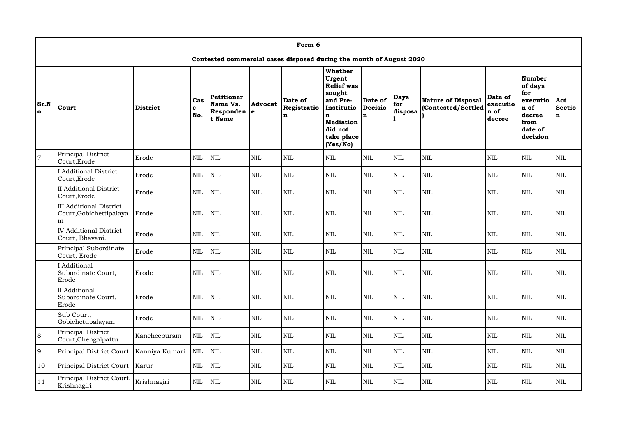|                      | Form 6                                                         |                |                 |                                                      |                       |                                                                     |                                                                                                                                                 |                                |                               |                                                 |                                       |                                                                                              |                               |
|----------------------|----------------------------------------------------------------|----------------|-----------------|------------------------------------------------------|-----------------------|---------------------------------------------------------------------|-------------------------------------------------------------------------------------------------------------------------------------------------|--------------------------------|-------------------------------|-------------------------------------------------|---------------------------------------|----------------------------------------------------------------------------------------------|-------------------------------|
|                      |                                                                |                |                 |                                                      |                       | Contested commercial cases disposed during the month of August 2020 |                                                                                                                                                 |                                |                               |                                                 |                                       |                                                                                              |                               |
| Sr.N<br>$\mathbf{o}$ | Court                                                          | District       | Cas<br>e<br>No. | <b>Petitioner</b><br>Name Vs.<br>Responden<br>t Name | <b>Advocat</b><br>l e | Date of<br>Registratio<br>$\mathbf n$                               | <b>Whether</b><br>Urgent<br><b>Relief</b> was<br>sought<br>and Pre-<br>Institutio<br>n<br><b>Mediation</b><br>did not<br>take place<br>(Yes/No) | Date of<br><b>Decisio</b><br>n | <b>Days</b><br>for<br>disposa | <b>Nature of Disposal</b><br>(Contested/Settled | Date of<br>executio<br>n of<br>decree | <b>Number</b><br>of days<br>for<br>executio<br>n of<br>decree<br>from<br>date of<br>decision | $ $ Act<br><b>Sectio</b><br>n |
| $\overline{7}$       | Principal District<br>Court, Erode                             | Erode          | <b>NIL</b>      | <b>NIL</b>                                           | $\mbox{NIL}$          | <b>NIL</b>                                                          | <b>NIL</b>                                                                                                                                      | <b>NIL</b>                     | $\mbox{NIL}$                  | $\text{NIL}$                                    | <b>NIL</b>                            | $\mbox{NIL}$                                                                                 | <b>NIL</b>                    |
|                      | <b>I</b> Additional District<br>Court, Erode                   | Erode          | <b>NIL</b>      | <b>NIL</b>                                           | <b>NIL</b>            | <b>NIL</b>                                                          | <b>NIL</b>                                                                                                                                      | <b>NIL</b>                     | $\mbox{NIL}$                  | $\mbox{NIL}$                                    | <b>NIL</b>                            | <b>NIL</b>                                                                                   | <b>NIL</b>                    |
|                      | <b>II</b> Additional District<br>Court, Erode                  | Erode          | <b>NIL</b>      | <b>NIL</b>                                           | $\mbox{NIL}$          | <b>NIL</b>                                                          | <b>NIL</b>                                                                                                                                      | <b>NIL</b>                     | $\mbox{NIL}$                  | $\mbox{NIL}$                                    | <b>NIL</b>                            | <b>NIL</b>                                                                                   | <b>NIL</b>                    |
|                      | <b>III Additional District</b><br>Court, Gobichettipalaya<br>m | Erode          | <b>NIL</b>      | $\mbox{NIL}$                                         | $\text{NIL}$          | <b>NIL</b>                                                          | <b>NIL</b>                                                                                                                                      | <b>NIL</b>                     | <b>NIL</b>                    | <b>NIL</b>                                      | <b>NIL</b>                            | <b>NIL</b>                                                                                   | <b>NIL</b>                    |
|                      | <b>IV Additional District</b><br>Court, Bhavani.               | Erode          | <b>NIL</b>      | <b>NIL</b>                                           | <b>NIL</b>            | <b>NIL</b>                                                          | <b>NIL</b>                                                                                                                                      | <b>NIL</b>                     | <b>NIL</b>                    | <b>NIL</b>                                      | <b>NIL</b>                            | <b>NIL</b>                                                                                   | <b>NIL</b>                    |
|                      | Principal Subordinate<br>Court, Erode                          | Erode          | <b>NIL</b>      | $\mbox{NIL}$                                         | <b>NIL</b>            | <b>NIL</b>                                                          | <b>NIL</b>                                                                                                                                      | <b>NIL</b>                     | <b>NIL</b>                    | $\mbox{NIL}$                                    | <b>NIL</b>                            | $\mbox{NIL}$                                                                                 | <b>NIL</b>                    |
|                      | I Additional<br>Subordinate Court,<br>Erode                    | Erode          | $\mbox{NIL}$    | NIL                                                  | $\mbox{NIL}$          | <b>NIL</b>                                                          | $\mbox{NIL}$                                                                                                                                    | $\mbox{NIL}$                   | $\mbox{NIL}$                  | $\mbox{NIL}$                                    | <b>NIL</b>                            | $\mbox{NIL}$                                                                                 | <b>NIL</b>                    |
|                      | II Additional<br>Subordinate Court,<br>Erode                   | Erode          | $\mbox{NIL}$    | NIL                                                  | $\mbox{NIL}$          | <b>NIL</b>                                                          | $\mbox{NIL}$                                                                                                                                    | $\mbox{NIL}$                   | <b>NIL</b>                    | $\mbox{NIL}$                                    | <b>NIL</b>                            | $\mbox{NIL}$                                                                                 | NIL                           |
|                      | Sub Court,<br>Gobichettipalayam                                | Erode          | $\mbox{NIL}$    | NIL                                                  | <b>NIL</b>            | <b>NIL</b>                                                          | <b>NIL</b>                                                                                                                                      | $\mbox{NIL}$                   | <b>NIL</b>                    | <b>NIL</b>                                      | <b>NIL</b>                            | <b>NIL</b>                                                                                   | NIL                           |
| 8                    | Principal District<br>Court, Chengalpattu                      | Kancheepuram   | $\mbox{NIL}$    | NIL                                                  | NIL                   | <b>NIL</b>                                                          | $\mbox{NIL}$                                                                                                                                    | $\mbox{NIL}$                   | $\mbox{NIL}$                  | $\mbox{NIL}$                                    | $\mbox{NIL}$                          | $\mbox{NIL}$                                                                                 | <b>NIL</b>                    |
| 9                    | Principal District Court                                       | Kanniya Kumari | $\mbox{NIL}$    | NIL                                                  | <b>NIL</b>            | <b>NIL</b>                                                          | <b>NIL</b>                                                                                                                                      | $\mbox{NIL}$                   | $\mbox{NIL}$                  | $\mbox{NIL}$                                    | <b>NIL</b>                            | <b>NIL</b>                                                                                   | <b>NIL</b>                    |
| 10                   | Principal District Court                                       | Karur          | $\mbox{NIL}$    | <b>NIL</b>                                           | $\mbox{NIL}$          | NIL                                                                 | $\mbox{NIL}$                                                                                                                                    | $\mbox{NIL}$                   | $\mbox{NIL}$                  | $\mbox{NIL}$                                    | <b>NIL</b>                            | $\mbox{NIL}$                                                                                 | NIL                           |
| 11                   | Principal District Court,<br>Krishnagiri                       | Krishnagiri    | $\mbox{NIL}$    | <b>NIL</b>                                           | NIL                   | <b>NIL</b>                                                          | $\mbox{NIL}$                                                                                                                                    | $\mbox{NIL}$                   | <b>NIL</b>                    | $\mbox{NIL}$                                    | <b>NIL</b>                            | <b>NIL</b>                                                                                   | NIL                           |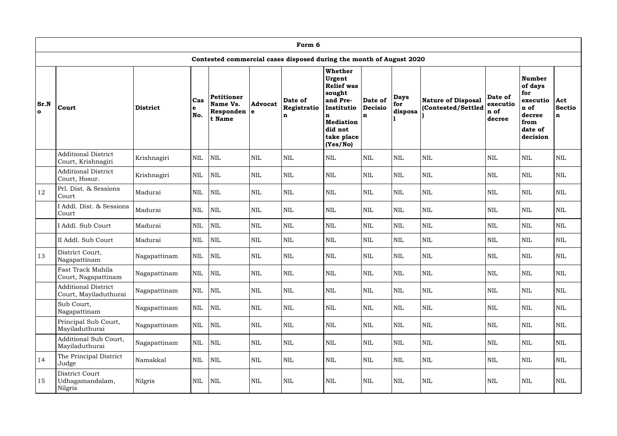|                      | Form 6                                              |                 |                 |                                                      |                               |                                                                     |                                                                                                                                                 |                                |                               |                                                 |                                       |                                                                                              |                        |
|----------------------|-----------------------------------------------------|-----------------|-----------------|------------------------------------------------------|-------------------------------|---------------------------------------------------------------------|-------------------------------------------------------------------------------------------------------------------------------------------------|--------------------------------|-------------------------------|-------------------------------------------------|---------------------------------------|----------------------------------------------------------------------------------------------|------------------------|
|                      |                                                     |                 |                 |                                                      |                               | Contested commercial cases disposed during the month of August 2020 |                                                                                                                                                 |                                |                               |                                                 |                                       |                                                                                              |                        |
| Sr.N<br>$\mathbf{o}$ | Court                                               | <b>District</b> | Cas<br>e<br>No. | <b>Petitioner</b><br>Name Vs.<br>Responden<br>t Name | <b>Advocat</b><br>$\mathbf e$ | Date of<br>Registratio<br>n                                         | <b>Whether</b><br>Urgent<br><b>Relief was</b><br>sought<br>and Pre-<br>Institutio<br>n<br><b>Mediation</b><br>did not<br>take place<br>(Yes/No) | Date of<br><b>Decisio</b><br>n | <b>Days</b><br>for<br>disposa | <b>Nature of Disposal</b><br>(Contested/Settled | Date of<br>executio<br>n of<br>decree | <b>Number</b><br>of days<br>for<br>executio<br>n of<br>decree<br>from<br>date of<br>decision | $ $ Act<br>Sectio<br>n |
|                      | <b>Additional District</b><br>Court, Krishnagiri    | Krishnagiri     | <b>NIL</b>      | $\mbox{NIL}$                                         | $\mbox{NIL}$                  | $\mbox{NIL}$                                                        | $\mbox{NIL}$                                                                                                                                    | <b>NIL</b>                     | $\mbox{NIL}$                  | $\mbox{NIL}$                                    | <b>NIL</b>                            | $\mbox{NIL}$                                                                                 | <b>NIL</b>             |
|                      | <b>Additional District</b><br>Court, Hosur.         | Krishnagiri     | <b>NIL</b>      | $\mbox{NIL}$                                         | <b>NIL</b>                    | <b>NIL</b>                                                          | <b>NIL</b>                                                                                                                                      | <b>NIL</b>                     | $\mbox{NIL}$                  | $\mbox{NIL}$                                    | <b>NIL</b>                            | <b>NIL</b>                                                                                   | <b>NIL</b>             |
| 12                   | Prl. Dist. & Sessions<br>Court                      | Madurai         | <b>NIL</b>      | <b>NIL</b>                                           | $\mbox{NIL}$                  | <b>NIL</b>                                                          | <b>NIL</b>                                                                                                                                      | <b>NIL</b>                     | $\mbox{NIL}$                  | $\mbox{NIL}$                                    | <b>NIL</b>                            | <b>NIL</b>                                                                                   | <b>NIL</b>             |
|                      | I Addl. Dist. & Sessions<br>Court                   | Madurai         | <b>NIL</b>      | $\mbox{NIL}$                                         | <b>NIL</b>                    | $\mbox{NIL}$                                                        | <b>NIL</b>                                                                                                                                      | <b>NIL</b>                     | $\mbox{NIL}$                  | $\mbox{NIL}$                                    | <b>NIL</b>                            | $\mbox{NIL}$                                                                                 | <b>NIL</b>             |
|                      | I Addl. Sub Court                                   | Madurai         | NIL             | <b>NIL</b>                                           | $\mbox{NIL}$                  | <b>NIL</b>                                                          | NIL                                                                                                                                             | <b>NIL</b>                     | $\mbox{NIL}$                  | $\mbox{NIL}$                                    | <b>NIL</b>                            | $\mbox{NIL}$                                                                                 | <b>NIL</b>             |
|                      | II Addl. Sub Court                                  | Madurai         | <b>NIL</b>      | NIL                                                  | NIL                           | $\mbox{NIL}$                                                        | <b>NIL</b>                                                                                                                                      | <b>NIL</b>                     | $\mbox{NIL}$                  | $\mbox{NIL}$                                    | <b>NIL</b>                            | <b>NIL</b>                                                                                   | <b>NIL</b>             |
| 13                   | District Court,<br>Nagapattinam                     | Nagapattinam    | <b>NIL</b>      | NIL                                                  | <b>NIL</b>                    | <b>NIL</b>                                                          | <b>NIL</b>                                                                                                                                      | <b>NIL</b>                     | $\mbox{NIL}$                  | $\mbox{NIL}$                                    | <b>NIL</b>                            | <b>NIL</b>                                                                                   | <b>NIL</b>             |
|                      | Fast Track Mahila<br>Court, Nagapattinam            | Nagapattinam    | $\mbox{NIL}$    | <b>NIL</b>                                           | $\mbox{NIL}$                  | <b>NIL</b>                                                          | $\mbox{NIL}$                                                                                                                                    | $\mbox{NIL}$                   | $\mbox{NIL}$                  | $\mbox{NIL}$                                    | $\mbox{NIL}$                          | $\mbox{NIL}$                                                                                 | <b>NIL</b>             |
|                      | <b>Additional District</b><br>Court, Mayiladuthurai | Nagapattinam    | <b>NIL</b>      | <b>NIL</b>                                           | <b>NIL</b>                    | <b>NIL</b>                                                          | <b>NIL</b>                                                                                                                                      | $\mbox{NIL}$                   | <b>NIL</b>                    | $\mbox{NIL}$                                    | <b>NIL</b>                            | <b>NIL</b>                                                                                   | NIL                    |
|                      | Sub Court,<br>Nagapattinam                          | Nagapattinam    | <b>NIL</b>      | <b>NIL</b>                                           | NIL                           | <b>NIL</b>                                                          | NIL                                                                                                                                             | $\mbox{NIL}$                   | NIL                           | $\mbox{NIL}$                                    | $\mbox{NIL}$                          | <b>NIL</b>                                                                                   | <b>NIL</b>             |
|                      | Principal Sub Court,<br>Mayiladuthurai              | Nagapattinam    | $\mbox{NIL}$    | <b>NIL</b>                                           | <b>NIL</b>                    | <b>NIL</b>                                                          | <b>NIL</b>                                                                                                                                      | $\mbox{NIL}$                   | $\mbox{NIL}$                  | $\mbox{NIL}$                                    | <b>NIL</b>                            | $\mbox{NIL}$                                                                                 | <b>NIL</b>             |
|                      | Additional Sub Court,<br>Mayiladuthurai             | Nagapattinam    | $\mbox{NIL}$    | <b>NIL</b>                                           | <b>NIL</b>                    | <b>NIL</b>                                                          | <b>NIL</b>                                                                                                                                      | $\mbox{NIL}$                   | $\mbox{NIL}$                  | $\mbox{NIL}$                                    | <b>NIL</b>                            | <b>NIL</b>                                                                                   | NIL                    |
| 14                   | The Principal District<br>Judge                     | Namakkal        | $\mbox{NIL}$    | <b>NIL</b>                                           | <b>NIL</b>                    | <b>NIL</b>                                                          | $\mbox{NIL}$                                                                                                                                    | $\mbox{NIL}$                   | $\mbox{NIL}$                  | $\mbox{NIL}$                                    | <b>NIL</b>                            | $\mbox{NIL}$                                                                                 | NIL                    |
| 15                   | District Court<br>Udhagamandalam,<br>Nilgris        | Nilgris         | <b>NIL</b>      | <b>NIL</b>                                           | $\mbox{NIL}$                  | <b>NIL</b>                                                          | NIL                                                                                                                                             | $\mbox{NIL}$                   | $\mbox{NIL}$                  | NIL                                             | <b>NIL</b>                            | $\mbox{NIL}$                                                                                 | NIL                    |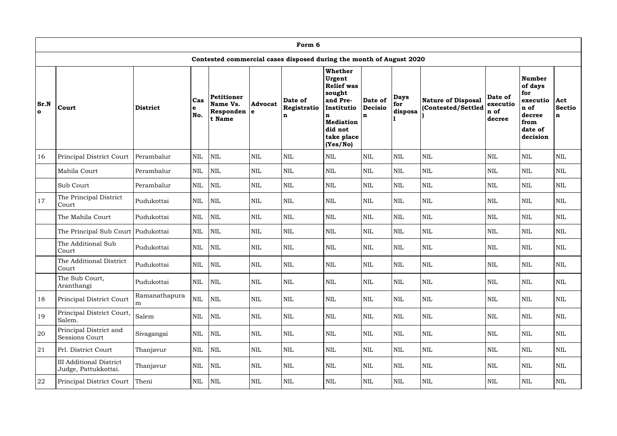|                      | Form 6                                                 |                    |                         |                                                                        |                |                                                                     |                                                                                                                                          |                                          |                               |                                                 |                                       |                                                                                              |                    |
|----------------------|--------------------------------------------------------|--------------------|-------------------------|------------------------------------------------------------------------|----------------|---------------------------------------------------------------------|------------------------------------------------------------------------------------------------------------------------------------------|------------------------------------------|-------------------------------|-------------------------------------------------|---------------------------------------|----------------------------------------------------------------------------------------------|--------------------|
|                      |                                                        |                    |                         |                                                                        |                | Contested commercial cases disposed during the month of August 2020 |                                                                                                                                          |                                          |                               |                                                 |                                       |                                                                                              |                    |
| Sr.N<br>$\mathbf{o}$ | Court                                                  | <b>District</b>    | Cas<br>$\bullet$<br>No. | <b>Petitioner</b><br>Name Vs.<br>$\vert$ Responden $\vert$ e<br>t Name | <b>Advocat</b> | Date of<br>Registratio<br>$\mathbf n$                               | Whether<br>Urgent<br><b>Relief</b> was<br>sought<br>and Pre-<br>Institutio<br>n<br><b>Mediation</b><br>did not<br>take place<br>(Yes/No) | Date of<br><b>Decisio</b><br>$\mathbf n$ | <b>Days</b><br>for<br>disposa | <b>Nature of Disposal</b><br>(Contested/Settled | Date of<br>executio<br>n of<br>decree | <b>Number</b><br>of days<br>for<br>executio<br>n of<br>decree<br>from<br>date of<br>decision | Act<br>Sectio<br>n |
| 16                   | <b>Principal District Court</b>                        | Perambalur         | <b>NIL</b>              | <b>NIL</b>                                                             | <b>NIL</b>     | <b>NIL</b>                                                          | <b>NIL</b>                                                                                                                               | <b>NIL</b>                               | <b>NIL</b>                    | $\mbox{NIL}$                                    | <b>NIL</b>                            | <b>NIL</b>                                                                                   | <b>NIL</b>         |
|                      | Mahila Court                                           | Perambalur         | $\mbox{NIL}$            | <b>NIL</b>                                                             | $\mbox{NIL}$   | $\mbox{NIL}$                                                        | <b>NIL</b>                                                                                                                               | <b>NIL</b>                               | $\mbox{NIL}$                  | $\mbox{NIL}$                                    | <b>NIL</b>                            | $\mbox{NIL}$                                                                                 | <b>NIL</b>         |
|                      | <b>Sub Court</b>                                       | Perambalur         | <b>NIL</b>              | <b>NIL</b>                                                             | <b>NIL</b>     | <b>NIL</b>                                                          | <b>NIL</b>                                                                                                                               | <b>NIL</b>                               | <b>NIL</b>                    | $\mbox{NIL}$                                    | <b>NIL</b>                            | $\mbox{NIL}$                                                                                 | <b>NIL</b>         |
| 17                   | The Principal District<br>Court                        | Pudukottai         | <b>NIL</b>              | <b>NIL</b>                                                             | $\mbox{NIL}$   | $\mbox{NIL}$                                                        | <b>NIL</b>                                                                                                                               | <b>NIL</b>                               | $\mbox{NIL}$                  | <b>NIL</b>                                      | <b>NIL</b>                            | <b>NIL</b>                                                                                   | <b>NIL</b>         |
|                      | The Mahila Court                                       | Pudukottai         | <b>NIL</b>              | <b>NIL</b>                                                             | <b>NIL</b>     | <b>NIL</b>                                                          | <b>NIL</b>                                                                                                                               | <b>NIL</b>                               | <b>NIL</b>                    | $\mbox{NIL}$                                    | <b>NIL</b>                            | <b>NIL</b>                                                                                   | <b>NIL</b>         |
|                      | The Principal Sub Court   Pudukottai                   |                    | $\mbox{NIL}$            | <b>NIL</b>                                                             | $\mbox{NIL}$   | <b>NIL</b>                                                          | <b>NIL</b>                                                                                                                               | <b>NIL</b>                               | $\mbox{NIL}$                  | $\mbox{NIL}$                                    | <b>NIL</b>                            | <b>NIL</b>                                                                                   | <b>NIL</b>         |
|                      | The Additional Sub<br>Court                            | Pudukottai         | $\mbox{NIL}$            | <b>NIL</b>                                                             | <b>NIL</b>     | <b>NIL</b>                                                          | <b>NIL</b>                                                                                                                               | <b>NIL</b>                               | $\mbox{NIL}$                  | <b>NIL</b>                                      | <b>NIL</b>                            | <b>NIL</b>                                                                                   | $\mbox{NIL}$       |
|                      | The Additional District<br>Court                       | Pudukottai         | $\mbox{NIL}$            | $\mbox{NIL}$                                                           | $\mbox{NIL}$   | <b>NIL</b>                                                          | $\mbox{NIL}$                                                                                                                             | <b>NIL</b>                               | $\mbox{NIL}$                  | <b>NIL</b>                                      | <b>NIL</b>                            | $\mbox{NIL}$                                                                                 | <b>NIL</b>         |
|                      | The Sub Court,<br>Aranthangi                           | Pudukottai         | <b>NIL</b>              | NIL                                                                    | <b>NIL</b>     | <b>NIL</b>                                                          | $\mbox{NIL}$                                                                                                                             | $\mbox{NIL}$                             | <b>NIL</b>                    | $\mbox{NIL}$                                    | <b>NIL</b>                            | $\mbox{NIL}$                                                                                 | $\mbox{NIL}$       |
| 18                   | Principal District Court                               | Ramanathapura<br>m | $\mbox{NIL}$            | NIL                                                                    | $\mbox{NIL}$   | <b>NIL</b>                                                          | NIL                                                                                                                                      | $\mbox{NIL}$                             | <b>NIL</b>                    | $\mbox{NIL}$                                    | <b>NIL</b>                            | $\mbox{NIL}$                                                                                 | <b>NIL</b>         |
| 19                   | Principal District Court,<br>Salem.                    | Salem              | <b>NIL</b>              | <b>NIL</b>                                                             | $\mbox{NIL}$   | <b>NIL</b>                                                          | NIL                                                                                                                                      | $\mbox{NIL}$                             | <b>NIL</b>                    | $\mbox{NIL}$                                    | $\mbox{NIL}$                          | $\mbox{NIL}$                                                                                 | <b>NIL</b>         |
| 20                   | Principal District and<br>Sessions Court               | Sivagangai         | <b>NIL</b>              | NIL                                                                    | <b>NIL</b>     | <b>NIL</b>                                                          | $\mbox{NIL}$                                                                                                                             | $\mbox{NIL}$                             | <b>NIL</b>                    | $\mbox{NIL}$                                    | <b>NIL</b>                            | $\mbox{NIL}$                                                                                 | NIL                |
| 21                   | Prl. District Court                                    | Thanjavur          | <b>NIL</b>              | NIL                                                                    | $\mbox{NIL}$   | $\mbox{NIL}$                                                        | $\mbox{NIL}$                                                                                                                             | $\mbox{NIL}$                             | <b>NIL</b>                    | $\mbox{NIL}$                                    | <b>NIL</b>                            | $\mbox{NIL}$                                                                                 | <b>NIL</b>         |
|                      | <b>III Additional District</b><br>Judge, Pattukkottai. | Thanjavur          | <b>NIL</b>              | $\mbox{NIL}$                                                           | $\mbox{NIL}$   | <b>NIL</b>                                                          | $\mbox{NIL}$                                                                                                                             | $\mbox{NIL}$                             | NIL                           | $\mbox{NIL}$                                    | <b>NIL</b>                            | $\mbox{NIL}$                                                                                 | NIL                |
| 22                   | <b>Principal District Court</b>                        | Theni              | <b>NIL</b>              | NIL                                                                    | NIL            | <b>NIL</b>                                                          | $\mbox{NIL}$                                                                                                                             | $\mbox{NIL}$                             | <b>NIL</b>                    | $\mbox{NIL}$                                    | <b>NIL</b>                            | $\mbox{NIL}$                                                                                 | NIL                |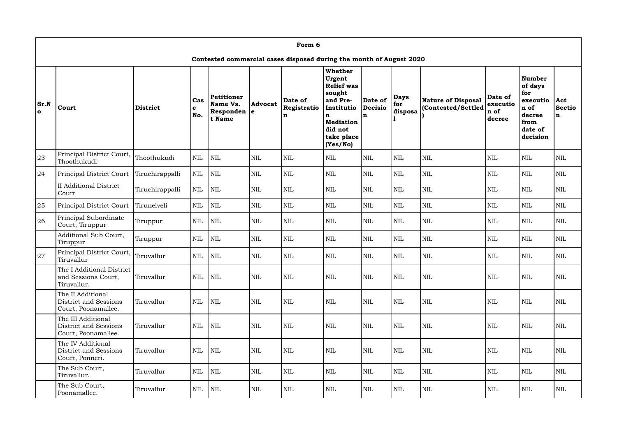|                             | Form 6                                                             |                 |                           |                                                                       |                |                                                                     |                                                                                                                                          |                                          |                               |                                                 |                                       |                                                                                              |                           |
|-----------------------------|--------------------------------------------------------------------|-----------------|---------------------------|-----------------------------------------------------------------------|----------------|---------------------------------------------------------------------|------------------------------------------------------------------------------------------------------------------------------------------|------------------------------------------|-------------------------------|-------------------------------------------------|---------------------------------------|----------------------------------------------------------------------------------------------|---------------------------|
|                             |                                                                    |                 |                           |                                                                       |                | Contested commercial cases disposed during the month of August 2020 |                                                                                                                                          |                                          |                               |                                                 |                                       |                                                                                              |                           |
| <b>Sr.N</b><br>$\mathbf{o}$ | Court                                                              | <b>District</b> | Cas<br>$\mathbf e$<br>No. | Petitioner<br>Name Vs.<br>$ \textbf{Responden} \textbf{e} $<br>t Name | <b>Advocat</b> | Date of<br>Registratio<br>n                                         | Whether<br>Urgent<br><b>Relief</b> was<br>sought<br>and Pre-<br>Institutio<br>n<br><b>Mediation</b><br>did not<br>take place<br>(Yes/No) | Date of<br><b>Decisio</b><br>$\mathbf n$ | <b>Days</b><br>for<br>disposa | <b>Nature of Disposal</b><br>(Contested/Settled | Date of<br>executio<br>n of<br>decree | <b>Number</b><br>of days<br>for<br>executio<br>n of<br>decree<br>from<br>date of<br>decision | Act<br><b>Sectio</b><br>n |
| 23                          | Principal District Court,<br>Thoothukudi                           | Thoothukudi     | <b>NIL</b>                | <b>NIL</b>                                                            | <b>NIL</b>     | $\mbox{NIL}$                                                        | <b>NIL</b>                                                                                                                               | <b>NIL</b>                               | <b>NIL</b>                    | <b>NIL</b>                                      | <b>NIL</b>                            | <b>NIL</b>                                                                                   | <b>NIL</b>                |
| 24                          | <b>Principal District Court</b>                                    | Tiruchirappalli | <b>NIL</b>                | <b>NIL</b>                                                            | <b>NIL</b>     | <b>NIL</b>                                                          | <b>NIL</b>                                                                                                                               | <b>NIL</b>                               | <b>NIL</b>                    | <b>NIL</b>                                      | <b>NIL</b>                            | <b>NIL</b>                                                                                   | <b>NIL</b>                |
|                             | <b>II</b> Additional District<br>Court                             | Tiruchirappalli | <b>NIL</b>                | <b>NIL</b>                                                            | <b>NIL</b>     | <b>NIL</b>                                                          | <b>NIL</b>                                                                                                                               | $\mbox{NIL}$                             | <b>NIL</b>                    | $\mbox{NIL}$                                    | <b>NIL</b>                            | <b>NIL</b>                                                                                   | <b>NIL</b>                |
| 25                          | <b>Principal District Court</b>                                    | Tirunelveli     | <b>NIL</b>                | <b>NIL</b>                                                            | <b>NIL</b>     | <b>NIL</b>                                                          | <b>NIL</b>                                                                                                                               | $\mbox{NIL}$                             | <b>NIL</b>                    | <b>NIL</b>                                      | <b>NIL</b>                            | <b>NIL</b>                                                                                   | $\mbox{NIL}$              |
| 26                          | Principal Subordinate<br>Court, Tiruppur                           | Tiruppur        | <b>NIL</b>                | <b>NIL</b>                                                            | <b>NIL</b>     | <b>NIL</b>                                                          | <b>NIL</b>                                                                                                                               | <b>NIL</b>                               | <b>NIL</b>                    | $\mbox{NIL}$                                    | <b>NIL</b>                            | <b>NIL</b>                                                                                   | <b>NIL</b>                |
|                             | Additional Sub Court,<br>Tiruppur                                  | Tiruppur        | $\mbox{NIL}$              | <b>NIL</b>                                                            | <b>NIL</b>     | $\mbox{NIL}$                                                        | <b>NIL</b>                                                                                                                               | <b>NIL</b>                               | <b>NIL</b>                    | $\mbox{NIL}$                                    | <b>NIL</b>                            | <b>NIL</b>                                                                                   | $\mbox{NIL}$              |
| 27                          | Principal District Court,<br>Tiruvallur                            | Tiruvallur      | <b>NIL</b>                | <b>NIL</b>                                                            | <b>NIL</b>     | $\mbox{NIL}$                                                        | <b>NIL</b>                                                                                                                               | <b>NIL</b>                               | <b>NIL</b>                    | <b>NIL</b>                                      | <b>NIL</b>                            | <b>NIL</b>                                                                                   | $\mbox{NIL}$              |
|                             | The I Additional District<br>and Sessions Court,<br>Tiruvallur.    | Tiruvallur      | <b>NIL</b>                | <b>NIL</b>                                                            | <b>NIL</b>     | <b>NIL</b>                                                          | <b>NIL</b>                                                                                                                               | $\mbox{NIL}$                             | <b>NIL</b>                    | <b>NIL</b>                                      | <b>NIL</b>                            | <b>NIL</b>                                                                                   | $\mbox{NIL}$              |
|                             | The II Additional<br>District and Sessions<br>Court, Poonamallee.  | Tiruvallur      | <b>NIL</b>                | NIL                                                                   | <b>NIL</b>     | <b>NIL</b>                                                          | <b>NIL</b>                                                                                                                               | $\mbox{NIL}$                             | <b>NIL</b>                    | <b>NIL</b>                                      | <b>NIL</b>                            | $\mbox{NIL}$                                                                                 | <b>NIL</b>                |
|                             | The III Additional<br>District and Sessions<br>Court, Poonamallee. | Tiruvallur      | <b>NIL</b>                | <b>NIL</b>                                                            | <b>NIL</b>     | <b>NIL</b>                                                          | <b>NIL</b>                                                                                                                               | $\mbox{NIL}$                             | <b>NIL</b>                    | <b>NIL</b>                                      | <b>NIL</b>                            | <b>NIL</b>                                                                                   | <b>NIL</b>                |
|                             | The IV Additional<br>District and Sessions<br>Court, Ponneri.      | Tiruvallur      | <b>NIL</b>                | <b>NIL</b>                                                            | <b>NIL</b>     | <b>NIL</b>                                                          | <b>NIL</b>                                                                                                                               | $\mbox{NIL}$                             | <b>NIL</b>                    | <b>NIL</b>                                      | <b>NIL</b>                            | $\mbox{NIL}$                                                                                 | <b>NIL</b>                |
|                             | The Sub Court,<br>Tiruvallur.                                      | Tiruvallur      | <b>NIL</b>                | NIL                                                                   | <b>NIL</b>     | <b>NIL</b>                                                          | <b>NIL</b>                                                                                                                               | $\mbox{NIL}$                             | <b>NIL</b>                    | <b>NIL</b>                                      | $\mbox{NIL}$                          | $\mbox{NIL}$                                                                                 | NIL                       |
|                             | The Sub Court,<br>Poonamallee.                                     | Tiruvallur      | <b>NIL</b>                | NIL                                                                   | NIL            | <b>NIL</b>                                                          | NIL                                                                                                                                      | $\mbox{NIL}$                             | NIL                           | <b>NIL</b>                                      | <b>NIL</b>                            | $\mbox{NIL}$                                                                                 | <b>NIL</b>                |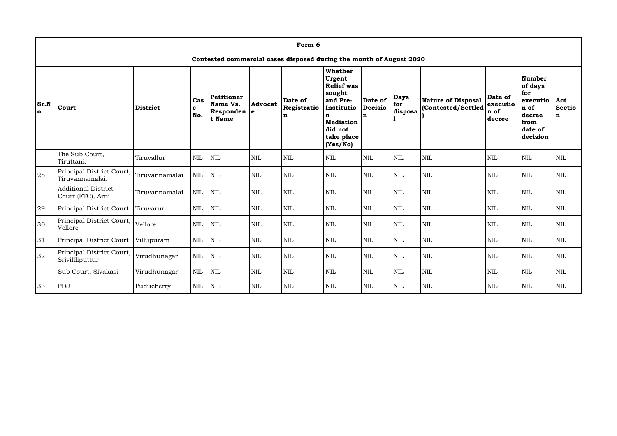|                      | Form 6                                                              |                 |                 |                                                      |                               |                             |                                                                                                                                                 |                                          |                               |                                                 |                                       |                                                                                              |                                     |
|----------------------|---------------------------------------------------------------------|-----------------|-----------------|------------------------------------------------------|-------------------------------|-----------------------------|-------------------------------------------------------------------------------------------------------------------------------------------------|------------------------------------------|-------------------------------|-------------------------------------------------|---------------------------------------|----------------------------------------------------------------------------------------------|-------------------------------------|
|                      | Contested commercial cases disposed during the month of August 2020 |                 |                 |                                                      |                               |                             |                                                                                                                                                 |                                          |                               |                                                 |                                       |                                                                                              |                                     |
| Sr.N<br>$\mathbf{o}$ | Court                                                               | <b>District</b> | Cas<br>e<br>No. | <b>Petitioner</b><br>Name Vs.<br>Responden<br>t Name | <b>Advocat</b><br>$\mathbf e$ | Date of<br>Registratio<br>n | <b>Whether</b><br>Urgent<br><b>Relief was</b><br>sought<br>and Pre-<br>Institutio<br>n<br><b>Mediation</b><br>did not<br>take place<br>(Yes/No) | Date of<br><b>Decisio</b><br>$\mathbf n$ | <b>Days</b><br>for<br>disposa | <b>Nature of Disposal</b><br>(Contested/Settled | Date of<br>executio<br>n of<br>decree | <b>Number</b><br>of days<br>for<br>executio<br>n of<br>decree<br>from<br>date of<br>decision | Act<br><b>Sectio</b><br>$\mathbf n$ |
|                      | The Sub Court,<br>Tiruttani.                                        | Tiruvallur      | <b>NIL</b>      | <b>NIL</b>                                           | $\mbox{NIL}$                  | NIL                         | <b>NIL</b>                                                                                                                                      | <b>NIL</b>                               | <b>NIL</b>                    | <b>NIL</b>                                      | <b>NIL</b>                            | <b>NIL</b>                                                                                   | <b>NIL</b>                          |
| 28                   | Principal District Court,<br>Tiruvannamalai.                        | Tiruvannamalai  | <b>NIL</b>      | <b>NIL</b>                                           | $\mbox{NIL}$                  | NIL                         | <b>NIL</b>                                                                                                                                      | <b>NIL</b>                               | <b>NIL</b>                    | <b>NIL</b>                                      | NIL                                   | <b>NIL</b>                                                                                   | <b>NIL</b>                          |
|                      | <b>Additional District</b><br>Court (FTC), Arni                     | Tiruvannamalai  | <b>NIL</b>      | $\text{NIL}$                                         | $\mbox{NIL}$                  | NIL                         | $\mbox{NIL}$                                                                                                                                    | <b>NIL</b>                               | <b>NIL</b>                    | <b>NIL</b>                                      | NIL                                   | <b>NIL</b>                                                                                   | <b>NIL</b>                          |
| 29                   | <b>Principal District Court</b>                                     | Tiruvarur       | $\mbox{NIL}$    | $\mbox{NIL}$                                         | <b>NIL</b>                    | NIL                         | <b>NIL</b>                                                                                                                                      | <b>NIL</b>                               | <b>NIL</b>                    | <b>NIL</b>                                      | <b>NIL</b>                            | <b>NIL</b>                                                                                   | NIL                                 |
| 30                   | Principal District Court,<br>Vellore                                | Vellore         | <b>NIL</b>      | <b>NIL</b>                                           | $\mbox{NIL}$                  | $\mbox{NIL}$                | <b>NIL</b>                                                                                                                                      | <b>NIL</b>                               | <b>NIL</b>                    | <b>NIL</b>                                      | <b>NIL</b>                            | <b>NIL</b>                                                                                   | <b>NIL</b>                          |
| 31                   | <b>Principal District Court</b>                                     | Villupuram      | <b>NIL</b>      | $\mbox{NIL}$                                         | <b>NIL</b>                    | <b>NIL</b>                  | <b>NIL</b>                                                                                                                                      | <b>NIL</b>                               | <b>NIL</b>                    | <b>NIL</b>                                      | <b>NIL</b>                            | <b>NIL</b>                                                                                   | <b>NIL</b>                          |
| 32                   | Principal District Court,<br>Srivillliputtur                        | Virudhunagar    | <b>NIL</b>      | $\mbox{NIL}$                                         | $\mbox{NIL}$                  | $\mbox{NIL}$                | $\mbox{NIL}$                                                                                                                                    | <b>NIL</b>                               | <b>NIL</b>                    | <b>NIL</b>                                      | <b>NIL</b>                            | <b>NIL</b>                                                                                   | $\mbox{NIL}$                        |
|                      | Sub Court, Sivakasi                                                 | Virudhunagar    | <b>NIL</b>      | $\mbox{NIL}$                                         | <b>NIL</b>                    | NIL                         | <b>NIL</b>                                                                                                                                      | <b>NIL</b>                               | <b>NIL</b>                    | <b>NIL</b>                                      | <b>NIL</b>                            | <b>NIL</b>                                                                                   | <b>NIL</b>                          |
| 33                   | PDJ                                                                 | Puducherry      | <b>NIL</b>      | $\mbox{NIL}$                                         | $\mbox{NIL}$                  | $\mbox{NIL}$                | <b>NIL</b>                                                                                                                                      | <b>NIL</b>                               | <b>NIL</b>                    | <b>NIL</b>                                      | <b>NIL</b>                            | <b>NIL</b>                                                                                   | <b>NIL</b>                          |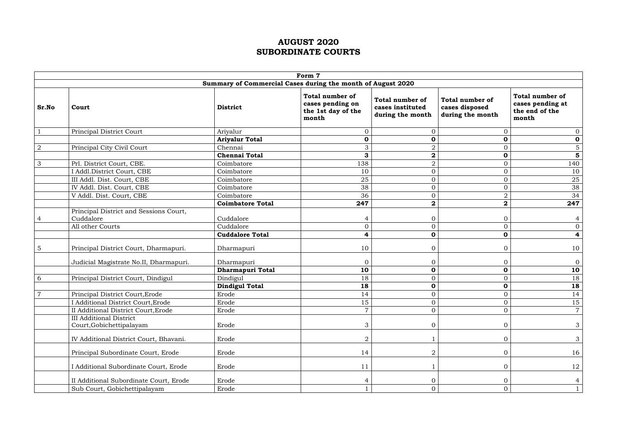|                |                                                                         |                                                             | Form 7                                                                    |                                                                |                                                              |                                                                       |
|----------------|-------------------------------------------------------------------------|-------------------------------------------------------------|---------------------------------------------------------------------------|----------------------------------------------------------------|--------------------------------------------------------------|-----------------------------------------------------------------------|
|                |                                                                         | Summary of Commercial Cases during the month of August 2020 |                                                                           |                                                                |                                                              |                                                                       |
| Sr.No          | Court                                                                   | <b>District</b>                                             | <b>Total number of</b><br>cases pending on<br>the 1st day of the<br>month | <b>Total number of</b><br>cases instituted<br>during the month | <b>Total number of</b><br>cases disposed<br>during the month | <b>Total number of</b><br>cases pending at<br>the end of the<br>month |
| $\mathbf{1}$   | Principal District Court                                                | Arivalur                                                    | $\mathbf{0}$                                                              | $\mathbf{0}$                                                   | $\mathbf{0}$                                                 | $\overline{0}$                                                        |
|                |                                                                         | <b>Ariyalur Total</b>                                       | $\mathbf 0$                                                               | $\mathbf 0$                                                    | $\mathbf 0$                                                  | $\mathbf 0$                                                           |
| $\overline{2}$ | Principal City Civil Court                                              | Chennai                                                     | 3                                                                         | $\overline{2}$                                                 | $\overline{0}$                                               | $\overline{5}$                                                        |
|                |                                                                         | <b>Chennai Total</b>                                        | 3                                                                         | $\mathbf{2}$                                                   | $\mathbf 0$                                                  | $\overline{\mathbf{5}}$                                               |
| 3              | Prl. District Court, CBE.                                               | Coimbatore                                                  | 138                                                                       | $\overline{2}$                                                 | $\overline{0}$                                               | 140                                                                   |
|                | I Addl.District Court, CBE                                              | Coimbatore                                                  | 10                                                                        | $\overline{0}$                                                 | $\overline{0}$                                               | 10                                                                    |
|                | III Addl. Dist. Court, CBE                                              | Coimbatore                                                  | 25                                                                        | $\overline{0}$                                                 | $\overline{0}$                                               | 25                                                                    |
|                | IV Addl. Dist. Court, CBE                                               | Coimbatore                                                  | 38                                                                        | $\overline{0}$                                                 | $\overline{0}$                                               | 38                                                                    |
|                | V Addl. Dist. Court, CBE                                                | Coimbatore                                                  | 36                                                                        | $\mathbf 0$                                                    | $\overline{2}$                                               | 34                                                                    |
|                |                                                                         | <b>Coimbatore Total</b>                                     | 247                                                                       | $\mathbf{2}$                                                   | $\mathbf{2}$                                                 | 247                                                                   |
| 4              | Principal District and Sessions Court,<br>Cuddalore<br>All other Courts | Cuddalore<br>Cuddalore                                      | $\boldsymbol{0}$                                                          | 0<br>$\mathbf 0$                                               | $\overline{0}$<br>$\boldsymbol{0}$                           | $\overline{4}$<br>$\overline{0}$                                      |
|                |                                                                         | <b>Cuddalore Total</b>                                      | 4                                                                         | $\mathbf 0$                                                    | $\mathbf 0$                                                  | $\overline{\mathbf{4}}$                                               |
| 5              | Principal District Court, Dharmapuri.                                   | Dharmapuri                                                  | 10                                                                        | $\overline{0}$                                                 | $\overline{0}$                                               | 10                                                                    |
|                | Judicial Magistrate No.II, Dharmapuri.                                  | Dharmapuri                                                  | $\boldsymbol{0}$                                                          | $\mathbf{0}$                                                   | $\overline{0}$                                               | $\overline{0}$                                                        |
|                |                                                                         | Dharmapuri Total                                            | 10                                                                        | $\mathbf 0$                                                    | $\mathbf 0$                                                  | 10                                                                    |
| 6              | Principal District Court, Dindigul                                      | Dindigul                                                    | 18                                                                        | $\mathbf 0$                                                    | $\overline{0}$                                               | 18                                                                    |
|                |                                                                         | <b>Dindigul Total</b>                                       | 18                                                                        | $\mathbf 0$                                                    | $\mathbf 0$                                                  | 18                                                                    |
| $\overline{7}$ | Principal District Court, Erode                                         | Erode                                                       | 14                                                                        | $\boldsymbol{0}$                                               | $\overline{0}$                                               | 14                                                                    |
|                | I Additional District Court, Erode                                      | Erode                                                       | 15<br>$\overline{7}$                                                      | $\overline{0}$                                                 | $\Omega$<br>$\cup$                                           | <b>15</b>                                                             |
|                | II Additional District Court, Erode                                     | Erode                                                       |                                                                           | $\mathbf{0}$                                                   | $\overline{0}$                                               | $\overline{7}$                                                        |
|                | <b>III Additional District</b><br>Court, Gobichettipalayam              | Erode                                                       | 3                                                                         | $\boldsymbol{0}$                                               | $\mathbf{0}$                                                 | 3                                                                     |
|                | IV Additional District Court, Bhavani.                                  | Erode                                                       | $\overline{2}$                                                            |                                                                | $\overline{0}$                                               | 3                                                                     |
|                | Principal Subordinate Court, Erode                                      | Erode                                                       | 14                                                                        | $\overline{2}$                                                 | $\mathbf{0}$                                                 | 16                                                                    |
|                | I Additional Subordinate Court, Erode                                   | Erode                                                       | 11                                                                        |                                                                | $\mathbf{0}$                                                 | 12                                                                    |
|                | II Additional Subordinate Court, Erode                                  | Erode                                                       | 4                                                                         | $\overline{0}$                                                 | $\mathbf{0}$                                                 | $\overline{4}$                                                        |
|                | Sub Court, Gobichettipalayam                                            | Erode                                                       |                                                                           | $\mathbf{0}$                                                   | $\overline{0}$                                               | $\mathbf{1}$                                                          |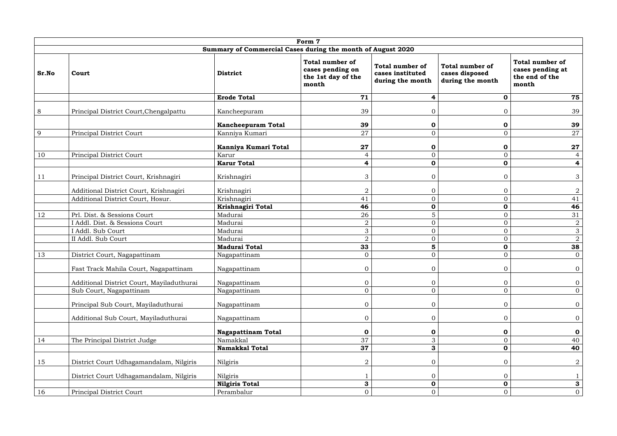|                |                                           |                                                             | Form 7                                                             |                                                                |                                                              |                                                                       |
|----------------|-------------------------------------------|-------------------------------------------------------------|--------------------------------------------------------------------|----------------------------------------------------------------|--------------------------------------------------------------|-----------------------------------------------------------------------|
|                |                                           | Summary of Commercial Cases during the month of August 2020 |                                                                    |                                                                |                                                              |                                                                       |
| Sr.No          | Court                                     | <b>District</b>                                             | Total number of<br>cases pending on<br>the 1st day of the<br>month | <b>Total number of</b><br>cases instituted<br>during the month | <b>Total number of</b><br>cases disposed<br>during the month | <b>Total number of</b><br>cases pending at<br>the end of the<br>month |
|                |                                           | <b>Erode Total</b>                                          | 71                                                                 | $\overline{\mathbf{r}}$                                        | $\mathbf 0$                                                  | 75                                                                    |
| 8              | Principal District Court, Chengalpattu    | Kancheepuram                                                | 39                                                                 | 0                                                              | $\boldsymbol{0}$                                             | 39                                                                    |
|                |                                           | <b>Kancheepuram Total</b>                                   | 39                                                                 | $\mathbf 0$                                                    | $\mathbf 0$                                                  | 39                                                                    |
| $\overline{9}$ | Principal District Court                  | Kanniya Kumari                                              | 27                                                                 | $\overline{0}$                                                 | $\overline{0}$                                               | 27                                                                    |
|                |                                           | Kanniya Kumari Total                                        | 27                                                                 | $\mathbf 0$                                                    | $\mathbf 0$                                                  | 27                                                                    |
| 10             | Principal District Court                  | Karur                                                       | $\overline{4}$                                                     | $\mathbf 0$                                                    | $\overline{O}$                                               | $\overline{4}$                                                        |
|                |                                           | <b>Karur Total</b>                                          | 4                                                                  | $\mathbf 0$                                                    | $\mathbf 0$                                                  | $\overline{\mathbf{4}}$                                               |
| 11             | Principal District Court, Krishnagiri     | Krishnagiri                                                 | 3                                                                  | $\overline{0}$                                                 | $\overline{0}$                                               | $\mathfrak{Z}$                                                        |
|                | Additional District Court, Krishnagiri    | Krishnagiri                                                 | $\overline{2}$                                                     | $\mathbf{0}$                                                   | $\boldsymbol{0}$                                             | $\overline{2}$                                                        |
|                | Additional District Court, Hosur.         | Krishnagiri                                                 | 41                                                                 | $\mathbf 0$                                                    | $\overline{0}$                                               | 41                                                                    |
|                |                                           | Krishnagiri Total                                           | 46                                                                 | $\mathbf 0$                                                    | $\mathbf 0$                                                  | 46                                                                    |
| 12             | Prl. Dist. & Sessions Court               | Madurai                                                     | 26                                                                 | 5                                                              | $\overline{O}$                                               | 31                                                                    |
|                | I Addl. Dist. & Sessions Court            | Madurai                                                     | $\overline{2}$                                                     | $\mathbf 0$                                                    | $\overline{0}$                                               | $\overline{a}$                                                        |
|                | I Addl. Sub Court                         | Madurai                                                     | 3                                                                  | $\boldsymbol{0}$                                               | $\boldsymbol{0}$                                             | $\mathfrak{Z}$                                                        |
|                | II Addl. Sub Court                        | Madurai                                                     | $\overline{2}$                                                     | $\overline{0}$                                                 | $\boldsymbol{0}$                                             | $\overline{2}$                                                        |
|                |                                           | <b>Madurai Total</b>                                        | 33                                                                 | 5                                                              | $\mathbf 0$                                                  | 38                                                                    |
| 13             | District Court, Nagapattinam              | Nagapattinam                                                | $\overline{O}$                                                     | $\overline{0}$                                                 | $\overline{O}$                                               | $\overline{0}$                                                        |
|                | Fast Track Mahila Court, Nagapattinam     | Nagapattinam                                                | $\cap$<br>$\cup$                                                   | 0                                                              | $\overline{0}$                                               | $\overline{0}$                                                        |
|                | Additional District Court, Mayiladuthurai | Nagapattinam                                                | $\boldsymbol{0}$                                                   | $\boldsymbol{0}$                                               | $\boldsymbol{0}$                                             | $\overline{0}$                                                        |
|                | Sub Court, Nagapattinam                   | Nagapattinam                                                | $\overline{O}$                                                     | $\overline{0}$                                                 | $\overline{O}$                                               | $\overline{0}$                                                        |
|                | Principal Sub Court, Mayiladuthurai       | Nagapattinam                                                | $\overline{0}$                                                     | $\overline{0}$                                                 | $\boldsymbol{0}$                                             | $\overline{0}$                                                        |
|                | Additional Sub Court, Mayiladuthurai      | Nagapattinam                                                | $\boldsymbol{0}$                                                   | $\overline{0}$                                                 | $\mathbf{0}$                                                 | $\overline{0}$                                                        |
|                |                                           | <b>Nagapattinam Total</b>                                   | $\mathbf 0$                                                        | $\mathbf 0$                                                    | $\mathbf 0$                                                  | $\mathbf 0$                                                           |
| 14             | The Principal District Judge              | Namakkal                                                    | 37                                                                 | $\mathfrak{S}$                                                 | $\overline{0}$                                               | 40                                                                    |
|                |                                           | Namakkal Total                                              | 37                                                                 | $\mathbf{3}$                                                   | $\mathbf 0$                                                  | 40                                                                    |
| 15             | District Court Udhagamandalam, Nilgiris   | Nilgiris                                                    | $\overline{2}$                                                     | $\overline{0}$                                                 | $\boldsymbol{0}$                                             | $\overline{a}$                                                        |
|                | District Court Udhagamandalam, Nilgiris   | Nilgiris                                                    |                                                                    | $\overline{0}$                                                 | $\boldsymbol{0}$                                             |                                                                       |
|                |                                           | <b>Nilgiris Total</b>                                       | 3                                                                  | $\mathbf 0$                                                    | $\mathbf 0$                                                  | $\mathbf{3}$                                                          |
| 16             | Principal District Court                  | Perambalur                                                  | $\overline{0}$                                                     | $\mathbf 0$                                                    | $\overline{0}$                                               | $\overline{0}$                                                        |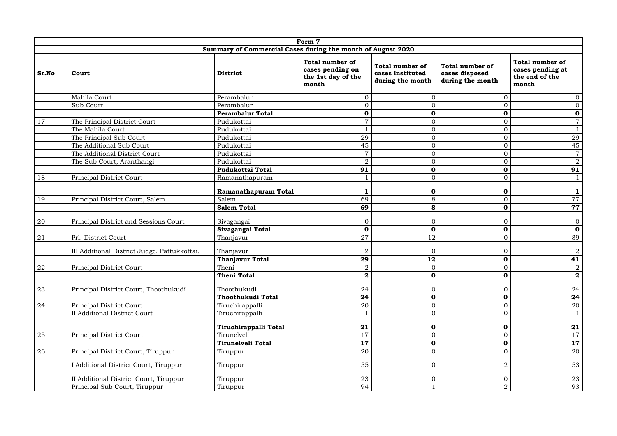|       |                                              |                                                             | Form 7                                                                    |                                                                |                                                              |                                                                       |
|-------|----------------------------------------------|-------------------------------------------------------------|---------------------------------------------------------------------------|----------------------------------------------------------------|--------------------------------------------------------------|-----------------------------------------------------------------------|
|       |                                              | Summary of Commercial Cases during the month of August 2020 |                                                                           |                                                                |                                                              |                                                                       |
| Sr.No | Court                                        | <b>District</b>                                             | <b>Total number of</b><br>cases pending on<br>the 1st day of the<br>month | <b>Total number of</b><br>cases instituted<br>during the month | <b>Total number of</b><br>cases disposed<br>during the month | <b>Total number of</b><br>cases pending at<br>the end of the<br>month |
|       | Mahila Court                                 | Perambalur                                                  | $\mathbf{0}$                                                              | $\mathbf 0$                                                    | $\boldsymbol{0}$                                             | $\overline{0}$                                                        |
|       | Sub Court                                    | Perambalur                                                  | $\overline{0}$                                                            | $\mathbf 0$                                                    | $\boldsymbol{0}$                                             | $\overline{0}$                                                        |
|       |                                              | <b>Perambalur Total</b>                                     | $\mathbf 0$                                                               | $\mathbf 0$                                                    | $\mathbf 0$                                                  | $\mathbf 0$                                                           |
| 17    | The Principal District Court                 | Pudukottai                                                  |                                                                           | $\mathbf 0$                                                    | $\boldsymbol{0}$                                             | $\overline{7}$                                                        |
|       | The Mahila Court                             | Pudukottai                                                  |                                                                           | $\boldsymbol{0}$                                               | $\boldsymbol{0}$                                             |                                                                       |
|       | The Principal Sub Court                      | Pudukottai                                                  | 29                                                                        | $\mathbf 0$                                                    | $\boldsymbol{0}$                                             | 29                                                                    |
|       | The Additional Sub Court                     | Pudukottai                                                  | 45                                                                        | $\boldsymbol{0}$                                               | $\mathbf 0$                                                  | 45                                                                    |
|       | The Additional District Court                | Pudukottai                                                  | $\overline{7}$                                                            | $\mathbf 0$                                                    | $\boldsymbol{0}$                                             | $\overline{7}$                                                        |
|       | The Sub Court, Aranthangi                    | Pudukottai                                                  | $\overline{2}$                                                            | $\mathbf 0$                                                    | $\boldsymbol{0}$                                             | $\overline{2}$                                                        |
|       |                                              | <b>Pudukottai Total</b>                                     | 91                                                                        | $\mathbf 0$                                                    | $\mathbf 0$                                                  | 91                                                                    |
| 18    | Principal District Court                     | Ramanathapuram                                              |                                                                           | $\mathbf{0}$                                                   | $\overline{0}$                                               | $\mathbf{1}$                                                          |
|       |                                              | Ramanathapuram Total                                        |                                                                           | $\mathbf 0$                                                    | $\mathbf 0$                                                  | $\mathbf{1}$                                                          |
| 19    | Principal District Court, Salem.             | Salem                                                       | 69                                                                        | $8\,$                                                          | $\mathbf 0$                                                  | 77                                                                    |
|       |                                              | <b>Salem Total</b>                                          | 69                                                                        | 8                                                              | $\mathbf 0$                                                  | 77                                                                    |
| 20    | Principal District and Sessions Court        | Sivagangai                                                  | 0<br>$\mathbf 0$                                                          | $\mathbf{0}$<br>$\mathbf 0$                                    | $\mathbf 0$<br>$\mathbf 0$                                   | $\overline{0}$<br>$\mathbf 0$                                         |
| 21    | Prl. District Court                          | Sivagangai Total<br>Thanjavur                               | 27                                                                        | 12                                                             | $\overline{0}$                                               | 39                                                                    |
|       |                                              | Thanjavur                                                   | $\overline{2}$                                                            | $\mathbf{0}$                                                   | $\mathbf 0$                                                  | $\overline{2}$                                                        |
|       | III Additional District Judge, Pattukkottai. |                                                             | 29                                                                        | 12                                                             |                                                              | 41                                                                    |
|       |                                              | <b>Thanjavur Total</b><br>Theni                             | $\Omega$                                                                  | $\Omega$                                                       | $\mathbf 0$<br>$\Omega$                                      | 2                                                                     |
| 22    | Principal District Court                     | <b>Theni Total</b>                                          | $\overline{\mathbf{2}}$                                                   | $\mathbf 0$                                                    | $\mathbf 0$                                                  | $\mathbf{2}$                                                          |
|       |                                              |                                                             |                                                                           |                                                                |                                                              |                                                                       |
| 23    | Principal District Court, Thoothukudi        | Thoothukudi                                                 | 24                                                                        | $\boldsymbol{0}$                                               | $\boldsymbol{0}$                                             | 24                                                                    |
|       |                                              | Thoothukudi Total                                           | 24                                                                        | $\mathbf 0$                                                    | $\mathbf 0$                                                  | 24                                                                    |
| 24    | Principal District Court                     | Tiruchirappalli                                             | 20                                                                        | $\boldsymbol{0}$                                               | $\mathbf{0}$                                                 | 20                                                                    |
|       | <b>II Additional District Court</b>          | Tiruchirappalli                                             |                                                                           | $\boldsymbol{0}$                                               | $\overline{0}$                                               | $\mathbf{1}$                                                          |
|       |                                              | Tiruchirappalli Total                                       | 21                                                                        | $\mathbf 0$                                                    | $\mathbf 0$                                                  | 21                                                                    |
| 25    | Principal District Court                     | Tirunelveli                                                 | 17                                                                        | $\boldsymbol{0}$                                               | $\mathbf{0}$                                                 | 17                                                                    |
|       |                                              | Tirunelveli Total                                           | 17                                                                        | $\mathbf 0$                                                    | $\mathbf{o}$                                                 | 17                                                                    |
| 26    | Principal District Court, Tiruppur           | Tiruppur                                                    | 20                                                                        | $\boldsymbol{0}$                                               | $\overline{0}$                                               | 20                                                                    |
|       | I Additional District Court, Tiruppur        | Tiruppur                                                    | 55                                                                        | $\mathbf 0$                                                    | $\overline{2}$                                               | 53                                                                    |
|       | II Additional District Court, Tiruppur       | Tiruppur                                                    | 23                                                                        | $\overline{0}$                                                 | $\mathbf 0$                                                  | 23                                                                    |
|       | Principal Sub Court, Tiruppur                | Tiruppur                                                    | 94                                                                        |                                                                | $\overline{2}$                                               | 93                                                                    |